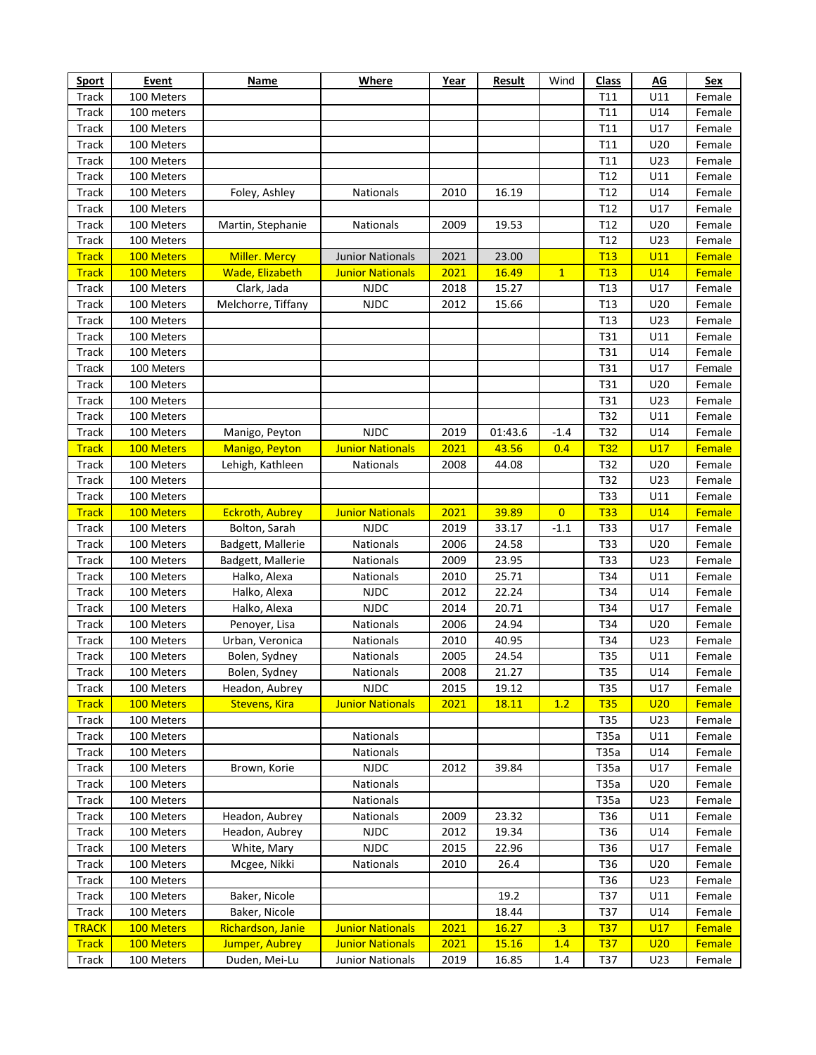| <b>Sport</b> | <b>Event</b> | <b>Name</b>            | <b>Where</b>            | Year | <b>Result</b> | Wind           | <b>Class</b>    | AG              | <b>Sex</b> |
|--------------|--------------|------------------------|-------------------------|------|---------------|----------------|-----------------|-----------------|------------|
| Track        | 100 Meters   |                        |                         |      |               |                | T11             | U11             | Female     |
| Track        | 100 meters   |                        |                         |      |               |                | T11             | U14             | Female     |
| Track        | 100 Meters   |                        |                         |      |               |                | T11             | U17             | Female     |
| Track        | 100 Meters   |                        |                         |      |               |                | T11             | U20             | Female     |
| Track        | 100 Meters   |                        |                         |      |               |                | T11             | U23             | Female     |
| Track        | 100 Meters   |                        |                         |      |               |                | T12             | U11             | Female     |
| Track        | 100 Meters   | Foley, Ashley          | Nationals               | 2010 | 16.19         |                | T12             | U14             | Female     |
| Track        | 100 Meters   |                        |                         |      |               |                | T12             | U17             | Female     |
| Track        | 100 Meters   | Martin, Stephanie      | Nationals               | 2009 | 19.53         |                | T12             | U20             | Female     |
| Track        | 100 Meters   |                        |                         |      |               |                | T12             | U23             | Female     |
| <b>Track</b> | 100 Meters   | Miller. Mercy          | <b>Junior Nationals</b> | 2021 | 23.00         |                | T13             | U11             | Female     |
| <b>Track</b> | 100 Meters   | Wade, Elizabeth        | <b>Junior Nationals</b> | 2021 | 16.49         | $\mathbf{1}$   | T13             | <b>U14</b>      | Female     |
| Track        | 100 Meters   | Clark, Jada            | <b>NJDC</b>             | 2018 | 15.27         |                | T <sub>13</sub> | U17             | Female     |
| Track        | 100 Meters   | Melchorre, Tiffany     | <b>NJDC</b>             | 2012 | 15.66         |                | T <sub>13</sub> | U20             | Female     |
| Track        | 100 Meters   |                        |                         |      |               |                | T <sub>13</sub> | U23             | Female     |
| Track        | 100 Meters   |                        |                         |      |               |                | T31             | U11             | Female     |
|              | 100 Meters   |                        |                         |      |               |                | T31             |                 |            |
| Track        |              |                        |                         |      |               |                |                 | U14             | Female     |
| Track        | 100 Meters   |                        |                         |      |               |                | T31             | U17             | Female     |
| Track        | 100 Meters   |                        |                         |      |               |                | T31             | U20             | Female     |
| Track        | 100 Meters   |                        |                         |      |               |                | T31             | U23             | Female     |
| Track        | 100 Meters   |                        |                         |      |               |                | T32             | U11             | Female     |
| Track        | 100 Meters   | Manigo, Peyton         | <b>NJDC</b>             | 2019 | 01:43.6       | $-1.4$         | T32             | U14             | Female     |
| <b>Track</b> | 100 Meters   | Manigo, Peyton         | <b>Junior Nationals</b> | 2021 | 43.56         | 0.4            | <b>T32</b>      | U17             | Female     |
| Track        | 100 Meters   | Lehigh, Kathleen       | Nationals               | 2008 | 44.08         |                | T32             | U20             | Female     |
| Track        | 100 Meters   |                        |                         |      |               |                | T32             | U23             | Female     |
| Track        | 100 Meters   |                        |                         |      |               |                | <b>T33</b>      | U11             | Female     |
| <b>Track</b> | 100 Meters   | <b>Eckroth, Aubrey</b> | <b>Junior Nationals</b> | 2021 | 39.89         | $\overline{0}$ | <b>T33</b>      | U14             | Female     |
| Track        | 100 Meters   | Bolton, Sarah          | <b>NJDC</b>             | 2019 | 33.17         | $-1.1$         | T33             | U17             | Female     |
| Track        | 100 Meters   | Badgett, Mallerie      | Nationals               | 2006 | 24.58         |                | T33             | U20             | Female     |
| Track        | 100 Meters   | Badgett, Mallerie      | Nationals               | 2009 | 23.95         |                | <b>T33</b>      | U23             | Female     |
| Track        | 100 Meters   | Halko, Alexa           | Nationals               | 2010 | 25.71         |                | T34             | U11             | Female     |
| Track        | 100 Meters   | Halko, Alexa           | <b>NJDC</b>             | 2012 | 22.24         |                | T34             | U14             | Female     |
| Track        | 100 Meters   | Halko, Alexa           | <b>NJDC</b>             | 2014 | 20.71         |                | T34             | U17             | Female     |
| Track        | 100 Meters   | Penoyer, Lisa          | Nationals               | 2006 | 24.94         |                | T34             | U20             | Female     |
| Track        | 100 Meters   | Urban, Veronica        | Nationals               | 2010 | 40.95         |                | T34             | U23             | Female     |
| Track        | 100 Meters   | Bolen, Sydney          | Nationals               | 2005 | 24.54         |                | T35             | U11             | Female     |
| <b>Track</b> | 100 Meters   | Bolen, Sydney          | Nationals               | 2008 | 21.27         |                | <b>T35</b>      | U14             | Female     |
| Track        | 100 Meters   | Headon, Aubrey         | <b>NJDC</b>             | 2015 | 19.12         |                | T35             | U17             | Female     |
| <b>Track</b> | 100 Meters   | <b>Stevens, Kira</b>   | <b>Junior Nationals</b> | 2021 | 18.11         | 1.2            | <b>T35</b>      | U <sub>20</sub> | Female     |
| Track        | 100 Meters   |                        |                         |      |               |                | T35             | U23             | Female     |
| Track        | 100 Meters   |                        | Nationals               |      |               |                | T35a            | U11             | Female     |
| Track        | 100 Meters   |                        | Nationals               |      |               |                | T35a            | U14             | Female     |
| Track        | 100 Meters   | Brown, Korie           | <b>NJDC</b>             | 2012 | 39.84         |                | T35a            | U17             | Female     |
| Track        | 100 Meters   |                        | <b>Nationals</b>        |      |               |                | T35a            | U20             | Female     |
| Track        | 100 Meters   |                        | Nationals               |      |               |                | T35a            | U23             | Female     |
| Track        | 100 Meters   | Headon, Aubrey         | Nationals               | 2009 | 23.32         |                | T36             | U11             | Female     |
| Track        | 100 Meters   | Headon, Aubrey         | <b>NJDC</b>             | 2012 | 19.34         |                | T36             | U14             | Female     |
| Track        | 100 Meters   | White, Mary            | <b>NJDC</b>             | 2015 | 22.96         |                | T36             | U17             | Female     |
| Track        | 100 Meters   | Mcgee, Nikki           | Nationals               | 2010 | 26.4          |                | T36             | U20             | Female     |
| Track        | 100 Meters   |                        |                         |      |               |                | T36             | U23             | Female     |
| Track        | 100 Meters   | Baker, Nicole          |                         |      | 19.2          |                | T37             | U11             | Female     |
| Track        | 100 Meters   | Baker, Nicole          |                         |      | 18.44         |                | T37             | U14             | Female     |
| <b>TRACK</b> | 100 Meters   | Richardson, Janie      | <b>Junior Nationals</b> | 2021 | 16.27         | $\cdot$ 3      | <u>T37</u>      | U17             | Female     |
| <b>Track</b> | 100 Meters   | Jumper, Aubrey         | <b>Junior Nationals</b> | 2021 | 15.16         | 1.4            | <u>T37</u>      | U20             | Female     |
| Track        | 100 Meters   | Duden, Mei-Lu          | <b>Junior Nationals</b> | 2019 | 16.85         | 1.4            | T37             | U23             | Female     |
|              |              |                        |                         |      |               |                |                 |                 |            |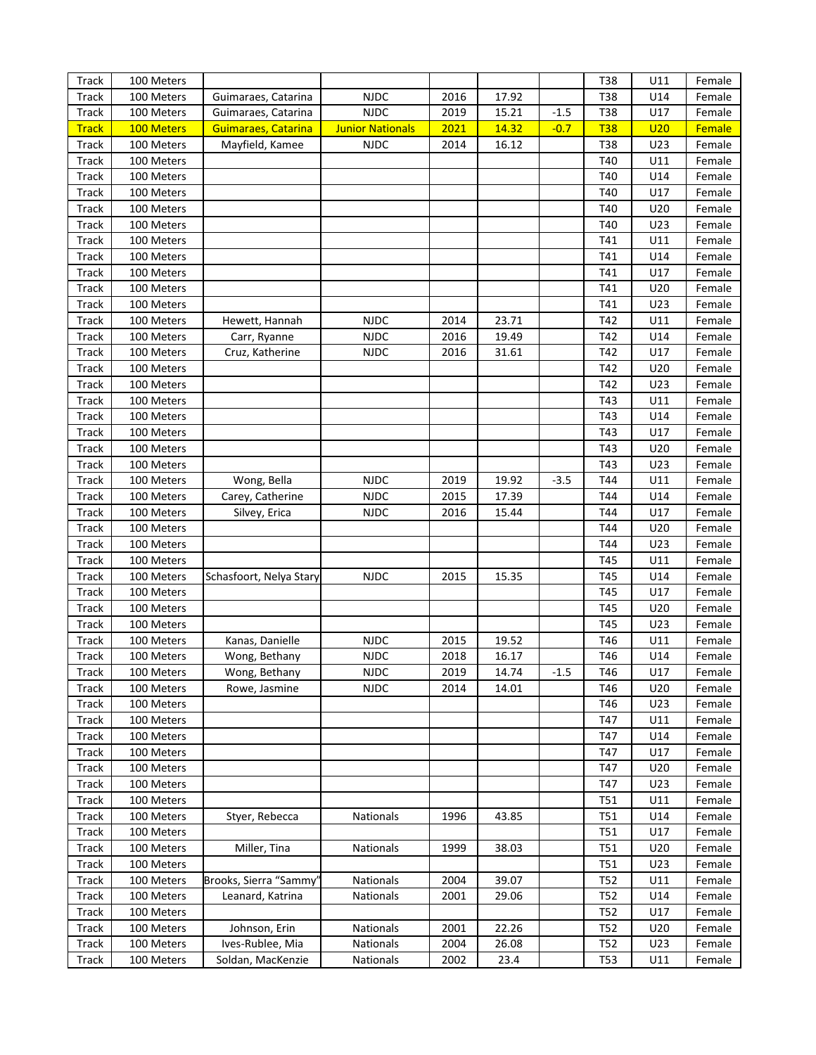| <b>NJDC</b><br><b>Track</b><br>2016<br>17.92<br>T38<br>U14<br>100 Meters<br>Guimaraes, Catarina<br>Female<br><b>NJDC</b><br>Track<br>2019<br>15.21<br>$-1.5$<br>T38<br>U17<br>Female<br>100 Meters<br>Guimaraes, Catarina<br>2021<br>14.32<br><b>T38</b><br><b>Track</b><br>100 Meters<br><b>Guimaraes, Catarina</b><br><b>Junior Nationals</b><br>$-0.7$<br>U20<br>Female<br><b>Track</b><br><b>NJDC</b><br>16.12<br>T38<br>U23<br>100 Meters<br>Mayfield, Kamee<br>2014<br>Female<br><b>Track</b><br>100 Meters<br>T40<br>U11<br>Female<br>Track<br>T40<br>U14<br>100 Meters<br>Female<br><b>Track</b><br>T40<br>U17<br>100 Meters<br>Female<br><b>Track</b><br>T40<br>U20<br>100 Meters<br>Female<br>Track<br>T40<br>U23<br>100 Meters<br>Female<br><b>Track</b><br>T41<br>U11<br>100 Meters<br>Female<br>Track<br>T41<br>U14<br>100 Meters<br>Female<br>Track<br>T41<br>U17<br>100 Meters<br>Female<br><b>Track</b><br>T41<br>U20<br>100 Meters<br>Female<br>Track<br>T41<br>U23<br>100 Meters<br>Female<br><b>NJDC</b><br>Track<br>2014<br>23.71<br>T42<br>U11<br>100 Meters<br>Hewett, Hannah<br>Female<br><b>Track</b><br><b>NJDC</b><br>2016<br>19.49<br>T42<br>U14<br>100 Meters<br>Female<br>Carr, Ryanne<br>Track<br>100 Meters<br><b>NJDC</b><br>2016<br>31.61<br>T42<br>U17<br>Cruz, Katherine<br>Female<br>Track<br>T42<br>U20<br>100 Meters<br>Female<br><b>Track</b><br>T42<br>U23<br>100 Meters<br>Female<br>Track<br>T43<br>U11<br>100 Meters<br>Female<br>Track<br>T43<br>U14<br>100 Meters<br>Female<br><b>Track</b><br>T43<br>U17<br>100 Meters<br>Female<br>Track<br>T43<br>U20<br>100 Meters<br>Female<br>Track<br>T43<br>U23<br>100 Meters<br>Female<br><b>NJDC</b><br><b>Track</b><br>Wong, Bella<br>2019<br>19.92<br>T44<br>U11<br>100 Meters<br>$-3.5$<br>Female<br><b>NJDC</b><br>Track<br>100 Meters<br>Carey, Catherine<br>2015<br>17.39<br>T44<br>U14<br>Female<br><b>Track</b><br>Silvey, Erica<br><b>NJDC</b><br>2016<br>15.44<br>T44<br>U17<br>100 Meters<br>Female<br><b>Track</b><br>100 Meters<br>T44<br>U20<br>Female<br>Track<br>T44<br>U23<br>100 Meters<br>Female<br><b>Track</b><br>T45<br>U11<br>100 Meters<br>Female<br><b>Track</b><br><b>NJDC</b><br>T45<br>U14<br>100 Meters<br>Schasfoort, Nelya Stary<br>2015<br>15.35<br>Female<br>Track<br>T45<br>U17<br>100 Meters<br>Female<br><b>Track</b><br>T45<br>U20<br>100 Meters<br>Female<br>Track<br>T45<br>U23<br>100 Meters<br>Female<br><b>NJDC</b><br>Kanas, Danielle<br>2015<br>19.52<br>T46<br>U11<br><b>Track</b><br>100 Meters<br>Female<br><b>NJDC</b><br>T46<br>Track<br>100 Meters<br>2018<br>16.17<br>U14<br>Female<br>Wong, Bethany<br>100 Meters<br><b>NJDC</b><br>2019<br>T46<br>Track<br>14.74<br>Wong, Bethany<br>-1.5<br>U17<br>Female<br><b>NJDC</b><br><b>Track</b><br>100 Meters<br>Rowe, Jasmine<br>2014<br>T46<br>U20<br>14.01<br>Female<br>Track<br>100 Meters<br>T46<br>U23<br>Female<br>Track<br>100 Meters<br>T47<br>U11<br>Female<br>Track<br>100 Meters<br>T47<br>U14<br>Female<br>Track<br>100 Meters<br>T47<br>U17<br>Female<br>Track<br>100 Meters<br>T47<br>U20<br>Female<br>Track<br>100 Meters<br>T47<br>U23<br>Female<br>Track<br>100 Meters<br>T <sub>51</sub><br>U11<br>Female<br>Track<br>100 Meters<br>Styer, Rebecca<br>Nationals<br>1996<br>43.85<br>T51<br>U14<br>Female<br>Track<br>100 Meters<br>T51<br>U17<br>Female<br>Track<br>100 Meters<br>Miller, Tina<br>Nationals<br>1999<br>38.03<br>T51<br>U20<br>Female<br>Track<br>100 Meters<br>T51<br>U23<br>Female<br>Brooks, Sierra "Sammy<br>Nationals<br>2004<br>39.07<br>Track<br>100 Meters<br>T <sub>52</sub><br>U11<br>Female<br>Track<br>100 Meters<br>Leanard, Katrina<br>Nationals<br>2001<br>29.06<br>T52<br>U14<br>Female<br>Track<br>100 Meters<br>T52<br>U17<br>Female<br>Johnson, Erin<br>22.26<br>Track<br>100 Meters<br>Nationals<br>2001<br>T52<br>U20<br>Female<br>Ives-Rublee, Mia<br>2004<br>Track<br>100 Meters<br>Nationals<br>26.08<br>T52<br>U23<br>Female<br>Track<br>100 Meters<br>Soldan, MacKenzie<br>Nationals<br>2002<br>23.4<br>T53<br>U11<br>Female | Track | 100 Meters |  |  | T38 | U11 | Female |
|--------------------------------------------------------------------------------------------------------------------------------------------------------------------------------------------------------------------------------------------------------------------------------------------------------------------------------------------------------------------------------------------------------------------------------------------------------------------------------------------------------------------------------------------------------------------------------------------------------------------------------------------------------------------------------------------------------------------------------------------------------------------------------------------------------------------------------------------------------------------------------------------------------------------------------------------------------------------------------------------------------------------------------------------------------------------------------------------------------------------------------------------------------------------------------------------------------------------------------------------------------------------------------------------------------------------------------------------------------------------------------------------------------------------------------------------------------------------------------------------------------------------------------------------------------------------------------------------------------------------------------------------------------------------------------------------------------------------------------------------------------------------------------------------------------------------------------------------------------------------------------------------------------------------------------------------------------------------------------------------------------------------------------------------------------------------------------------------------------------------------------------------------------------------------------------------------------------------------------------------------------------------------------------------------------------------------------------------------------------------------------------------------------------------------------------------------------------------------------------------------------------------------------------------------------------------------------------------------------------------------------------------------------------------------------------------------------------------------------------------------------------------------------------------------------------------------------------------------------------------------------------------------------------------------------------------------------------------------------------------------------------------------------------------------------------------------------------------------------------------------------------------------------------------------------------------------------------------------------------------------------------------------------------------------------------------------------------------------------------------------------------------------------------------------------------------------------------------------------------------------------------------------------------------------------------------------------------------------------------------------------------------------------------------------------------------------------------------------------------------------------------------------------------------------------------------------------------------------------------------------------------------------------------------------------------------------------------------------------------------------------------------------------------------------------------------------------|-------|------------|--|--|-----|-----|--------|
|                                                                                                                                                                                                                                                                                                                                                                                                                                                                                                                                                                                                                                                                                                                                                                                                                                                                                                                                                                                                                                                                                                                                                                                                                                                                                                                                                                                                                                                                                                                                                                                                                                                                                                                                                                                                                                                                                                                                                                                                                                                                                                                                                                                                                                                                                                                                                                                                                                                                                                                                                                                                                                                                                                                                                                                                                                                                                                                                                                                                                                                                                                                                                                                                                                                                                                                                                                                                                                                                                                                                                                                                                                                                                                                                                                                                                                                                                                                                                                                                                                                                                |       |            |  |  |     |     |        |
|                                                                                                                                                                                                                                                                                                                                                                                                                                                                                                                                                                                                                                                                                                                                                                                                                                                                                                                                                                                                                                                                                                                                                                                                                                                                                                                                                                                                                                                                                                                                                                                                                                                                                                                                                                                                                                                                                                                                                                                                                                                                                                                                                                                                                                                                                                                                                                                                                                                                                                                                                                                                                                                                                                                                                                                                                                                                                                                                                                                                                                                                                                                                                                                                                                                                                                                                                                                                                                                                                                                                                                                                                                                                                                                                                                                                                                                                                                                                                                                                                                                                                |       |            |  |  |     |     |        |
|                                                                                                                                                                                                                                                                                                                                                                                                                                                                                                                                                                                                                                                                                                                                                                                                                                                                                                                                                                                                                                                                                                                                                                                                                                                                                                                                                                                                                                                                                                                                                                                                                                                                                                                                                                                                                                                                                                                                                                                                                                                                                                                                                                                                                                                                                                                                                                                                                                                                                                                                                                                                                                                                                                                                                                                                                                                                                                                                                                                                                                                                                                                                                                                                                                                                                                                                                                                                                                                                                                                                                                                                                                                                                                                                                                                                                                                                                                                                                                                                                                                                                |       |            |  |  |     |     |        |
|                                                                                                                                                                                                                                                                                                                                                                                                                                                                                                                                                                                                                                                                                                                                                                                                                                                                                                                                                                                                                                                                                                                                                                                                                                                                                                                                                                                                                                                                                                                                                                                                                                                                                                                                                                                                                                                                                                                                                                                                                                                                                                                                                                                                                                                                                                                                                                                                                                                                                                                                                                                                                                                                                                                                                                                                                                                                                                                                                                                                                                                                                                                                                                                                                                                                                                                                                                                                                                                                                                                                                                                                                                                                                                                                                                                                                                                                                                                                                                                                                                                                                |       |            |  |  |     |     |        |
|                                                                                                                                                                                                                                                                                                                                                                                                                                                                                                                                                                                                                                                                                                                                                                                                                                                                                                                                                                                                                                                                                                                                                                                                                                                                                                                                                                                                                                                                                                                                                                                                                                                                                                                                                                                                                                                                                                                                                                                                                                                                                                                                                                                                                                                                                                                                                                                                                                                                                                                                                                                                                                                                                                                                                                                                                                                                                                                                                                                                                                                                                                                                                                                                                                                                                                                                                                                                                                                                                                                                                                                                                                                                                                                                                                                                                                                                                                                                                                                                                                                                                |       |            |  |  |     |     |        |
|                                                                                                                                                                                                                                                                                                                                                                                                                                                                                                                                                                                                                                                                                                                                                                                                                                                                                                                                                                                                                                                                                                                                                                                                                                                                                                                                                                                                                                                                                                                                                                                                                                                                                                                                                                                                                                                                                                                                                                                                                                                                                                                                                                                                                                                                                                                                                                                                                                                                                                                                                                                                                                                                                                                                                                                                                                                                                                                                                                                                                                                                                                                                                                                                                                                                                                                                                                                                                                                                                                                                                                                                                                                                                                                                                                                                                                                                                                                                                                                                                                                                                |       |            |  |  |     |     |        |
|                                                                                                                                                                                                                                                                                                                                                                                                                                                                                                                                                                                                                                                                                                                                                                                                                                                                                                                                                                                                                                                                                                                                                                                                                                                                                                                                                                                                                                                                                                                                                                                                                                                                                                                                                                                                                                                                                                                                                                                                                                                                                                                                                                                                                                                                                                                                                                                                                                                                                                                                                                                                                                                                                                                                                                                                                                                                                                                                                                                                                                                                                                                                                                                                                                                                                                                                                                                                                                                                                                                                                                                                                                                                                                                                                                                                                                                                                                                                                                                                                                                                                |       |            |  |  |     |     |        |
|                                                                                                                                                                                                                                                                                                                                                                                                                                                                                                                                                                                                                                                                                                                                                                                                                                                                                                                                                                                                                                                                                                                                                                                                                                                                                                                                                                                                                                                                                                                                                                                                                                                                                                                                                                                                                                                                                                                                                                                                                                                                                                                                                                                                                                                                                                                                                                                                                                                                                                                                                                                                                                                                                                                                                                                                                                                                                                                                                                                                                                                                                                                                                                                                                                                                                                                                                                                                                                                                                                                                                                                                                                                                                                                                                                                                                                                                                                                                                                                                                                                                                |       |            |  |  |     |     |        |
|                                                                                                                                                                                                                                                                                                                                                                                                                                                                                                                                                                                                                                                                                                                                                                                                                                                                                                                                                                                                                                                                                                                                                                                                                                                                                                                                                                                                                                                                                                                                                                                                                                                                                                                                                                                                                                                                                                                                                                                                                                                                                                                                                                                                                                                                                                                                                                                                                                                                                                                                                                                                                                                                                                                                                                                                                                                                                                                                                                                                                                                                                                                                                                                                                                                                                                                                                                                                                                                                                                                                                                                                                                                                                                                                                                                                                                                                                                                                                                                                                                                                                |       |            |  |  |     |     |        |
|                                                                                                                                                                                                                                                                                                                                                                                                                                                                                                                                                                                                                                                                                                                                                                                                                                                                                                                                                                                                                                                                                                                                                                                                                                                                                                                                                                                                                                                                                                                                                                                                                                                                                                                                                                                                                                                                                                                                                                                                                                                                                                                                                                                                                                                                                                                                                                                                                                                                                                                                                                                                                                                                                                                                                                                                                                                                                                                                                                                                                                                                                                                                                                                                                                                                                                                                                                                                                                                                                                                                                                                                                                                                                                                                                                                                                                                                                                                                                                                                                                                                                |       |            |  |  |     |     |        |
|                                                                                                                                                                                                                                                                                                                                                                                                                                                                                                                                                                                                                                                                                                                                                                                                                                                                                                                                                                                                                                                                                                                                                                                                                                                                                                                                                                                                                                                                                                                                                                                                                                                                                                                                                                                                                                                                                                                                                                                                                                                                                                                                                                                                                                                                                                                                                                                                                                                                                                                                                                                                                                                                                                                                                                                                                                                                                                                                                                                                                                                                                                                                                                                                                                                                                                                                                                                                                                                                                                                                                                                                                                                                                                                                                                                                                                                                                                                                                                                                                                                                                |       |            |  |  |     |     |        |
|                                                                                                                                                                                                                                                                                                                                                                                                                                                                                                                                                                                                                                                                                                                                                                                                                                                                                                                                                                                                                                                                                                                                                                                                                                                                                                                                                                                                                                                                                                                                                                                                                                                                                                                                                                                                                                                                                                                                                                                                                                                                                                                                                                                                                                                                                                                                                                                                                                                                                                                                                                                                                                                                                                                                                                                                                                                                                                                                                                                                                                                                                                                                                                                                                                                                                                                                                                                                                                                                                                                                                                                                                                                                                                                                                                                                                                                                                                                                                                                                                                                                                |       |            |  |  |     |     |        |
|                                                                                                                                                                                                                                                                                                                                                                                                                                                                                                                                                                                                                                                                                                                                                                                                                                                                                                                                                                                                                                                                                                                                                                                                                                                                                                                                                                                                                                                                                                                                                                                                                                                                                                                                                                                                                                                                                                                                                                                                                                                                                                                                                                                                                                                                                                                                                                                                                                                                                                                                                                                                                                                                                                                                                                                                                                                                                                                                                                                                                                                                                                                                                                                                                                                                                                                                                                                                                                                                                                                                                                                                                                                                                                                                                                                                                                                                                                                                                                                                                                                                                |       |            |  |  |     |     |        |
|                                                                                                                                                                                                                                                                                                                                                                                                                                                                                                                                                                                                                                                                                                                                                                                                                                                                                                                                                                                                                                                                                                                                                                                                                                                                                                                                                                                                                                                                                                                                                                                                                                                                                                                                                                                                                                                                                                                                                                                                                                                                                                                                                                                                                                                                                                                                                                                                                                                                                                                                                                                                                                                                                                                                                                                                                                                                                                                                                                                                                                                                                                                                                                                                                                                                                                                                                                                                                                                                                                                                                                                                                                                                                                                                                                                                                                                                                                                                                                                                                                                                                |       |            |  |  |     |     |        |
|                                                                                                                                                                                                                                                                                                                                                                                                                                                                                                                                                                                                                                                                                                                                                                                                                                                                                                                                                                                                                                                                                                                                                                                                                                                                                                                                                                                                                                                                                                                                                                                                                                                                                                                                                                                                                                                                                                                                                                                                                                                                                                                                                                                                                                                                                                                                                                                                                                                                                                                                                                                                                                                                                                                                                                                                                                                                                                                                                                                                                                                                                                                                                                                                                                                                                                                                                                                                                                                                                                                                                                                                                                                                                                                                                                                                                                                                                                                                                                                                                                                                                |       |            |  |  |     |     |        |
|                                                                                                                                                                                                                                                                                                                                                                                                                                                                                                                                                                                                                                                                                                                                                                                                                                                                                                                                                                                                                                                                                                                                                                                                                                                                                                                                                                                                                                                                                                                                                                                                                                                                                                                                                                                                                                                                                                                                                                                                                                                                                                                                                                                                                                                                                                                                                                                                                                                                                                                                                                                                                                                                                                                                                                                                                                                                                                                                                                                                                                                                                                                                                                                                                                                                                                                                                                                                                                                                                                                                                                                                                                                                                                                                                                                                                                                                                                                                                                                                                                                                                |       |            |  |  |     |     |        |
|                                                                                                                                                                                                                                                                                                                                                                                                                                                                                                                                                                                                                                                                                                                                                                                                                                                                                                                                                                                                                                                                                                                                                                                                                                                                                                                                                                                                                                                                                                                                                                                                                                                                                                                                                                                                                                                                                                                                                                                                                                                                                                                                                                                                                                                                                                                                                                                                                                                                                                                                                                                                                                                                                                                                                                                                                                                                                                                                                                                                                                                                                                                                                                                                                                                                                                                                                                                                                                                                                                                                                                                                                                                                                                                                                                                                                                                                                                                                                                                                                                                                                |       |            |  |  |     |     |        |
|                                                                                                                                                                                                                                                                                                                                                                                                                                                                                                                                                                                                                                                                                                                                                                                                                                                                                                                                                                                                                                                                                                                                                                                                                                                                                                                                                                                                                                                                                                                                                                                                                                                                                                                                                                                                                                                                                                                                                                                                                                                                                                                                                                                                                                                                                                                                                                                                                                                                                                                                                                                                                                                                                                                                                                                                                                                                                                                                                                                                                                                                                                                                                                                                                                                                                                                                                                                                                                                                                                                                                                                                                                                                                                                                                                                                                                                                                                                                                                                                                                                                                |       |            |  |  |     |     |        |
|                                                                                                                                                                                                                                                                                                                                                                                                                                                                                                                                                                                                                                                                                                                                                                                                                                                                                                                                                                                                                                                                                                                                                                                                                                                                                                                                                                                                                                                                                                                                                                                                                                                                                                                                                                                                                                                                                                                                                                                                                                                                                                                                                                                                                                                                                                                                                                                                                                                                                                                                                                                                                                                                                                                                                                                                                                                                                                                                                                                                                                                                                                                                                                                                                                                                                                                                                                                                                                                                                                                                                                                                                                                                                                                                                                                                                                                                                                                                                                                                                                                                                |       |            |  |  |     |     |        |
|                                                                                                                                                                                                                                                                                                                                                                                                                                                                                                                                                                                                                                                                                                                                                                                                                                                                                                                                                                                                                                                                                                                                                                                                                                                                                                                                                                                                                                                                                                                                                                                                                                                                                                                                                                                                                                                                                                                                                                                                                                                                                                                                                                                                                                                                                                                                                                                                                                                                                                                                                                                                                                                                                                                                                                                                                                                                                                                                                                                                                                                                                                                                                                                                                                                                                                                                                                                                                                                                                                                                                                                                                                                                                                                                                                                                                                                                                                                                                                                                                                                                                |       |            |  |  |     |     |        |
|                                                                                                                                                                                                                                                                                                                                                                                                                                                                                                                                                                                                                                                                                                                                                                                                                                                                                                                                                                                                                                                                                                                                                                                                                                                                                                                                                                                                                                                                                                                                                                                                                                                                                                                                                                                                                                                                                                                                                                                                                                                                                                                                                                                                                                                                                                                                                                                                                                                                                                                                                                                                                                                                                                                                                                                                                                                                                                                                                                                                                                                                                                                                                                                                                                                                                                                                                                                                                                                                                                                                                                                                                                                                                                                                                                                                                                                                                                                                                                                                                                                                                |       |            |  |  |     |     |        |
|                                                                                                                                                                                                                                                                                                                                                                                                                                                                                                                                                                                                                                                                                                                                                                                                                                                                                                                                                                                                                                                                                                                                                                                                                                                                                                                                                                                                                                                                                                                                                                                                                                                                                                                                                                                                                                                                                                                                                                                                                                                                                                                                                                                                                                                                                                                                                                                                                                                                                                                                                                                                                                                                                                                                                                                                                                                                                                                                                                                                                                                                                                                                                                                                                                                                                                                                                                                                                                                                                                                                                                                                                                                                                                                                                                                                                                                                                                                                                                                                                                                                                |       |            |  |  |     |     |        |
|                                                                                                                                                                                                                                                                                                                                                                                                                                                                                                                                                                                                                                                                                                                                                                                                                                                                                                                                                                                                                                                                                                                                                                                                                                                                                                                                                                                                                                                                                                                                                                                                                                                                                                                                                                                                                                                                                                                                                                                                                                                                                                                                                                                                                                                                                                                                                                                                                                                                                                                                                                                                                                                                                                                                                                                                                                                                                                                                                                                                                                                                                                                                                                                                                                                                                                                                                                                                                                                                                                                                                                                                                                                                                                                                                                                                                                                                                                                                                                                                                                                                                |       |            |  |  |     |     |        |
|                                                                                                                                                                                                                                                                                                                                                                                                                                                                                                                                                                                                                                                                                                                                                                                                                                                                                                                                                                                                                                                                                                                                                                                                                                                                                                                                                                                                                                                                                                                                                                                                                                                                                                                                                                                                                                                                                                                                                                                                                                                                                                                                                                                                                                                                                                                                                                                                                                                                                                                                                                                                                                                                                                                                                                                                                                                                                                                                                                                                                                                                                                                                                                                                                                                                                                                                                                                                                                                                                                                                                                                                                                                                                                                                                                                                                                                                                                                                                                                                                                                                                |       |            |  |  |     |     |        |
|                                                                                                                                                                                                                                                                                                                                                                                                                                                                                                                                                                                                                                                                                                                                                                                                                                                                                                                                                                                                                                                                                                                                                                                                                                                                                                                                                                                                                                                                                                                                                                                                                                                                                                                                                                                                                                                                                                                                                                                                                                                                                                                                                                                                                                                                                                                                                                                                                                                                                                                                                                                                                                                                                                                                                                                                                                                                                                                                                                                                                                                                                                                                                                                                                                                                                                                                                                                                                                                                                                                                                                                                                                                                                                                                                                                                                                                                                                                                                                                                                                                                                |       |            |  |  |     |     |        |
|                                                                                                                                                                                                                                                                                                                                                                                                                                                                                                                                                                                                                                                                                                                                                                                                                                                                                                                                                                                                                                                                                                                                                                                                                                                                                                                                                                                                                                                                                                                                                                                                                                                                                                                                                                                                                                                                                                                                                                                                                                                                                                                                                                                                                                                                                                                                                                                                                                                                                                                                                                                                                                                                                                                                                                                                                                                                                                                                                                                                                                                                                                                                                                                                                                                                                                                                                                                                                                                                                                                                                                                                                                                                                                                                                                                                                                                                                                                                                                                                                                                                                |       |            |  |  |     |     |        |
|                                                                                                                                                                                                                                                                                                                                                                                                                                                                                                                                                                                                                                                                                                                                                                                                                                                                                                                                                                                                                                                                                                                                                                                                                                                                                                                                                                                                                                                                                                                                                                                                                                                                                                                                                                                                                                                                                                                                                                                                                                                                                                                                                                                                                                                                                                                                                                                                                                                                                                                                                                                                                                                                                                                                                                                                                                                                                                                                                                                                                                                                                                                                                                                                                                                                                                                                                                                                                                                                                                                                                                                                                                                                                                                                                                                                                                                                                                                                                                                                                                                                                |       |            |  |  |     |     |        |
|                                                                                                                                                                                                                                                                                                                                                                                                                                                                                                                                                                                                                                                                                                                                                                                                                                                                                                                                                                                                                                                                                                                                                                                                                                                                                                                                                                                                                                                                                                                                                                                                                                                                                                                                                                                                                                                                                                                                                                                                                                                                                                                                                                                                                                                                                                                                                                                                                                                                                                                                                                                                                                                                                                                                                                                                                                                                                                                                                                                                                                                                                                                                                                                                                                                                                                                                                                                                                                                                                                                                                                                                                                                                                                                                                                                                                                                                                                                                                                                                                                                                                |       |            |  |  |     |     |        |
|                                                                                                                                                                                                                                                                                                                                                                                                                                                                                                                                                                                                                                                                                                                                                                                                                                                                                                                                                                                                                                                                                                                                                                                                                                                                                                                                                                                                                                                                                                                                                                                                                                                                                                                                                                                                                                                                                                                                                                                                                                                                                                                                                                                                                                                                                                                                                                                                                                                                                                                                                                                                                                                                                                                                                                                                                                                                                                                                                                                                                                                                                                                                                                                                                                                                                                                                                                                                                                                                                                                                                                                                                                                                                                                                                                                                                                                                                                                                                                                                                                                                                |       |            |  |  |     |     |        |
|                                                                                                                                                                                                                                                                                                                                                                                                                                                                                                                                                                                                                                                                                                                                                                                                                                                                                                                                                                                                                                                                                                                                                                                                                                                                                                                                                                                                                                                                                                                                                                                                                                                                                                                                                                                                                                                                                                                                                                                                                                                                                                                                                                                                                                                                                                                                                                                                                                                                                                                                                                                                                                                                                                                                                                                                                                                                                                                                                                                                                                                                                                                                                                                                                                                                                                                                                                                                                                                                                                                                                                                                                                                                                                                                                                                                                                                                                                                                                                                                                                                                                |       |            |  |  |     |     |        |
|                                                                                                                                                                                                                                                                                                                                                                                                                                                                                                                                                                                                                                                                                                                                                                                                                                                                                                                                                                                                                                                                                                                                                                                                                                                                                                                                                                                                                                                                                                                                                                                                                                                                                                                                                                                                                                                                                                                                                                                                                                                                                                                                                                                                                                                                                                                                                                                                                                                                                                                                                                                                                                                                                                                                                                                                                                                                                                                                                                                                                                                                                                                                                                                                                                                                                                                                                                                                                                                                                                                                                                                                                                                                                                                                                                                                                                                                                                                                                                                                                                                                                |       |            |  |  |     |     |        |
|                                                                                                                                                                                                                                                                                                                                                                                                                                                                                                                                                                                                                                                                                                                                                                                                                                                                                                                                                                                                                                                                                                                                                                                                                                                                                                                                                                                                                                                                                                                                                                                                                                                                                                                                                                                                                                                                                                                                                                                                                                                                                                                                                                                                                                                                                                                                                                                                                                                                                                                                                                                                                                                                                                                                                                                                                                                                                                                                                                                                                                                                                                                                                                                                                                                                                                                                                                                                                                                                                                                                                                                                                                                                                                                                                                                                                                                                                                                                                                                                                                                                                |       |            |  |  |     |     |        |
|                                                                                                                                                                                                                                                                                                                                                                                                                                                                                                                                                                                                                                                                                                                                                                                                                                                                                                                                                                                                                                                                                                                                                                                                                                                                                                                                                                                                                                                                                                                                                                                                                                                                                                                                                                                                                                                                                                                                                                                                                                                                                                                                                                                                                                                                                                                                                                                                                                                                                                                                                                                                                                                                                                                                                                                                                                                                                                                                                                                                                                                                                                                                                                                                                                                                                                                                                                                                                                                                                                                                                                                                                                                                                                                                                                                                                                                                                                                                                                                                                                                                                |       |            |  |  |     |     |        |
|                                                                                                                                                                                                                                                                                                                                                                                                                                                                                                                                                                                                                                                                                                                                                                                                                                                                                                                                                                                                                                                                                                                                                                                                                                                                                                                                                                                                                                                                                                                                                                                                                                                                                                                                                                                                                                                                                                                                                                                                                                                                                                                                                                                                                                                                                                                                                                                                                                                                                                                                                                                                                                                                                                                                                                                                                                                                                                                                                                                                                                                                                                                                                                                                                                                                                                                                                                                                                                                                                                                                                                                                                                                                                                                                                                                                                                                                                                                                                                                                                                                                                |       |            |  |  |     |     |        |
|                                                                                                                                                                                                                                                                                                                                                                                                                                                                                                                                                                                                                                                                                                                                                                                                                                                                                                                                                                                                                                                                                                                                                                                                                                                                                                                                                                                                                                                                                                                                                                                                                                                                                                                                                                                                                                                                                                                                                                                                                                                                                                                                                                                                                                                                                                                                                                                                                                                                                                                                                                                                                                                                                                                                                                                                                                                                                                                                                                                                                                                                                                                                                                                                                                                                                                                                                                                                                                                                                                                                                                                                                                                                                                                                                                                                                                                                                                                                                                                                                                                                                |       |            |  |  |     |     |        |
|                                                                                                                                                                                                                                                                                                                                                                                                                                                                                                                                                                                                                                                                                                                                                                                                                                                                                                                                                                                                                                                                                                                                                                                                                                                                                                                                                                                                                                                                                                                                                                                                                                                                                                                                                                                                                                                                                                                                                                                                                                                                                                                                                                                                                                                                                                                                                                                                                                                                                                                                                                                                                                                                                                                                                                                                                                                                                                                                                                                                                                                                                                                                                                                                                                                                                                                                                                                                                                                                                                                                                                                                                                                                                                                                                                                                                                                                                                                                                                                                                                                                                |       |            |  |  |     |     |        |
|                                                                                                                                                                                                                                                                                                                                                                                                                                                                                                                                                                                                                                                                                                                                                                                                                                                                                                                                                                                                                                                                                                                                                                                                                                                                                                                                                                                                                                                                                                                                                                                                                                                                                                                                                                                                                                                                                                                                                                                                                                                                                                                                                                                                                                                                                                                                                                                                                                                                                                                                                                                                                                                                                                                                                                                                                                                                                                                                                                                                                                                                                                                                                                                                                                                                                                                                                                                                                                                                                                                                                                                                                                                                                                                                                                                                                                                                                                                                                                                                                                                                                |       |            |  |  |     |     |        |
|                                                                                                                                                                                                                                                                                                                                                                                                                                                                                                                                                                                                                                                                                                                                                                                                                                                                                                                                                                                                                                                                                                                                                                                                                                                                                                                                                                                                                                                                                                                                                                                                                                                                                                                                                                                                                                                                                                                                                                                                                                                                                                                                                                                                                                                                                                                                                                                                                                                                                                                                                                                                                                                                                                                                                                                                                                                                                                                                                                                                                                                                                                                                                                                                                                                                                                                                                                                                                                                                                                                                                                                                                                                                                                                                                                                                                                                                                                                                                                                                                                                                                |       |            |  |  |     |     |        |
|                                                                                                                                                                                                                                                                                                                                                                                                                                                                                                                                                                                                                                                                                                                                                                                                                                                                                                                                                                                                                                                                                                                                                                                                                                                                                                                                                                                                                                                                                                                                                                                                                                                                                                                                                                                                                                                                                                                                                                                                                                                                                                                                                                                                                                                                                                                                                                                                                                                                                                                                                                                                                                                                                                                                                                                                                                                                                                                                                                                                                                                                                                                                                                                                                                                                                                                                                                                                                                                                                                                                                                                                                                                                                                                                                                                                                                                                                                                                                                                                                                                                                |       |            |  |  |     |     |        |
|                                                                                                                                                                                                                                                                                                                                                                                                                                                                                                                                                                                                                                                                                                                                                                                                                                                                                                                                                                                                                                                                                                                                                                                                                                                                                                                                                                                                                                                                                                                                                                                                                                                                                                                                                                                                                                                                                                                                                                                                                                                                                                                                                                                                                                                                                                                                                                                                                                                                                                                                                                                                                                                                                                                                                                                                                                                                                                                                                                                                                                                                                                                                                                                                                                                                                                                                                                                                                                                                                                                                                                                                                                                                                                                                                                                                                                                                                                                                                                                                                                                                                |       |            |  |  |     |     |        |
|                                                                                                                                                                                                                                                                                                                                                                                                                                                                                                                                                                                                                                                                                                                                                                                                                                                                                                                                                                                                                                                                                                                                                                                                                                                                                                                                                                                                                                                                                                                                                                                                                                                                                                                                                                                                                                                                                                                                                                                                                                                                                                                                                                                                                                                                                                                                                                                                                                                                                                                                                                                                                                                                                                                                                                                                                                                                                                                                                                                                                                                                                                                                                                                                                                                                                                                                                                                                                                                                                                                                                                                                                                                                                                                                                                                                                                                                                                                                                                                                                                                                                |       |            |  |  |     |     |        |
|                                                                                                                                                                                                                                                                                                                                                                                                                                                                                                                                                                                                                                                                                                                                                                                                                                                                                                                                                                                                                                                                                                                                                                                                                                                                                                                                                                                                                                                                                                                                                                                                                                                                                                                                                                                                                                                                                                                                                                                                                                                                                                                                                                                                                                                                                                                                                                                                                                                                                                                                                                                                                                                                                                                                                                                                                                                                                                                                                                                                                                                                                                                                                                                                                                                                                                                                                                                                                                                                                                                                                                                                                                                                                                                                                                                                                                                                                                                                                                                                                                                                                |       |            |  |  |     |     |        |
|                                                                                                                                                                                                                                                                                                                                                                                                                                                                                                                                                                                                                                                                                                                                                                                                                                                                                                                                                                                                                                                                                                                                                                                                                                                                                                                                                                                                                                                                                                                                                                                                                                                                                                                                                                                                                                                                                                                                                                                                                                                                                                                                                                                                                                                                                                                                                                                                                                                                                                                                                                                                                                                                                                                                                                                                                                                                                                                                                                                                                                                                                                                                                                                                                                                                                                                                                                                                                                                                                                                                                                                                                                                                                                                                                                                                                                                                                                                                                                                                                                                                                |       |            |  |  |     |     |        |
|                                                                                                                                                                                                                                                                                                                                                                                                                                                                                                                                                                                                                                                                                                                                                                                                                                                                                                                                                                                                                                                                                                                                                                                                                                                                                                                                                                                                                                                                                                                                                                                                                                                                                                                                                                                                                                                                                                                                                                                                                                                                                                                                                                                                                                                                                                                                                                                                                                                                                                                                                                                                                                                                                                                                                                                                                                                                                                                                                                                                                                                                                                                                                                                                                                                                                                                                                                                                                                                                                                                                                                                                                                                                                                                                                                                                                                                                                                                                                                                                                                                                                |       |            |  |  |     |     |        |
|                                                                                                                                                                                                                                                                                                                                                                                                                                                                                                                                                                                                                                                                                                                                                                                                                                                                                                                                                                                                                                                                                                                                                                                                                                                                                                                                                                                                                                                                                                                                                                                                                                                                                                                                                                                                                                                                                                                                                                                                                                                                                                                                                                                                                                                                                                                                                                                                                                                                                                                                                                                                                                                                                                                                                                                                                                                                                                                                                                                                                                                                                                                                                                                                                                                                                                                                                                                                                                                                                                                                                                                                                                                                                                                                                                                                                                                                                                                                                                                                                                                                                |       |            |  |  |     |     |        |
|                                                                                                                                                                                                                                                                                                                                                                                                                                                                                                                                                                                                                                                                                                                                                                                                                                                                                                                                                                                                                                                                                                                                                                                                                                                                                                                                                                                                                                                                                                                                                                                                                                                                                                                                                                                                                                                                                                                                                                                                                                                                                                                                                                                                                                                                                                                                                                                                                                                                                                                                                                                                                                                                                                                                                                                                                                                                                                                                                                                                                                                                                                                                                                                                                                                                                                                                                                                                                                                                                                                                                                                                                                                                                                                                                                                                                                                                                                                                                                                                                                                                                |       |            |  |  |     |     |        |
|                                                                                                                                                                                                                                                                                                                                                                                                                                                                                                                                                                                                                                                                                                                                                                                                                                                                                                                                                                                                                                                                                                                                                                                                                                                                                                                                                                                                                                                                                                                                                                                                                                                                                                                                                                                                                                                                                                                                                                                                                                                                                                                                                                                                                                                                                                                                                                                                                                                                                                                                                                                                                                                                                                                                                                                                                                                                                                                                                                                                                                                                                                                                                                                                                                                                                                                                                                                                                                                                                                                                                                                                                                                                                                                                                                                                                                                                                                                                                                                                                                                                                |       |            |  |  |     |     |        |
|                                                                                                                                                                                                                                                                                                                                                                                                                                                                                                                                                                                                                                                                                                                                                                                                                                                                                                                                                                                                                                                                                                                                                                                                                                                                                                                                                                                                                                                                                                                                                                                                                                                                                                                                                                                                                                                                                                                                                                                                                                                                                                                                                                                                                                                                                                                                                                                                                                                                                                                                                                                                                                                                                                                                                                                                                                                                                                                                                                                                                                                                                                                                                                                                                                                                                                                                                                                                                                                                                                                                                                                                                                                                                                                                                                                                                                                                                                                                                                                                                                                                                |       |            |  |  |     |     |        |
|                                                                                                                                                                                                                                                                                                                                                                                                                                                                                                                                                                                                                                                                                                                                                                                                                                                                                                                                                                                                                                                                                                                                                                                                                                                                                                                                                                                                                                                                                                                                                                                                                                                                                                                                                                                                                                                                                                                                                                                                                                                                                                                                                                                                                                                                                                                                                                                                                                                                                                                                                                                                                                                                                                                                                                                                                                                                                                                                                                                                                                                                                                                                                                                                                                                                                                                                                                                                                                                                                                                                                                                                                                                                                                                                                                                                                                                                                                                                                                                                                                                                                |       |            |  |  |     |     |        |
|                                                                                                                                                                                                                                                                                                                                                                                                                                                                                                                                                                                                                                                                                                                                                                                                                                                                                                                                                                                                                                                                                                                                                                                                                                                                                                                                                                                                                                                                                                                                                                                                                                                                                                                                                                                                                                                                                                                                                                                                                                                                                                                                                                                                                                                                                                                                                                                                                                                                                                                                                                                                                                                                                                                                                                                                                                                                                                                                                                                                                                                                                                                                                                                                                                                                                                                                                                                                                                                                                                                                                                                                                                                                                                                                                                                                                                                                                                                                                                                                                                                                                |       |            |  |  |     |     |        |
|                                                                                                                                                                                                                                                                                                                                                                                                                                                                                                                                                                                                                                                                                                                                                                                                                                                                                                                                                                                                                                                                                                                                                                                                                                                                                                                                                                                                                                                                                                                                                                                                                                                                                                                                                                                                                                                                                                                                                                                                                                                                                                                                                                                                                                                                                                                                                                                                                                                                                                                                                                                                                                                                                                                                                                                                                                                                                                                                                                                                                                                                                                                                                                                                                                                                                                                                                                                                                                                                                                                                                                                                                                                                                                                                                                                                                                                                                                                                                                                                                                                                                |       |            |  |  |     |     |        |
|                                                                                                                                                                                                                                                                                                                                                                                                                                                                                                                                                                                                                                                                                                                                                                                                                                                                                                                                                                                                                                                                                                                                                                                                                                                                                                                                                                                                                                                                                                                                                                                                                                                                                                                                                                                                                                                                                                                                                                                                                                                                                                                                                                                                                                                                                                                                                                                                                                                                                                                                                                                                                                                                                                                                                                                                                                                                                                                                                                                                                                                                                                                                                                                                                                                                                                                                                                                                                                                                                                                                                                                                                                                                                                                                                                                                                                                                                                                                                                                                                                                                                |       |            |  |  |     |     |        |
|                                                                                                                                                                                                                                                                                                                                                                                                                                                                                                                                                                                                                                                                                                                                                                                                                                                                                                                                                                                                                                                                                                                                                                                                                                                                                                                                                                                                                                                                                                                                                                                                                                                                                                                                                                                                                                                                                                                                                                                                                                                                                                                                                                                                                                                                                                                                                                                                                                                                                                                                                                                                                                                                                                                                                                                                                                                                                                                                                                                                                                                                                                                                                                                                                                                                                                                                                                                                                                                                                                                                                                                                                                                                                                                                                                                                                                                                                                                                                                                                                                                                                |       |            |  |  |     |     |        |
|                                                                                                                                                                                                                                                                                                                                                                                                                                                                                                                                                                                                                                                                                                                                                                                                                                                                                                                                                                                                                                                                                                                                                                                                                                                                                                                                                                                                                                                                                                                                                                                                                                                                                                                                                                                                                                                                                                                                                                                                                                                                                                                                                                                                                                                                                                                                                                                                                                                                                                                                                                                                                                                                                                                                                                                                                                                                                                                                                                                                                                                                                                                                                                                                                                                                                                                                                                                                                                                                                                                                                                                                                                                                                                                                                                                                                                                                                                                                                                                                                                                                                |       |            |  |  |     |     |        |
|                                                                                                                                                                                                                                                                                                                                                                                                                                                                                                                                                                                                                                                                                                                                                                                                                                                                                                                                                                                                                                                                                                                                                                                                                                                                                                                                                                                                                                                                                                                                                                                                                                                                                                                                                                                                                                                                                                                                                                                                                                                                                                                                                                                                                                                                                                                                                                                                                                                                                                                                                                                                                                                                                                                                                                                                                                                                                                                                                                                                                                                                                                                                                                                                                                                                                                                                                                                                                                                                                                                                                                                                                                                                                                                                                                                                                                                                                                                                                                                                                                                                                |       |            |  |  |     |     |        |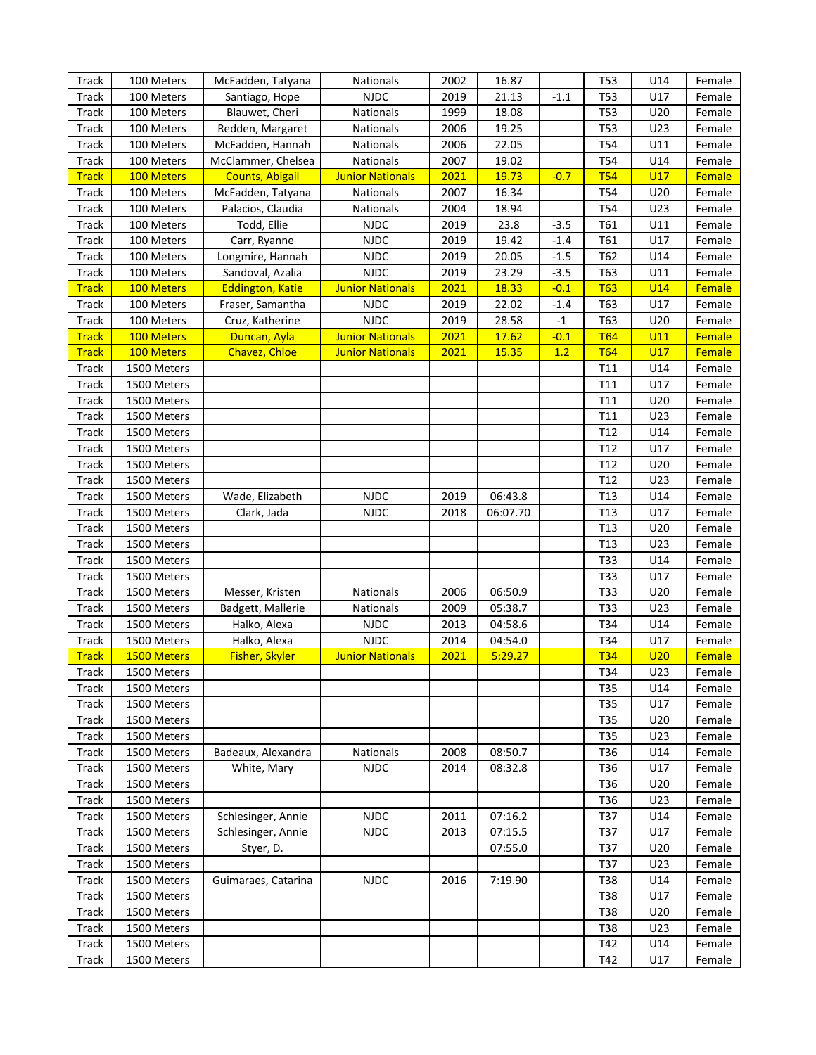| <b>Track</b> | 100 Meters  | McFadden, Tatyana       | <b>Nationals</b>        | 2002 | 16.87    |        | <b>T53</b>      | U14        | Female        |
|--------------|-------------|-------------------------|-------------------------|------|----------|--------|-----------------|------------|---------------|
| Track        | 100 Meters  | Santiago, Hope          | <b>NJDC</b>             | 2019 | 21.13    | $-1.1$ | <b>T53</b>      | U17        | Female        |
| Track        | 100 Meters  | Blauwet, Cheri          | Nationals               | 1999 | 18.08    |        | T53             | U20        | Female        |
| Track        | 100 Meters  | Redden, Margaret        | Nationals               | 2006 | 19.25    |        | T53             | U23        | Female        |
| Track        | 100 Meters  | McFadden, Hannah        | Nationals               | 2006 | 22.05    |        | T54             | U11        | Female        |
| Track        | 100 Meters  | McClammer, Chelsea      | Nationals               | 2007 | 19.02    |        | T <sub>54</sub> | U14        | Female        |
| <b>Track</b> | 100 Meters  | <b>Counts, Abigail</b>  | <b>Junior Nationals</b> | 2021 | 19.73    | $-0.7$ | <b>T54</b>      | U17        | Female        |
| Track        | 100 Meters  | McFadden, Tatyana       | Nationals               | 2007 | 16.34    |        | T <sub>54</sub> | U20        | Female        |
| Track        | 100 Meters  | Palacios, Claudia       | Nationals               | 2004 | 18.94    |        | T <sub>54</sub> | U23        | Female        |
| Track        | 100 Meters  | Todd, Ellie             | <b>NJDC</b>             | 2019 | 23.8     | $-3.5$ | T61             | U11        | Female        |
| Track        | 100 Meters  | Carr, Ryanne            | <b>NJDC</b>             | 2019 | 19.42    | $-1.4$ | T61             | U17        | Female        |
| Track        | 100 Meters  | Longmire, Hannah        | <b>NJDC</b>             | 2019 | 20.05    | $-1.5$ | T62             | U14        | Female        |
| Track        | 100 Meters  | Sandoval, Azalia        | <b>NJDC</b>             | 2019 | 23.29    | $-3.5$ | T63             | U11        | Female        |
| <b>Track</b> | 100 Meters  | <b>Eddington, Katie</b> | <b>Junior Nationals</b> | 2021 | 18.33    | $-0.1$ | <b>T63</b>      | <b>U14</b> | <b>Female</b> |
| Track        | 100 Meters  | Fraser, Samantha        | <b>NJDC</b>             | 2019 | 22.02    | $-1.4$ | T63             | U17        | Female        |
| Track        | 100 Meters  | Cruz, Katherine         | <b>NJDC</b>             | 2019 | 28.58    | $-1$   | T63             | U20        | Female        |
| <b>Track</b> | 100 Meters  | Duncan, Ayla            | <b>Junior Nationals</b> | 2021 | 17.62    | $-0.1$ | <b>T64</b>      | U11        | <b>Female</b> |
| <b>Track</b> | 100 Meters  | Chavez, Chloe           | <b>Junior Nationals</b> | 2021 | 15.35    | 1.2    | <b>T64</b>      | <b>U17</b> | <b>Female</b> |
| Track        | 1500 Meters |                         |                         |      |          |        | T <sub>11</sub> | U14        | Female        |
| Track        | 1500 Meters |                         |                         |      |          |        | T <sub>11</sub> | U17        | Female        |
| Track        | 1500 Meters |                         |                         |      |          |        | T <sub>11</sub> | U20        | Female        |
| Track        | 1500 Meters |                         |                         |      |          |        | T11             | U23        | Female        |
| Track        | 1500 Meters |                         |                         |      |          |        | T <sub>12</sub> | U14        | Female        |
| Track        | 1500 Meters |                         |                         |      |          |        | T <sub>12</sub> | U17        | Female        |
| Track        | 1500 Meters |                         |                         |      |          |        | T <sub>12</sub> | U20        | Female        |
| Track        | 1500 Meters |                         |                         |      |          |        | T <sub>12</sub> | U23        | Female        |
| Track        | 1500 Meters | Wade, Elizabeth         | <b>NJDC</b>             | 2019 | 06:43.8  |        | T <sub>13</sub> | U14        | Female        |
| Track        | 1500 Meters | Clark, Jada             | <b>NJDC</b>             | 2018 | 06:07.70 |        | T <sub>13</sub> | U17        | Female        |
| Track        | 1500 Meters |                         |                         |      |          |        | T <sub>13</sub> | U20        | Female        |
| Track        | 1500 Meters |                         |                         |      |          |        | T <sub>13</sub> | U23        | Female        |
| Track        | 1500 Meters |                         |                         |      |          |        | T33             | U14        | Female        |
| Track        | 1500 Meters |                         |                         |      |          |        | T33             | U17        | Female        |
| Track        | 1500 Meters | Messer, Kristen         | Nationals               | 2006 | 06:50.9  |        | T33             | U20        | Female        |
| Track        | 1500 Meters | Badgett, Mallerie       | Nationals               | 2009 | 05:38.7  |        | T33             | U23        | Female        |
| Track        | 1500 Meters | Halko, Alexa            | <b>NJDC</b>             | 2013 | 04:58.6  |        | T34             | U14        | Female        |
| Track        | 1500 Meters | Halko, Alexa            | <b>NJDC</b>             | 2014 | 04:54.0  |        | T34             | U17        | Female        |
| <b>Track</b> | 1500 Meters | <b>Fisher, Skyler</b>   | <b>Junior Nationals</b> | 2021 | 5:29.27  |        | <b>T34</b>      | U20        | <b>Female</b> |
| Track        | 1500 Meters |                         |                         |      |          |        | T34             | U23        | Female        |
| Track        | 1500 Meters |                         |                         |      |          |        | T35             | U14        | Female        |
| Track        | 1500 Meters |                         |                         |      |          |        | T35             | U17        | Female        |
| Track        | 1500 Meters |                         |                         |      |          |        | T35             | U20        | Female        |
| Track        | 1500 Meters |                         |                         |      |          |        | T35             | U23        | Female        |
| Track        | 1500 Meters | Badeaux, Alexandra      | <b>Nationals</b>        | 2008 | 08:50.7  |        | T36             | U14        | Female        |
| Track        | 1500 Meters | White, Mary             | <b>NJDC</b>             | 2014 | 08:32.8  |        | T36             | U17        | Female        |
| Track        | 1500 Meters |                         |                         |      |          |        | T36             | U20        | Female        |
| Track        | 1500 Meters |                         |                         |      |          |        | T36             | U23        | Female        |
| Track        | 1500 Meters | Schlesinger, Annie      | <b>NJDC</b>             | 2011 | 07:16.2  |        | T37             | U14        | Female        |
| Track        | 1500 Meters | Schlesinger, Annie      | <b>NJDC</b>             | 2013 | 07:15.5  |        | T37             | U17        | Female        |
| Track        | 1500 Meters | Styer, D.               |                         |      | 07:55.0  |        | T37             | U20        | Female        |
| Track        | 1500 Meters |                         |                         |      |          |        | T37             | U23        | Female        |
| Track        | 1500 Meters | Guimaraes, Catarina     | <b>NJDC</b>             | 2016 | 7:19.90  |        | T38             | U14        | Female        |
| Track        | 1500 Meters |                         |                         |      |          |        | T38             | U17        | Female        |
| Track        | 1500 Meters |                         |                         |      |          |        | T38             | U20        | Female        |
| Track        | 1500 Meters |                         |                         |      |          |        | T38             | U23        | Female        |
| Track        | 1500 Meters |                         |                         |      |          |        | T42             | U14        | Female        |
| Track        | 1500 Meters |                         |                         |      |          |        | T42             | U17        | Female        |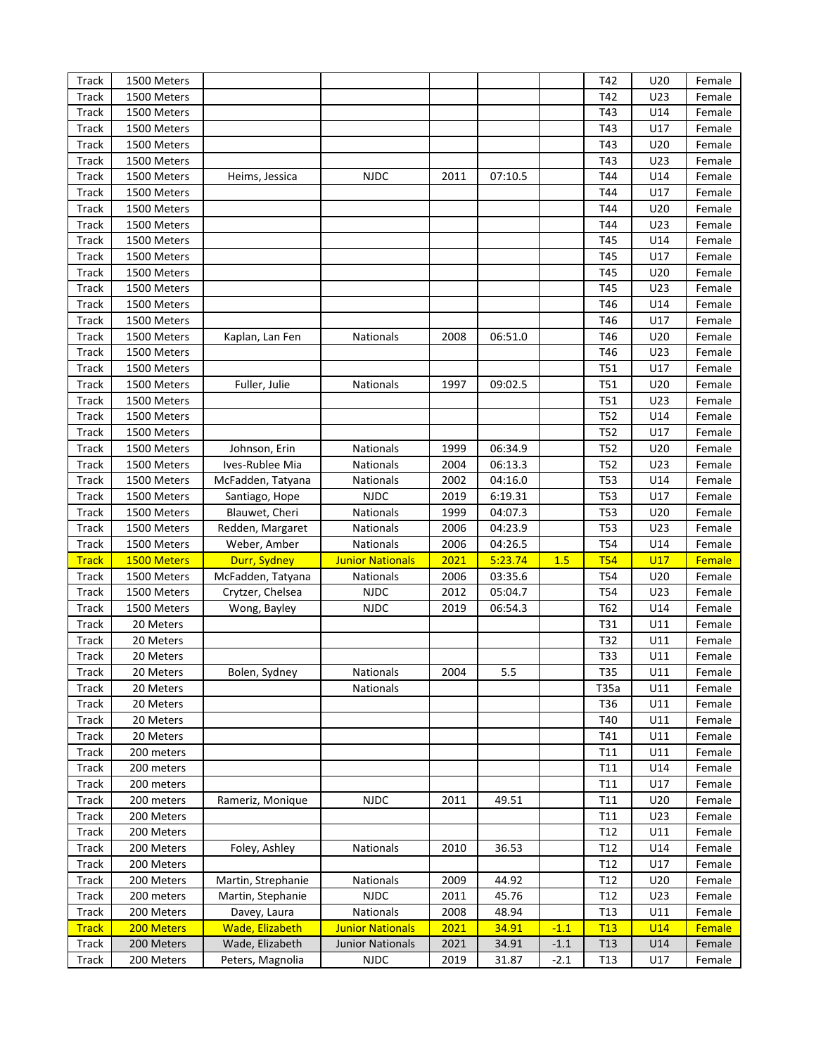| <b>Track</b>   | 1500 Meters              |                                           |                                                    |              |                |                  | T42             | U20               | Female           |
|----------------|--------------------------|-------------------------------------------|----------------------------------------------------|--------------|----------------|------------------|-----------------|-------------------|------------------|
| Track          | 1500 Meters              |                                           |                                                    |              |                |                  | T42             | U23               | Female           |
| <b>Track</b>   | 1500 Meters              |                                           |                                                    |              |                |                  | T43             | U14               | Female           |
| Track          | 1500 Meters              |                                           |                                                    |              |                |                  | T43             | U17               | Female           |
| <b>Track</b>   | 1500 Meters              |                                           |                                                    |              |                |                  | T43             | U20               | Female           |
| <b>Track</b>   | 1500 Meters              |                                           |                                                    |              |                |                  | T43             | U23               | Female           |
| Track          | 1500 Meters              | Heims, Jessica                            | <b>NJDC</b>                                        | 2011         | 07:10.5        |                  | T44             | U14               | Female           |
| Track          | 1500 Meters              |                                           |                                                    |              |                |                  | T44             | U17               | Female           |
| <b>Track</b>   | 1500 Meters              |                                           |                                                    |              |                |                  | T44             | U20               | Female           |
| Track          | 1500 Meters              |                                           |                                                    |              |                |                  | T44             | U23               | Female           |
| <b>Track</b>   | 1500 Meters              |                                           |                                                    |              |                |                  | T45             | U14               | Female           |
| <b>Track</b>   | 1500 Meters              |                                           |                                                    |              |                |                  | T45             | U17               | Female           |
| <b>Track</b>   | 1500 Meters              |                                           |                                                    |              |                |                  | T45             | U20               | Female           |
| <b>Track</b>   | 1500 Meters              |                                           |                                                    |              |                |                  | T45             | U23               | Female           |
| Track          | 1500 Meters              |                                           |                                                    |              |                |                  | T46             | U14               | Female           |
| <b>Track</b>   | 1500 Meters              |                                           |                                                    |              |                |                  | T46             | U17               | Female           |
| <b>Track</b>   | 1500 Meters              | Kaplan, Lan Fen                           | Nationals                                          | 2008         | 06:51.0        |                  | T46             | U20               | Female           |
| <b>Track</b>   | 1500 Meters              |                                           |                                                    |              |                |                  | T46             | U23               | Female           |
|                | 1500 Meters              |                                           |                                                    |              |                |                  | <b>T51</b>      | U17               |                  |
| <b>Track</b>   |                          |                                           |                                                    |              |                |                  |                 |                   | Female           |
| Track          | 1500 Meters              | Fuller, Julie                             | Nationals                                          | 1997         | 09:02.5        |                  | <b>T51</b>      | U20               | Female           |
| Track          | 1500 Meters              |                                           |                                                    |              |                |                  | <b>T51</b>      | U23               | Female           |
| <b>Track</b>   | 1500 Meters              |                                           |                                                    |              |                |                  | <b>T52</b>      | U14               | Female           |
| Track          | 1500 Meters              |                                           |                                                    |              |                |                  | <b>T52</b>      | U17               | Female           |
| Track          | 1500 Meters              | Johnson, Erin                             | Nationals                                          | 1999         | 06:34.9        |                  | <b>T52</b>      | U20               | Female           |
| <b>Track</b>   | 1500 Meters              | Ives-Rublee Mia                           | <b>Nationals</b>                                   | 2004         | 06:13.3        |                  | <b>T52</b>      | U23               | Female           |
| Track          | 1500 Meters              | McFadden, Tatyana                         | Nationals                                          | 2002         | 04:16.0        |                  | <b>T53</b>      | U14               | Female           |
| Track          | 1500 Meters              | Santiago, Hope                            | <b>NJDC</b>                                        | 2019         | 6:19.31        |                  | <b>T53</b>      | U17               | Female           |
| <b>Track</b>   | 1500 Meters              | Blauwet, Cheri                            | Nationals                                          | 1999         | 04:07.3        |                  | <b>T53</b>      | U20               | Female           |
| Track          | 1500 Meters              | Redden, Margaret                          | Nationals                                          | 2006         | 04:23.9        |                  | <b>T53</b>      | U23               | Female           |
| Track          | 1500 Meters              | Weber, Amber                              | Nationals                                          | 2006         | 04:26.5        |                  | <b>T54</b>      | U14               | Female           |
| <b>Track</b>   | 1500 Meters              | Durr, Sydney                              | <b>Junior Nationals</b>                            | 2021         | 5:23.74        | 1.5              | <b>T54</b>      | U17               | Female           |
| Track          | 1500 Meters              | McFadden, Tatyana                         | Nationals                                          | 2006         | 03:35.6        |                  | <b>T54</b>      | U20               | Female           |
| Track          | 1500 Meters              | Crytzer, Chelsea                          | <b>NJDC</b>                                        | 2012         | 05:04.7        |                  | <b>T54</b>      | U23               | Female           |
| Track          | 1500 Meters              | Wong, Bayley                              | <b>NJDC</b>                                        | 2019         | 06:54.3        |                  | T62             | U14               | Female           |
| Track          | 20 Meters                |                                           |                                                    |              |                |                  | T31             | U11               | Female           |
| Track          | 20 Meters                |                                           |                                                    |              |                |                  | T32             | U11               | Female           |
| Track          | 20 Meters                |                                           |                                                    |              |                |                  | T33             | U11               | Female           |
| <b>Track</b>   | 20 Meters                | Bolen, Sydney                             | Nationals                                          | 2004         | 5.5            |                  | T35             | U11               | Female           |
| Track          | 20 Meters                |                                           | Nationals                                          |              |                |                  | T35a            | U11               | Female           |
| Track          | 20 Meters                |                                           |                                                    |              |                |                  |                 |                   |                  |
| Track          |                          |                                           |                                                    |              |                |                  | T36             | U11               | Female           |
|                | 20 Meters                |                                           |                                                    |              |                |                  | T40             | U11               | Female           |
| Track          | 20 Meters                |                                           |                                                    |              |                |                  | T41             | U11               | Female           |
| Track          | 200 meters               |                                           |                                                    |              |                |                  | T11             | U11               | Female           |
| Track          | 200 meters               |                                           |                                                    |              |                |                  | T11             | U14               | Female           |
| Track          | 200 meters               |                                           |                                                    |              |                |                  | T11             | U17               | Female           |
| Track          | 200 meters               | Rameriz, Monique                          | <b>NJDC</b>                                        | 2011         | 49.51          |                  | T11             | U20               | Female           |
| Track          | 200 Meters               |                                           |                                                    |              |                |                  | T11             | U23               | Female           |
| Track          | 200 Meters               |                                           |                                                    |              |                |                  | T12             | U11               | Female           |
| Track          | 200 Meters               | Foley, Ashley                             | Nationals                                          | 2010         | 36.53          |                  | T12             | U14               | Female           |
| Track          | 200 Meters               |                                           |                                                    |              |                |                  | T12             | U17               | Female           |
|                | 200 Meters               | Martin, Strephanie                        | Nationals                                          | 2009         | 44.92          |                  | T12             | U20               | Female           |
| Track          | 200 meters               |                                           | <b>NJDC</b>                                        |              | 45.76          |                  | T12             | U23               | Female           |
| Track          |                          | Martin, Stephanie                         |                                                    | 2011         |                |                  | T <sub>13</sub> |                   | Female           |
| Track          | 200 Meters               | Davey, Laura                              | Nationals                                          | 2008         | 48.94          |                  |                 | U11<br><b>U14</b> | Female           |
| <b>Track</b>   | 200 Meters<br>200 Meters | <b>Wade, Elizabeth</b><br>Wade, Elizabeth | <b>Junior Nationals</b><br><b>Junior Nationals</b> | 2021         | 34.91          | $-1.1$<br>$-1.1$ | T13<br>T13      | U14               |                  |
| Track<br>Track | 200 Meters               | Peters, Magnolia                          | <b>NJDC</b>                                        | 2021<br>2019 | 34.91<br>31.87 | $-2.1$           | T <sub>13</sub> | U17               | Female<br>Female |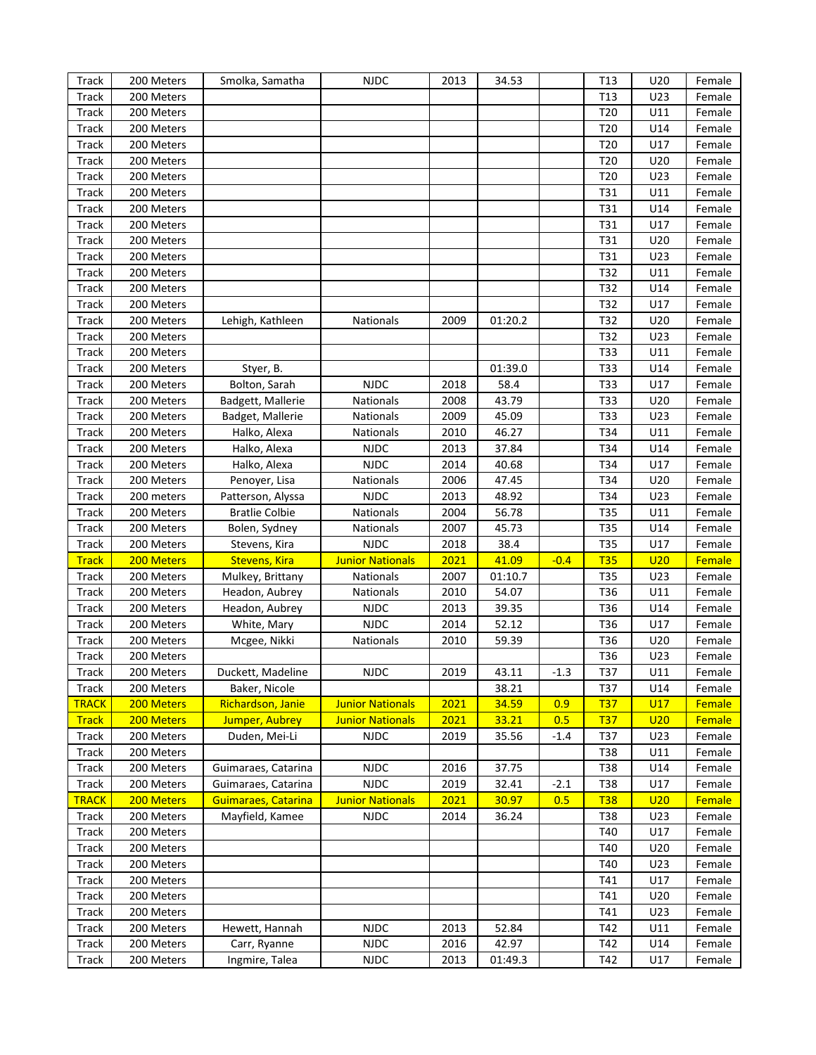| <b>Track</b> | 200 Meters | Smolka, Samatha       | <b>NJDC</b>             | 2013 | 34.53   |        | T <sub>13</sub> | U20 | Female        |
|--------------|------------|-----------------------|-------------------------|------|---------|--------|-----------------|-----|---------------|
| <b>Track</b> | 200 Meters |                       |                         |      |         |        | T <sub>13</sub> | U23 | Female        |
| <b>Track</b> | 200 Meters |                       |                         |      |         |        | T20             | U11 | Female        |
| <b>Track</b> | 200 Meters |                       |                         |      |         |        | T20             | U14 | Female        |
| <b>Track</b> | 200 Meters |                       |                         |      |         |        | T20             | U17 | Female        |
| <b>Track</b> | 200 Meters |                       |                         |      |         |        | T20             | U20 | Female        |
| <b>Track</b> | 200 Meters |                       |                         |      |         |        | T20             | U23 | Female        |
| <b>Track</b> | 200 Meters |                       |                         |      |         |        | T31             | U11 | Female        |
| <b>Track</b> | 200 Meters |                       |                         |      |         |        | T31             | U14 | Female        |
| <b>Track</b> | 200 Meters |                       |                         |      |         |        | T31             | U17 | Female        |
| <b>Track</b> | 200 Meters |                       |                         |      |         |        | T31             | U20 | Female        |
| <b>Track</b> | 200 Meters |                       |                         |      |         |        | T31             | U23 | Female        |
| <b>Track</b> | 200 Meters |                       |                         |      |         |        | T32             | U11 | Female        |
| <b>Track</b> | 200 Meters |                       |                         |      |         |        | T32             | U14 | Female        |
| <b>Track</b> | 200 Meters |                       |                         |      |         |        | T32             | U17 | Female        |
| <b>Track</b> | 200 Meters | Lehigh, Kathleen      | Nationals               | 2009 | 01:20.2 |        | T32             | U20 | Female        |
| <b>Track</b> | 200 Meters |                       |                         |      |         |        | T32             | U23 | Female        |
|              |            |                       |                         |      |         |        | T33             | U11 |               |
| <b>Track</b> | 200 Meters |                       |                         |      |         |        |                 |     | Female        |
| <b>Track</b> | 200 Meters | Styer, B.             |                         |      | 01:39.0 |        | <b>T33</b>      | U14 | Female        |
| <b>Track</b> | 200 Meters | Bolton, Sarah         | <b>NJDC</b>             | 2018 | 58.4    |        | <b>T33</b>      | U17 | Female        |
| <b>Track</b> | 200 Meters | Badgett, Mallerie     | Nationals               | 2008 | 43.79   |        | T33             | U20 | Female        |
| <b>Track</b> | 200 Meters | Badget, Mallerie      | Nationals               | 2009 | 45.09   |        | <b>T33</b>      | U23 | Female        |
| <b>Track</b> | 200 Meters | Halko, Alexa          | Nationals               | 2010 | 46.27   |        | T34             | U11 | Female        |
| <b>Track</b> | 200 Meters | Halko, Alexa          | <b>NJDC</b>             | 2013 | 37.84   |        | T34             | U14 | Female        |
| <b>Track</b> | 200 Meters | Halko, Alexa          | <b>NJDC</b>             | 2014 | 40.68   |        | T34             | U17 | Female        |
| <b>Track</b> | 200 Meters | Penoyer, Lisa         | Nationals               | 2006 | 47.45   |        | T34             | U20 | Female        |
| <b>Track</b> | 200 meters | Patterson, Alyssa     | <b>NJDC</b>             | 2013 | 48.92   |        | T34             | U23 | Female        |
| <b>Track</b> | 200 Meters | <b>Bratlie Colbie</b> | Nationals               | 2004 | 56.78   |        | <b>T35</b>      | U11 | Female        |
| <b>Track</b> | 200 Meters | Bolen, Sydney         | Nationals               | 2007 | 45.73   |        | <b>T35</b>      | U14 | Female        |
| <b>Track</b> | 200 Meters | Stevens, Kira         | <b>NJDC</b>             | 2018 | 38.4    |        | <b>T35</b>      | U17 | Female        |
| <b>Track</b> | 200 Meters | <b>Stevens, Kira</b>  | <b>Junior Nationals</b> | 2021 | 41.09   | $-0.4$ | <b>T35</b>      | U20 | Female        |
| Track        | 200 Meters | Mulkey, Brittany      | Nationals               | 2007 | 01:10.7 |        | <b>T35</b>      | U23 | Female        |
| Track        | 200 Meters | Headon, Aubrey        | Nationals               | 2010 | 54.07   |        | T36             | U11 | Female        |
| Track        | 200 Meters | Headon, Aubrey        | <b>NJDC</b>             | 2013 | 39.35   |        | T36             | U14 | Female        |
| Track        | 200 Meters | White, Mary           | <b>NJDC</b>             | 2014 | 52.12   |        | T36             | U17 | Female        |
| <b>Track</b> | 200 Meters | Mcgee, Nikki          | Nationals               | 2010 | 59.39   |        | T36             | U20 | Female        |
| Track        | 200 Meters |                       |                         |      |         |        | T36             | U23 | Female        |
| <b>Track</b> | 200 Meters | Duckett, Madeline     | <b>NJDC</b>             | 2019 | 43.11   | $-1.3$ | T37             | U11 | Female        |
| Track        | 200 Meters | Baker, Nicole         |                         |      | 38.21   |        | T37             | U14 | Female        |
| <b>TRACK</b> | 200 Meters | Richardson, Janie     | <b>Junior Nationals</b> | 2021 | 34.59   | 0.9    | <u>T37</u>      | U17 | Female        |
| <b>Track</b> | 200 Meters | Jumper, Aubrey        | <b>Junior Nationals</b> | 2021 | 33.21   | 0.5    | <b>T37</b>      | U20 | <b>Female</b> |
| Track        | 200 Meters | Duden, Mei-Li         | <b>NJDC</b>             | 2019 | 35.56   | $-1.4$ | T37             | U23 | Female        |
| Track        | 200 Meters |                       |                         |      |         |        | T38             | U11 | Female        |
| Track        | 200 Meters | Guimaraes, Catarina   | <b>NJDC</b>             | 2016 | 37.75   |        | T38             | U14 | Female        |
| Track        | 200 Meters | Guimaraes, Catarina   | <b>NJDC</b>             | 2019 | 32.41   | $-2.1$ | T38             | U17 | Female        |
| <b>TRACK</b> | 200 Meters | Guimaraes, Catarina   | <b>Junior Nationals</b> | 2021 | 30.97   | 0.5    | <b>T38</b>      | U20 | Female        |
| Track        | 200 Meters | Mayfield, Kamee       | <b>NJDC</b>             | 2014 | 36.24   |        | T38             | U23 | Female        |
| Track        | 200 Meters |                       |                         |      |         |        | T40             | U17 | Female        |
| Track        | 200 Meters |                       |                         |      |         |        | T40             | U20 | Female        |
| Track        | 200 Meters |                       |                         |      |         |        | T40             | U23 | Female        |
| Track        | 200 Meters |                       |                         |      |         |        | T41             | U17 | Female        |
| Track        | 200 Meters |                       |                         |      |         |        | T41             | U20 | Female        |
| Track        | 200 Meters |                       |                         |      |         |        | T41             | U23 | Female        |
| Track        | 200 Meters | Hewett, Hannah        | <b>NJDC</b>             | 2013 | 52.84   |        | T42             | U11 | Female        |
| Track        | 200 Meters | Carr, Ryanne          | <b>NJDC</b>             | 2016 | 42.97   |        | T42             | U14 | Female        |
| Track        | 200 Meters | Ingmire, Talea        | NJDC                    | 2013 | 01:49.3 |        | T42             | U17 | Female        |
|              |            |                       |                         |      |         |        |                 |     |               |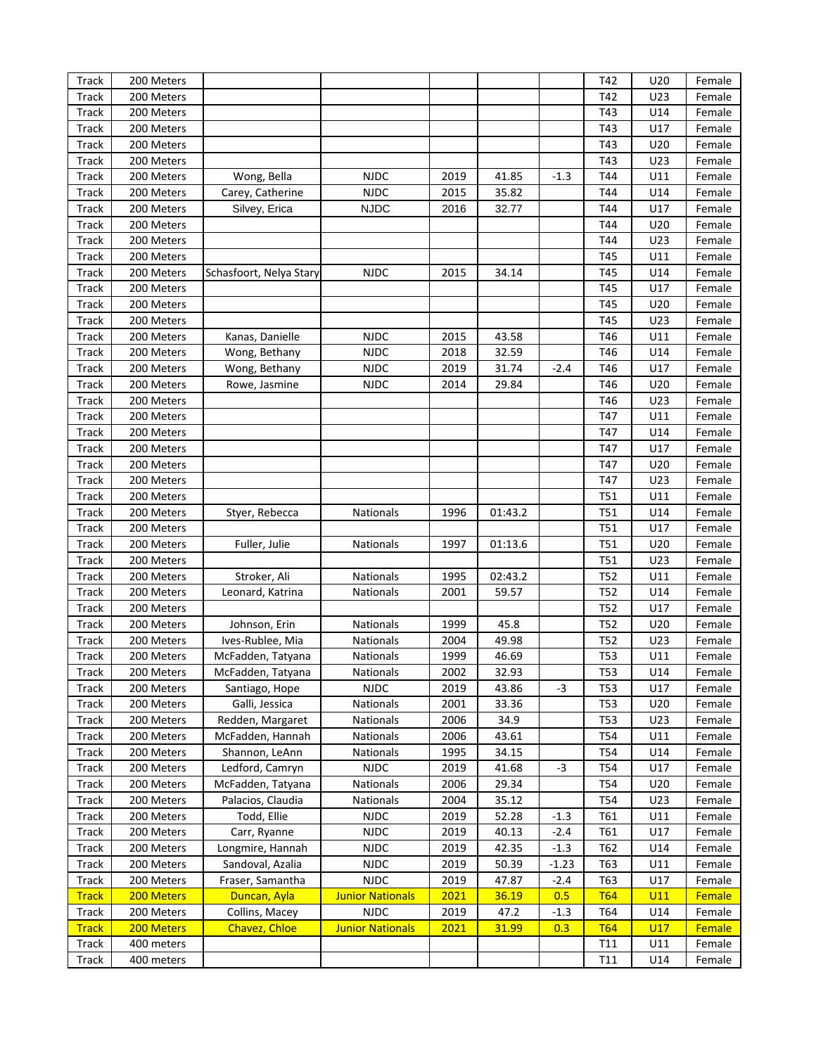| Track        | 200 Meters |                         |                         |      |         |         | T42        | U20 | Female        |
|--------------|------------|-------------------------|-------------------------|------|---------|---------|------------|-----|---------------|
| Track        | 200 Meters |                         |                         |      |         |         | T42        | U23 | Female        |
| <b>Track</b> | 200 Meters |                         |                         |      |         |         | T43        | U14 | Female        |
| Track        | 200 Meters |                         |                         |      |         |         | T43        | U17 | Female        |
| Track        | 200 Meters |                         |                         |      |         |         | T43        | U20 | Female        |
| Track        | 200 Meters |                         |                         |      |         |         | T43        | U23 | Female        |
| Track        | 200 Meters | Wong, Bella             | <b>NJDC</b>             | 2019 | 41.85   | $-1.3$  | T44        | U11 | Female        |
| Track        | 200 Meters | Carey, Catherine        | <b>NJDC</b>             | 2015 | 35.82   |         | T44        | U14 | Female        |
| Track        | 200 Meters | Silvey, Erica           | <b>NJDC</b>             | 2016 | 32.77   |         | T44        | U17 | Female        |
| Track        | 200 Meters |                         |                         |      |         |         | T44        | U20 | Female        |
| Track        | 200 Meters |                         |                         |      |         |         | T44        | U23 | Female        |
| Track        | 200 Meters |                         |                         |      |         |         | T45        | U11 | Female        |
| Track        | 200 Meters | Schasfoort, Nelya Stary | <b>NJDC</b>             | 2015 | 34.14   |         | T45        | U14 | Female        |
| Track        | 200 Meters |                         |                         |      |         |         | T45        | U17 | Female        |
| Track        | 200 Meters |                         |                         |      |         |         | T45        | U20 | Female        |
| Track        | 200 Meters |                         |                         |      |         |         | T45        | U23 | Female        |
| Track        | 200 Meters | Kanas, Danielle         | <b>NJDC</b>             | 2015 | 43.58   |         | T46        | U11 | Female        |
| Track        | 200 Meters | Wong, Bethany           | <b>NJDC</b>             | 2018 | 32.59   |         | T46        | U14 | Female        |
| Track        | 200 Meters | Wong, Bethany           | <b>NJDC</b>             | 2019 | 31.74   | $-2.4$  | T46        | U17 | Female        |
| Track        | 200 Meters | Rowe, Jasmine           | <b>NJDC</b>             | 2014 | 29.84   |         | T46        | U20 | Female        |
| Track        | 200 Meters |                         |                         |      |         |         | T46        | U23 | Female        |
| Track        | 200 Meters |                         |                         |      |         |         | T47        | U11 | Female        |
| Track        | 200 Meters |                         |                         |      |         |         | T47        | U14 | Female        |
| Track        | 200 Meters |                         |                         |      |         |         | T47        | U17 | Female        |
| Track        | 200 Meters |                         |                         |      |         |         | T47        | U20 | Female        |
| Track        | 200 Meters |                         |                         |      |         |         | T47        | U23 | Female        |
| Track        | 200 Meters |                         |                         |      |         |         | <b>T51</b> | U11 | Female        |
| Track        | 200 Meters | Styer, Rebecca          | Nationals               | 1996 | 01:43.2 |         | <b>T51</b> | U14 | Female        |
| Track        | 200 Meters |                         |                         |      |         |         | <b>T51</b> | U17 | Female        |
| Track        | 200 Meters | Fuller, Julie           | Nationals               | 1997 | 01:13.6 |         | <b>T51</b> | U20 | Female        |
| Track        | 200 Meters |                         |                         |      |         |         | <b>T51</b> | U23 | Female        |
| Track        | 200 Meters | Stroker, Ali            | Nationals               | 1995 | 02:43.2 |         | <b>T52</b> | U11 | Female        |
| Track        | 200 Meters | Leonard, Katrina        | Nationals               | 2001 | 59.57   |         | T52        | U14 | Female        |
| Track        | 200 Meters |                         |                         |      |         |         | <b>T52</b> | U17 | Female        |
| Track        | 200 Meters | Johnson, Erin           | Nationals               | 1999 | 45.8    |         | <b>T52</b> | U20 | Female        |
| <b>Track</b> | 200 Meters | Ives-Rublee, Mia        | Nationals               | 2004 | 49.98   |         | <b>T52</b> | U23 | Female        |
| Track        | 200 Meters | McFadden, Tatyana       | <b>Nationals</b>        | 1999 | 46.69   |         | <b>T53</b> | U11 | Female        |
| <b>Track</b> | 200 Meters | McFadden, Tatyana       | Nationals               | 2002 | 32.93   |         | <b>T53</b> | U14 | Female        |
| Track        | 200 Meters | Santiago, Hope          | <b>NJDC</b>             | 2019 | 43.86   | $-3$    | T53        | U17 | Female        |
| Track        | 200 Meters | Galli, Jessica          | Nationals               | 2001 | 33.36   |         | T53        | U20 | Female        |
| Track        | 200 Meters | Redden, Margaret        | Nationals               | 2006 | 34.9    |         | T53        | U23 | Female        |
| Track        | 200 Meters | McFadden, Hannah        | Nationals               | 2006 | 43.61   |         | T54        | U11 | Female        |
| Track        | 200 Meters | Shannon, LeAnn          | Nationals               | 1995 | 34.15   |         | T54        | U14 | Female        |
| Track        | 200 Meters | Ledford, Camryn         | <b>NJDC</b>             | 2019 | 41.68   | $-3$    | T54        | U17 | Female        |
| Track        | 200 Meters | McFadden, Tatyana       | Nationals               | 2006 | 29.34   |         | T54        | U20 | Female        |
| Track        | 200 Meters | Palacios, Claudia       | Nationals               | 2004 | 35.12   |         | T54        | U23 | Female        |
| Track        | 200 Meters | Todd, Ellie             | <b>NJDC</b>             | 2019 | 52.28   | $-1.3$  | T61        | U11 | Female        |
| Track        | 200 Meters | Carr, Ryanne            | <b>NJDC</b>             | 2019 | 40.13   | $-2.4$  | <b>T61</b> | U17 | Female        |
| Track        | 200 Meters | Longmire, Hannah        | <b>NJDC</b>             | 2019 | 42.35   | $-1.3$  | T62        | U14 | Female        |
| Track        | 200 Meters | Sandoval, Azalia        | <b>NJDC</b>             | 2019 | 50.39   | $-1.23$ | T63        | U11 | Female        |
| Track        | 200 Meters | Fraser, Samantha        | <b>NJDC</b>             | 2019 | 47.87   | $-2.4$  | T63        | U17 | Female        |
| <b>Track</b> | 200 Meters | Duncan, Ayla            | <b>Junior Nationals</b> | 2021 | 36.19   | 0.5     | <b>T64</b> | U11 | <b>Female</b> |
| Track        | 200 Meters | Collins, Macey          | <b>NJDC</b>             | 2019 | 47.2    | $-1.3$  | T64        | U14 | Female        |
| <b>Track</b> | 200 Meters | Chavez, Chloe           | <b>Junior Nationals</b> | 2021 | 31.99   | 0.3     | <b>T64</b> | U17 | <b>Female</b> |
| Track        | 400 meters |                         |                         |      |         |         | T11        | U11 | Female        |
| Track        | 400 meters |                         |                         |      |         |         | T11        | U14 | Female        |
|              |            |                         |                         |      |         |         |            |     |               |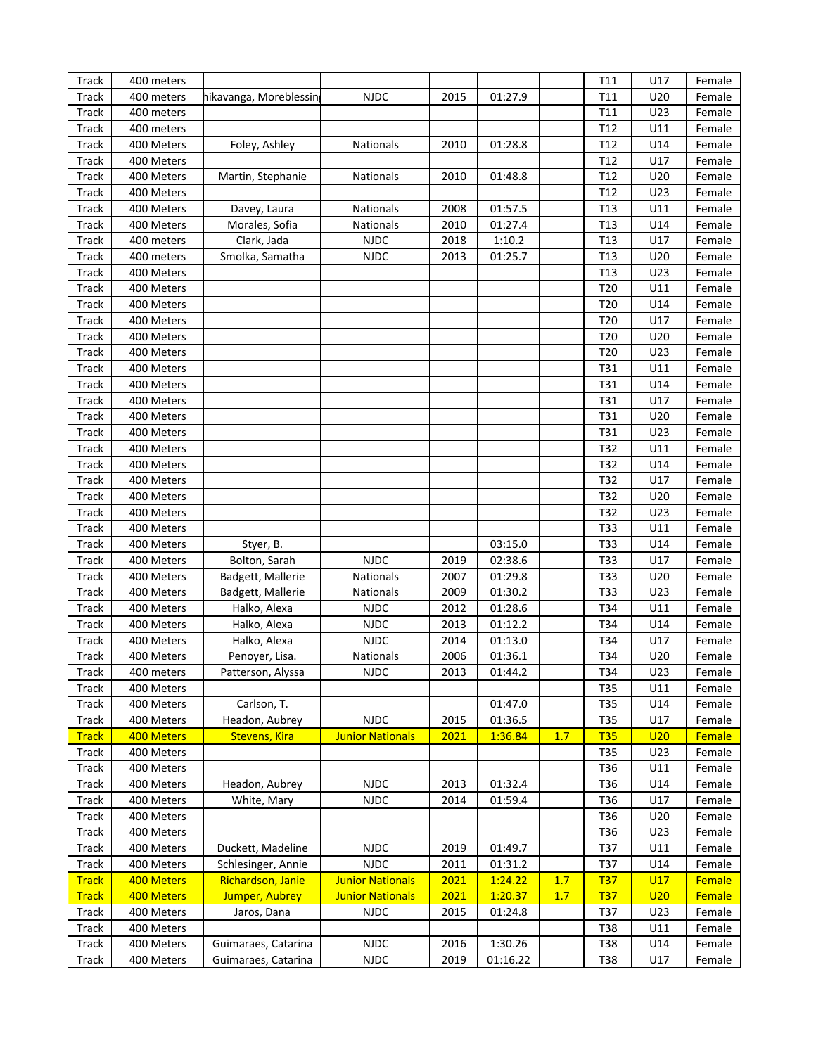| Track        | 400 meters |                        |                         |      |          |     | T11             | U17 | Female |
|--------------|------------|------------------------|-------------------------|------|----------|-----|-----------------|-----|--------|
| <b>Track</b> | 400 meters | hikavanga, Moreblessin | <b>NJDC</b>             | 2015 | 01:27.9  |     | T <sub>11</sub> | U20 | Female |
| <b>Track</b> | 400 meters |                        |                         |      |          |     | T <sub>11</sub> | U23 | Female |
| <b>Track</b> | 400 meters |                        |                         |      |          |     | T <sub>12</sub> | U11 | Female |
| <b>Track</b> | 400 Meters | Foley, Ashley          | Nationals               | 2010 | 01:28.8  |     | T <sub>12</sub> | U14 | Female |
| <b>Track</b> | 400 Meters |                        |                         |      |          |     | T <sub>12</sub> | U17 | Female |
| <b>Track</b> | 400 Meters | Martin, Stephanie      | Nationals               | 2010 | 01:48.8  |     | T <sub>12</sub> | U20 | Female |
| <b>Track</b> | 400 Meters |                        |                         |      |          |     | T <sub>12</sub> | U23 | Female |
| <b>Track</b> | 400 Meters | Davey, Laura           | Nationals               | 2008 | 01:57.5  |     | T13             | U11 | Female |
| <b>Track</b> | 400 Meters | Morales, Sofia         | Nationals               | 2010 | 01:27.4  |     | T <sub>13</sub> | U14 | Female |
| <b>Track</b> | 400 meters | Clark, Jada            | <b>NJDC</b>             | 2018 | 1:10.2   |     | T13             | U17 | Female |
| <b>Track</b> | 400 meters | Smolka, Samatha        | <b>NJDC</b>             | 2013 | 01:25.7  |     | T <sub>13</sub> | U20 | Female |
| <b>Track</b> | 400 Meters |                        |                         |      |          |     | T <sub>13</sub> | U23 | Female |
| <b>Track</b> | 400 Meters |                        |                         |      |          |     | T20             | U11 | Female |
| <b>Track</b> | 400 Meters |                        |                         |      |          |     | T20             | U14 | Female |
|              | 400 Meters |                        |                         |      |          |     | T20             | U17 | Female |
| <b>Track</b> | 400 Meters |                        |                         |      |          |     | T20             | U20 | Female |
| <b>Track</b> |            |                        |                         |      |          |     |                 |     |        |
| <b>Track</b> | 400 Meters |                        |                         |      |          |     | T20             | U23 | Female |
| <b>Track</b> | 400 Meters |                        |                         |      |          |     | T31             | U11 | Female |
| <b>Track</b> | 400 Meters |                        |                         |      |          |     | T31             | U14 | Female |
| Track        | 400 Meters |                        |                         |      |          |     | T31             | U17 | Female |
| Track        | 400 Meters |                        |                         |      |          |     | T31             | U20 | Female |
| Track        | 400 Meters |                        |                         |      |          |     | T31             | U23 | Female |
| Track        | 400 Meters |                        |                         |      |          |     | T32             | U11 | Female |
| Track        | 400 Meters |                        |                         |      |          |     | T32             | U14 | Female |
| Track        | 400 Meters |                        |                         |      |          |     | T32             | U17 | Female |
| Track        | 400 Meters |                        |                         |      |          |     | T32             | U20 | Female |
| Track        | 400 Meters |                        |                         |      |          |     | T32             | U23 | Female |
| Track        | 400 Meters |                        |                         |      |          |     | T33             | U11 | Female |
| Track        | 400 Meters | Styer, B.              |                         |      | 03:15.0  |     | T33             | U14 | Female |
| Track        | 400 Meters | Bolton, Sarah          | <b>NJDC</b>             | 2019 | 02:38.6  |     | T33             | U17 | Female |
| Track        | 400 Meters | Badgett, Mallerie      | Nationals               | 2007 | 01:29.8  |     | T33             | U20 | Female |
| Track        | 400 Meters | Badgett, Mallerie      | Nationals               | 2009 | 01:30.2  |     | T33             | U23 | Female |
| Track        | 400 Meters | Halko, Alexa           | <b>NJDC</b>             | 2012 | 01:28.6  |     | T34             | U11 | Female |
| Track        | 400 Meters | Halko, Alexa           | <b>NJDC</b>             | 2013 | 01:12.2  |     | T34             | U14 | Female |
| Track        | 400 Meters | Halko, Alexa           | <b>NJDC</b>             | 2014 | 01:13.0  |     | T34             | U17 | Female |
| <b>Track</b> | 400 Meters | Penoyer, Lisa.         | Nationals               | 2006 | 01:36.1  |     | T34             | U20 | Female |
| Track        | 400 meters | Patterson, Alyssa      | <b>NJDC</b>             | 2013 | 01:44.2  |     | T34             | U23 | Female |
| Track        | 400 Meters |                        |                         |      |          |     | T35             | U11 | Female |
| Track        | 400 Meters | Carlson, T.            |                         |      | 01:47.0  |     | T35             | U14 | Female |
| Track        | 400 Meters | Headon, Aubrey         | <b>NJDC</b>             | 2015 | 01:36.5  |     | T35             | U17 | Female |
| <b>Track</b> | 400 Meters | <b>Stevens, Kira</b>   | <b>Junior Nationals</b> | 2021 | 1:36.84  | 1.7 | <b>T35</b>      | U20 | Female |
| Track        | 400 Meters |                        |                         |      |          |     | T35             | U23 | Female |
| Track        | 400 Meters |                        |                         |      |          |     | T36             | U11 | Female |
| Track        | 400 Meters | Headon, Aubrey         | <b>NJDC</b>             | 2013 | 01:32.4  |     | T36             | U14 | Female |
| Track        | 400 Meters | White, Mary            | <b>NJDC</b>             | 2014 | 01:59.4  |     | T36             | U17 | Female |
| Track        | 400 Meters |                        |                         |      |          |     | T36             | U20 | Female |
| Track        | 400 Meters |                        |                         |      |          |     | T36             | U23 | Female |
| Track        | 400 Meters | Duckett, Madeline      | <b>NJDC</b>             | 2019 | 01:49.7  |     | T37             | U11 | Female |
| Track        | 400 Meters | Schlesinger, Annie     | <b>NJDC</b>             | 2011 | 01:31.2  |     | T37             | U14 | Female |
| <b>Track</b> | 400 Meters | Richardson, Janie      | <b>Junior Nationals</b> | 2021 | 1:24.22  | 1.7 | <u>T37</u>      | U17 | Female |
| <b>Track</b> | 400 Meters | Jumper, Aubrey         | <b>Junior Nationals</b> | 2021 | 1:20.37  | 1.7 | <b>T37</b>      | U20 | Female |
| Track        | 400 Meters | Jaros, Dana            | <b>NJDC</b>             | 2015 | 01:24.8  |     | T37             | U23 | Female |
| Track        | 400 Meters |                        |                         |      |          |     | <b>T38</b>      | U11 | Female |
| Track        | 400 Meters | Guimaraes, Catarina    | <b>NJDC</b>             | 2016 | 1:30.26  |     | <b>T38</b>      | U14 | Female |
| Track        | 400 Meters | Guimaraes, Catarina    | <b>NJDC</b>             | 2019 | 01:16.22 |     | T38             | U17 | Female |
|              |            |                        |                         |      |          |     |                 |     |        |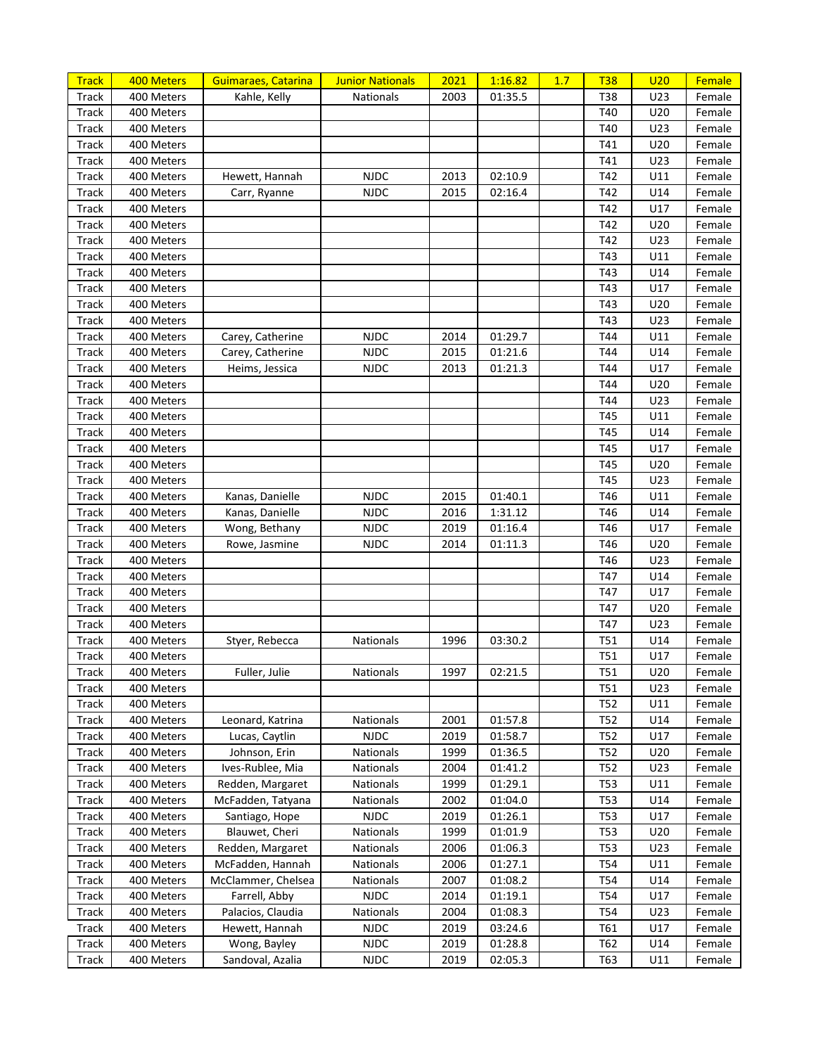| <b>Track</b> | 400 Meters | Guimaraes, Catarina | <b>Junior Nationals</b> | 2021 | 1:16.82 | 1.7 | <b>T38</b> | U <sub>20</sub> | Female |
|--------------|------------|---------------------|-------------------------|------|---------|-----|------------|-----------------|--------|
| Track        | 400 Meters | Kahle, Kelly        | Nationals               | 2003 | 01:35.5 |     | T38        | U23             | Female |
| <b>Track</b> | 400 Meters |                     |                         |      |         |     | T40        | U20             | Female |
| Track        | 400 Meters |                     |                         |      |         |     | T40        | U23             | Female |
| Track        | 400 Meters |                     |                         |      |         |     | T41        | U20             | Female |
| Track        | 400 Meters |                     |                         |      |         |     | T41        | U23             | Female |
| Track        | 400 Meters | Hewett, Hannah      | <b>NJDC</b>             | 2013 | 02:10.9 |     | T42        | U11             | Female |
| Track        | 400 Meters | Carr, Ryanne        | <b>NJDC</b>             | 2015 | 02:16.4 |     | T42        | U14             | Female |
| Track        | 400 Meters |                     |                         |      |         |     | T42        | U17             | Female |
| Track        | 400 Meters |                     |                         |      |         |     | T42        | U20             | Female |
| Track        | 400 Meters |                     |                         |      |         |     | T42        | U23             | Female |
| Track        | 400 Meters |                     |                         |      |         |     | T43        | U11             | Female |
| Track        | 400 Meters |                     |                         |      |         |     | T43        | U14             | Female |
| Track        | 400 Meters |                     |                         |      |         |     | T43        | U17             | Female |
| Track        | 400 Meters |                     |                         |      |         |     | T43        | U20             | Female |
| Track        | 400 Meters |                     |                         |      |         |     | T43        | U23             | Female |
| Track        | 400 Meters | Carey, Catherine    | <b>NJDC</b>             | 2014 | 01:29.7 |     | T44        | U11             | Female |
| Track        | 400 Meters | Carey, Catherine    | <b>NJDC</b>             | 2015 | 01:21.6 |     | T44        | U14             | Female |
| Track        | 400 Meters | Heims, Jessica      | <b>NJDC</b>             | 2013 | 01:21.3 |     | T44        | U17             | Female |
| Track        | 400 Meters |                     |                         |      |         |     | T44        | U20             | Female |
| Track        | 400 Meters |                     |                         |      |         |     | T44        | U23             | Female |
| Track        | 400 Meters |                     |                         |      |         |     | T45        | U11             | Female |
| Track        | 400 Meters |                     |                         |      |         |     | T45        | U14             | Female |
| Track        | 400 Meters |                     |                         |      |         |     | T45        | U17             | Female |
| Track        | 400 Meters |                     |                         |      |         |     | T45        | U20             | Female |
| Track        | 400 Meters |                     |                         |      |         |     | T45        | U23             | Female |
| Track        | 400 Meters | Kanas, Danielle     | <b>NJDC</b>             | 2015 | 01:40.1 |     | T46        | U11             | Female |
| Track        | 400 Meters | Kanas, Danielle     | <b>NJDC</b>             | 2016 | 1:31.12 |     | T46        | U14             | Female |
| Track        | 400 Meters | Wong, Bethany       | <b>NJDC</b>             | 2019 | 01:16.4 |     | T46        | U17             | Female |
| Track        | 400 Meters |                     | <b>NJDC</b>             | 2014 |         |     | T46        | U20             | Female |
| Track        | 400 Meters | Rowe, Jasmine       |                         |      | 01:11.3 |     | T46        | U23             | Female |
|              |            |                     |                         |      |         |     | T47        |                 |        |
| Track        | 400 Meters |                     |                         |      |         |     | T47        | U14<br>U17      | Female |
| Track        | 400 Meters |                     |                         |      |         |     | T47        |                 | Female |
| Track        | 400 Meters |                     |                         |      |         |     |            | U20             | Female |
| Track        | 400 Meters |                     |                         |      |         |     | T47        | U23             | Female |
| Track        | 400 Meters | Styer, Rebecca      | Nationals               | 1996 | 03:30.2 |     | T51        | U14             | Female |
| Track        | 400 Meters |                     |                         |      |         |     | T51        | U17             | Female |
| <b>Track</b> | 400 Meters | Fuller, Julie       | <b>Nationals</b>        | 1997 | 02:21.5 |     | <b>T51</b> | U20             | Female |
| <b>Track</b> | 400 Meters |                     |                         |      |         |     | T51        | U23             | Female |
| Track        | 400 Meters |                     |                         |      |         |     | T52        | U11             | Female |
| Track        | 400 Meters | Leonard, Katrina    | Nationals               | 2001 | 01:57.8 |     | T52        | U14             | Female |
| Track        | 400 Meters | Lucas, Caytlin      | <b>NJDC</b>             | 2019 | 01:58.7 |     | T52        | U17             | Female |
| Track        | 400 Meters | Johnson, Erin       | Nationals               | 1999 | 01:36.5 |     | T52        | U20             | Female |
| Track        | 400 Meters | Ives-Rublee, Mia    | Nationals               | 2004 | 01:41.2 |     | T52        | U23             | Female |
| Track        | 400 Meters | Redden, Margaret    | Nationals               | 1999 | 01:29.1 |     | <b>T53</b> | U11             | Female |
| Track        | 400 Meters | McFadden, Tatyana   | Nationals               | 2002 | 01:04.0 |     | <b>T53</b> | U14             | Female |
| Track        | 400 Meters | Santiago, Hope      | <b>NJDC</b>             | 2019 | 01:26.1 |     | <b>T53</b> | U17             | Female |
| Track        | 400 Meters | Blauwet, Cheri      | Nationals               | 1999 | 01:01.9 |     | <b>T53</b> | U20             | Female |
| Track        | 400 Meters | Redden, Margaret    | Nationals               | 2006 | 01:06.3 |     | <b>T53</b> | U23             | Female |
| Track        | 400 Meters | McFadden, Hannah    | Nationals               | 2006 | 01:27.1 |     | T54        | U11             | Female |
| Track        | 400 Meters | McClammer, Chelsea  | Nationals               | 2007 | 01:08.2 |     | T54        | U14             | Female |
| Track        | 400 Meters | Farrell, Abby       | <b>NJDC</b>             | 2014 | 01:19.1 |     | T54        | U17             | Female |
| Track        | 400 Meters | Palacios, Claudia   | Nationals               | 2004 | 01:08.3 |     | T54        | U23             | Female |
| Track        | 400 Meters | Hewett, Hannah      | <b>NJDC</b>             | 2019 | 03:24.6 |     | T61        | U17             | Female |
| Track        | 400 Meters | Wong, Bayley        | <b>NJDC</b>             | 2019 | 01:28.8 |     | T62        | U14             | Female |
| Track        | 400 Meters | Sandoval, Azalia    | <b>NJDC</b>             | 2019 | 02:05.3 |     | T63        | U11             | Female |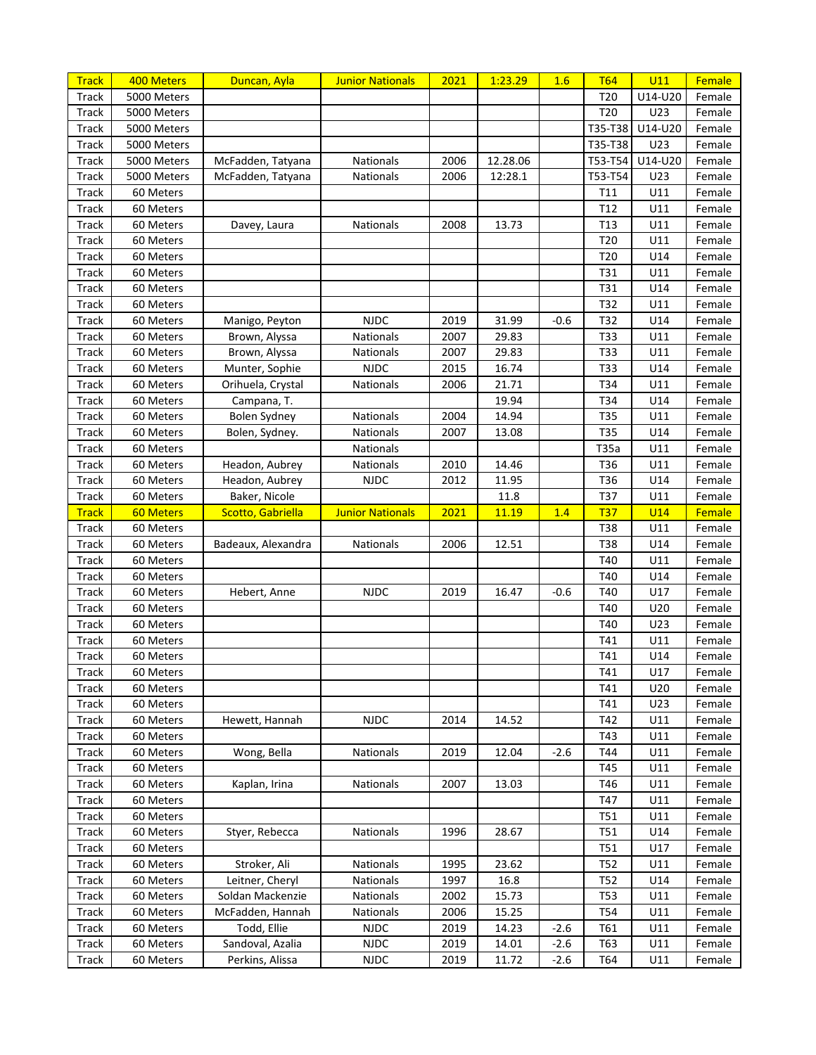| <b>Track</b> | 400 Meters       | Duncan, Ayla       | <b>Junior Nationals</b> | 2021 | 1:23.29  | 1.6    | <b>T64</b>      | U11     | Female |
|--------------|------------------|--------------------|-------------------------|------|----------|--------|-----------------|---------|--------|
| Track        | 5000 Meters      |                    |                         |      |          |        | T20             | U14-U20 | Female |
| Track        | 5000 Meters      |                    |                         |      |          |        | T20             | U23     | Female |
| Track        | 5000 Meters      |                    |                         |      |          |        | T35-T38         | U14-U20 | Female |
| Track        | 5000 Meters      |                    |                         |      |          |        | T35-T38         | U23     | Female |
| Track        | 5000 Meters      | McFadden, Tatyana  | Nationals               | 2006 | 12.28.06 |        | T53-T54         | U14-U20 | Female |
| Track        | 5000 Meters      | McFadden, Tatyana  | Nationals               | 2006 | 12:28.1  |        | T53-T54         | U23     | Female |
| Track        | 60 Meters        |                    |                         |      |          |        | T11             | U11     | Female |
| Track        | 60 Meters        |                    |                         |      |          |        | T <sub>12</sub> | U11     | Female |
| Track        | 60 Meters        | Davey, Laura       | <b>Nationals</b>        | 2008 | 13.73    |        | T <sub>13</sub> | U11     | Female |
| Track        | 60 Meters        |                    |                         |      |          |        | T20             | U11     | Female |
| Track        | 60 Meters        |                    |                         |      |          |        | T20             | U14     | Female |
| Track        | 60 Meters        |                    |                         |      |          |        | T31             | U11     | Female |
| Track        | 60 Meters        |                    |                         |      |          |        | T31             | U14     | Female |
| Track        | 60 Meters        |                    |                         |      |          |        | T32             | U11     | Female |
| Track        | 60 Meters        | Manigo, Peyton     | <b>NJDC</b>             | 2019 | 31.99    | $-0.6$ | T32             | U14     | Female |
| Track        | 60 Meters        | Brown, Alyssa      | Nationals               | 2007 | 29.83    |        | T33             | U11     | Female |
| Track        | 60 Meters        | Brown, Alyssa      | Nationals               | 2007 | 29.83    |        | T33             | U11     | Female |
| Track        | 60 Meters        | Munter, Sophie     | <b>NJDC</b>             | 2015 | 16.74    |        | T33             | U14     | Female |
| Track        | 60 Meters        | Orihuela, Crystal  | Nationals               | 2006 | 21.71    |        | T34             | U11     | Female |
| Track        | 60 Meters        | Campana, T.        |                         |      | 19.94    |        | T34             | U14     | Female |
| Track        | 60 Meters        | Bolen Sydney       | Nationals               | 2004 | 14.94    |        | <b>T35</b>      | U11     | Female |
| Track        | 60 Meters        | Bolen, Sydney.     | Nationals               | 2007 | 13.08    |        | <b>T35</b>      | U14     | Female |
| Track        | 60 Meters        |                    | Nationals               |      |          |        | T35a            | U11     | Female |
| Track        | 60 Meters        | Headon, Aubrey     | Nationals               | 2010 | 14.46    |        | T36             | U11     | Female |
| Track        | 60 Meters        | Headon, Aubrey     | <b>NJDC</b>             | 2012 | 11.95    |        | T36             | U14     | Female |
| Track        | 60 Meters        | Baker, Nicole      |                         |      | 11.8     |        | T37             | U11     | Female |
| <b>Track</b> | <b>60 Meters</b> | Scotto, Gabriella  | <b>Junior Nationals</b> | 2021 | 11.19    | 1.4    | <b>T37</b>      | U14     | Female |
| Track        | 60 Meters        |                    |                         |      |          |        | <b>T38</b>      | U11     | Female |
| Track        | 60 Meters        | Badeaux, Alexandra | Nationals               | 2006 | 12.51    |        | <b>T38</b>      | U14     | Female |
| Track        | 60 Meters        |                    |                         |      |          |        | T40             | U11     | Female |
| Track        | 60 Meters        |                    |                         |      |          |        | T40             | U14     | Female |
| Track        | 60 Meters        | Hebert, Anne       | <b>NJDC</b>             | 2019 | 16.47    | $-0.6$ | T40             | U17     | Female |
| Track        | 60 Meters        |                    |                         |      |          |        | T40             | U20     | Female |
| Track        | 60 Meters        |                    |                         |      |          |        | T40             | U23     | Female |
| Track        | 60 Meters        |                    |                         |      |          |        | T41             | U11     | Female |
| Track        | 60 Meters        |                    |                         |      |          |        | T41             | U14     | Female |
| <b>Track</b> | 60 Meters        |                    |                         |      |          |        | T41             | U17     | Female |
| Track        | 60 Meters        |                    |                         |      |          |        | T41             | U20     | Female |
| Track        | 60 Meters        |                    |                         |      |          |        | T41             | U23     | Female |
| Track        | 60 Meters        | Hewett, Hannah     | <b>NJDC</b>             | 2014 | 14.52    |        | T42             | U11     | Female |
| Track        | 60 Meters        |                    |                         |      |          |        | T43             | U11     | Female |
| Track        | 60 Meters        | Wong, Bella        | Nationals               | 2019 | 12.04    | $-2.6$ | T44             | U11     | Female |
| Track        | 60 Meters        |                    |                         |      |          |        | T45             | U11     | Female |
| Track        | 60 Meters        | Kaplan, Irina      | Nationals               | 2007 | 13.03    |        | T46             | U11     | Female |
| Track        | 60 Meters        |                    |                         |      |          |        | T47             | U11     | Female |
| Track        | 60 Meters        |                    |                         |      |          |        | T51             | U11     | Female |
| Track        | 60 Meters        | Styer, Rebecca     | Nationals               | 1996 | 28.67    |        | <b>T51</b>      | U14     | Female |
| Track        | 60 Meters        |                    |                         |      |          |        | <b>T51</b>      | U17     | Female |
| Track        | 60 Meters        | Stroker, Ali       | Nationals               | 1995 | 23.62    |        | T52             | U11     | Female |
| Track        | 60 Meters        | Leitner, Cheryl    | Nationals               | 1997 | 16.8     |        | T52             | U14     | Female |
| Track        | 60 Meters        | Soldan Mackenzie   | Nationals               | 2002 | 15.73    |        | T53             | U11     | Female |
| Track        | 60 Meters        | McFadden, Hannah   | Nationals               | 2006 | 15.25    |        | T54             | U11     | Female |
| Track        | 60 Meters        | Todd, Ellie        | <b>NJDC</b>             | 2019 | 14.23    | $-2.6$ | <b>T61</b>      | U11     | Female |
| Track        | 60 Meters        | Sandoval, Azalia   | <b>NJDC</b>             | 2019 | 14.01    | $-2.6$ | T63             | U11     | Female |
| Track        | 60 Meters        | Perkins, Alissa    | <b>NJDC</b>             | 2019 | 11.72    | $-2.6$ | T64             | U11     | Female |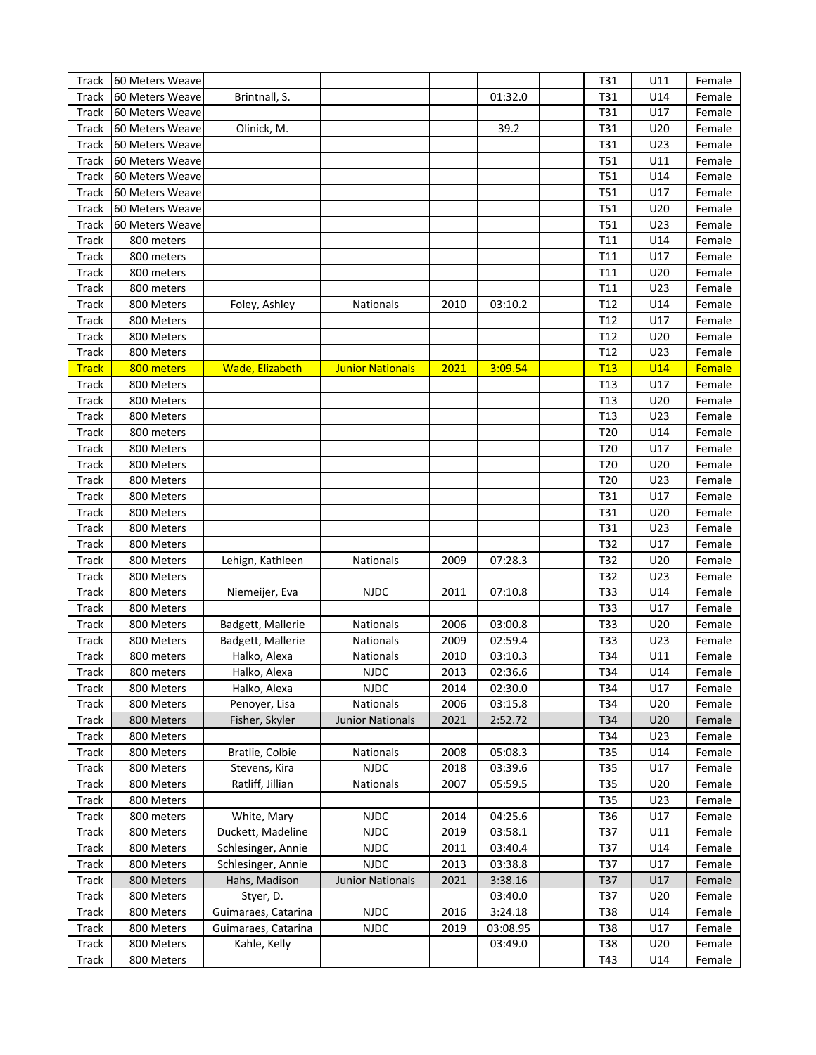| Track        | 60 Meters Weave |                     |                         |      |          | T31             | U11 | Female |
|--------------|-----------------|---------------------|-------------------------|------|----------|-----------------|-----|--------|
| Track        | 60 Meters Weave | Brintnall, S.       |                         |      | 01:32.0  | T31             | U14 | Female |
| Track        | 60 Meters Weave |                     |                         |      |          | T31             | U17 | Female |
| Track        | 60 Meters Weave | Olinick, M.         |                         |      | 39.2     | T31             | U20 | Female |
| Track        | 60 Meters Weave |                     |                         |      |          | T31             | U23 | Female |
| <b>Track</b> | 60 Meters Weave |                     |                         |      |          | T51             | U11 | Female |
| <b>Track</b> | 60 Meters Weave |                     |                         |      |          | T51             | U14 | Female |
| <b>Track</b> | 60 Meters Weave |                     |                         |      |          | T51             | U17 | Female |
| <b>Track</b> | 60 Meters Weave |                     |                         |      |          | T51             | U20 | Female |
| <b>Track</b> | 60 Meters Weave |                     |                         |      |          | T51             | U23 | Female |
| Track        | 800 meters      |                     |                         |      |          | T11             | U14 | Female |
| Track        | 800 meters      |                     |                         |      |          | T11             | U17 | Female |
| Track        | 800 meters      |                     |                         |      |          | T11             | U20 | Female |
| Track        | 800 meters      |                     |                         |      |          | T11             | U23 | Female |
| Track        | 800 Meters      | Foley, Ashley       | Nationals               | 2010 | 03:10.2  | T12             | U14 | Female |
| Track        | 800 Meters      |                     |                         |      |          | T <sub>12</sub> | U17 | Female |
| Track        | 800 Meters      |                     |                         |      |          | T12             | U20 | Female |
| Track        | 800 Meters      |                     |                         |      |          | T12             | U23 | Female |
| <b>Track</b> | 800 meters      | Wade, Elizabeth     | <b>Junior Nationals</b> | 2021 | 3:09.54  | T13             | U14 | Female |
| Track        | 800 Meters      |                     |                         |      |          | T <sub>13</sub> | U17 | Female |
| Track        | 800 Meters      |                     |                         |      |          | T <sub>13</sub> | U20 | Female |
| Track        | 800 Meters      |                     |                         |      |          | T <sub>13</sub> | U23 | Female |
| <b>Track</b> | 800 meters      |                     |                         |      |          | T20             | U14 | Female |
| Track        | 800 Meters      |                     |                         |      |          | T20             | U17 | Female |
| Track        | 800 Meters      |                     |                         |      |          | T20             | U20 | Female |
| Track        | 800 Meters      |                     |                         |      |          | T20             | U23 | Female |
| Track        | 800 Meters      |                     |                         |      |          | T31             | U17 | Female |
| Track        | 800 Meters      |                     |                         |      |          | T31             | U20 | Female |
| Track        | 800 Meters      |                     |                         |      |          | T31             | U23 | Female |
| Track        | 800 Meters      |                     |                         |      |          | T32             | U17 | Female |
| Track        | 800 Meters      | Lehign, Kathleen    | Nationals               | 2009 | 07:28.3  | T32             | U20 | Female |
| Track        | 800 Meters      |                     |                         |      |          | T32             | U23 | Female |
| Track        | 800 Meters      | Niemeijer, Eva      | <b>NJDC</b>             | 2011 | 07:10.8  | <b>T33</b>      | U14 | Female |
| Track        | 800 Meters      |                     |                         |      |          | <b>T33</b>      | U17 | Female |
| Track        | 800 Meters      | Badgett, Mallerie   | Nationals               | 2006 | 03:00.8  | <b>T33</b>      | U20 | Female |
| Track        | 800 Meters      | Badgett, Mallerie   | Nationals               | 2009 | 02:59.4  | <b>T33</b>      | U23 | Female |
| <b>Track</b> | 800 meters      | Halko, Alexa        | Nationals               | 2010 | 03:10.3  | T34             | U11 | Female |
| <b>Track</b> | 800 meters      | Halko, Alexa        | <b>NJDC</b>             | 2013 | 02:36.6  | T34             | U14 | Female |
| Track        | 800 Meters      | Halko, Alexa        | <b>NJDC</b>             | 2014 | 02:30.0  | T34             | U17 | Female |
| Track        | 800 Meters      | Penoyer, Lisa       | Nationals               | 2006 | 03:15.8  | T34             | U20 | Female |
| <b>Track</b> | 800 Meters      | Fisher, Skyler      | <b>Junior Nationals</b> | 2021 | 2:52.72  | T34             | U20 | Female |
| <b>Track</b> | 800 Meters      |                     |                         |      |          | T34             | U23 | Female |
| Track        | 800 Meters      | Bratlie, Colbie     | Nationals               | 2008 | 05:08.3  | T35             | U14 | Female |
| <b>Track</b> | 800 Meters      | Stevens, Kira       | <b>NJDC</b>             | 2018 | 03:39.6  | T35             | U17 | Female |
| Track        | 800 Meters      | Ratliff, Jillian    | Nationals               | 2007 | 05:59.5  | T35             | U20 | Female |
| Track        | 800 Meters      |                     |                         |      |          | T35             | U23 | Female |
| Track        | 800 meters      | White, Mary         | <b>NJDC</b>             | 2014 | 04:25.6  | T36             | U17 | Female |
| Track        | 800 Meters      | Duckett, Madeline   | <b>NJDC</b>             | 2019 | 03:58.1  | T37             | U11 | Female |
| <b>Track</b> | 800 Meters      | Schlesinger, Annie  | <b>NJDC</b>             | 2011 | 03:40.4  | T37             | U14 | Female |
| Track        | 800 Meters      | Schlesinger, Annie  | <b>NJDC</b>             | 2013 | 03:38.8  | T37             | U17 | Female |
| Track        | 800 Meters      | Hahs, Madison       | <b>Junior Nationals</b> | 2021 | 3:38.16  | T37             | U17 | Female |
| <b>Track</b> | 800 Meters      | Styer, D.           |                         |      | 03:40.0  | T37             | U20 | Female |
| <b>Track</b> | 800 Meters      | Guimaraes, Catarina | <b>NJDC</b>             | 2016 | 3:24.18  | T38             | U14 | Female |
| Track        | 800 Meters      | Guimaraes, Catarina | <b>NJDC</b>             | 2019 | 03:08.95 | T38             | U17 | Female |
| Track        | 800 Meters      | Kahle, Kelly        |                         |      | 03:49.0  | T38             | U20 | Female |
| Track        | 800 Meters      |                     |                         |      |          | T43             | U14 | Female |
|              |                 |                     |                         |      |          |                 |     |        |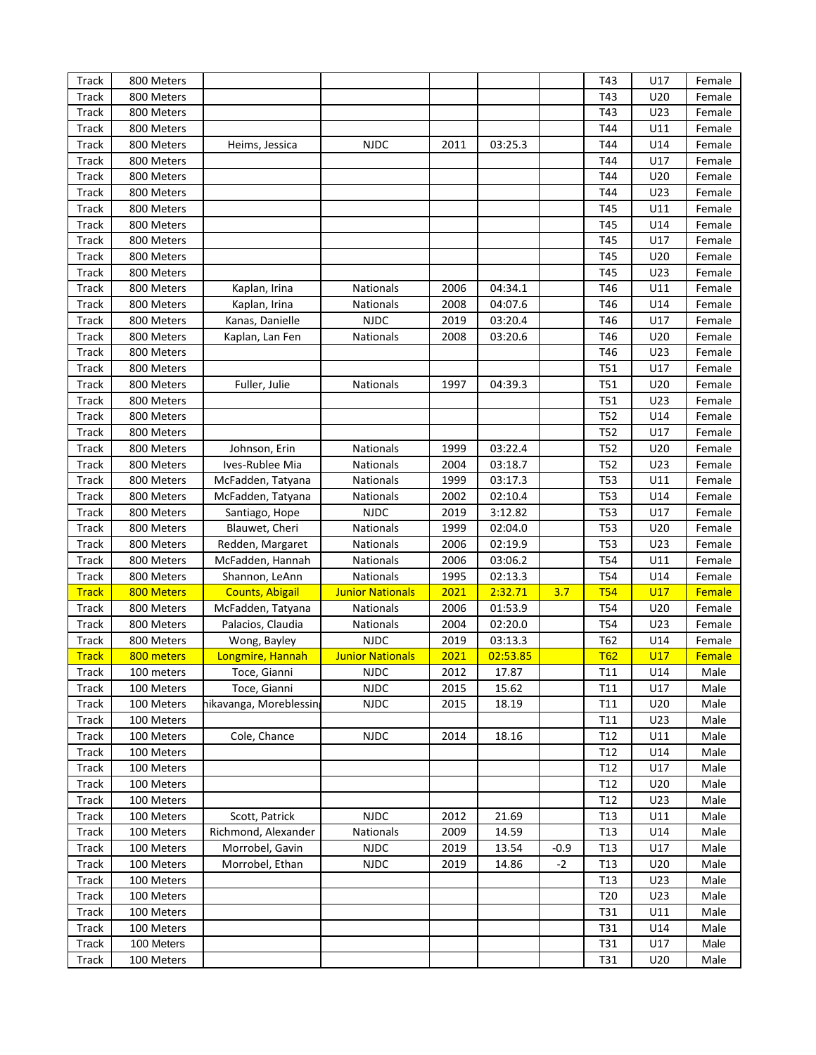| Track        | 800 Meters |                        |                         |      |          |        | T43             | U17        | Female |
|--------------|------------|------------------------|-------------------------|------|----------|--------|-----------------|------------|--------|
| Track        | 800 Meters |                        |                         |      |          |        | T43             | U20        | Female |
| Track        | 800 Meters |                        |                         |      |          |        | T43             | U23        | Female |
| Track        | 800 Meters |                        |                         |      |          |        | T44             | U11        | Female |
| Track        | 800 Meters | Heims, Jessica         | <b>NJDC</b>             | 2011 | 03:25.3  |        | T44             | U14        | Female |
| Track        | 800 Meters |                        |                         |      |          |        | T44             | U17        | Female |
| Track        | 800 Meters |                        |                         |      |          |        | T44             | U20        | Female |
| Track        | 800 Meters |                        |                         |      |          |        | T44             | U23        | Female |
| Track        | 800 Meters |                        |                         |      |          |        | T45             | U11        | Female |
| Track        | 800 Meters |                        |                         |      |          |        | T45             | U14        | Female |
| Track        | 800 Meters |                        |                         |      |          |        | T45             | U17        | Female |
| Track        | 800 Meters |                        |                         |      |          |        | T45             | U20        | Female |
| Track        | 800 Meters |                        |                         |      |          |        | T45             | U23        | Female |
| Track        | 800 Meters | Kaplan, Irina          | Nationals               | 2006 | 04:34.1  |        | T46             | U11        | Female |
| Track        | 800 Meters | Kaplan, Irina          | Nationals               | 2008 | 04:07.6  |        | T46             | U14        | Female |
| Track        | 800 Meters | Kanas, Danielle        | <b>NJDC</b>             | 2019 | 03:20.4  |        | T46             | U17        | Female |
| Track        | 800 Meters | Kaplan, Lan Fen        | Nationals               | 2008 | 03:20.6  |        | T46             | U20        | Female |
| Track        | 800 Meters |                        |                         |      |          |        | T46             | U23        | Female |
| Track        | 800 Meters |                        |                         |      |          |        | T51             | U17        | Female |
| Track        | 800 Meters | Fuller, Julie          | <b>Nationals</b>        | 1997 | 04:39.3  |        | T51             | U20        | Female |
| Track        | 800 Meters |                        |                         |      |          |        | T51             | U23        | Female |
| Track        | 800 Meters |                        |                         |      |          |        | <b>T52</b>      | U14        | Female |
| Track        | 800 Meters |                        |                         |      |          |        | T52             | U17        | Female |
| Track        | 800 Meters | Johnson, Erin          | Nationals               | 1999 | 03:22.4  |        | <b>T52</b>      | U20        | Female |
| Track        | 800 Meters | Ives-Rublee Mia        | Nationals               | 2004 | 03:18.7  |        | T52             | U23        | Female |
| Track        | 800 Meters | McFadden, Tatyana      | Nationals               | 1999 | 03:17.3  |        | <b>T53</b>      | U11        | Female |
| Track        | 800 Meters | McFadden, Tatyana      | Nationals               | 2002 | 02:10.4  |        | <b>T53</b>      | U14        | Female |
| Track        | 800 Meters | Santiago, Hope         | <b>NJDC</b>             | 2019 | 3:12.82  |        | <b>T53</b>      | U17        | Female |
| Track        | 800 Meters | Blauwet, Cheri         | Nationals               | 1999 | 02:04.0  |        | <b>T53</b>      | U20        | Female |
| Track        | 800 Meters | Redden, Margaret       | Nationals               | 2006 | 02:19.9  |        | <b>T53</b>      | U23        | Female |
| Track        | 800 Meters | McFadden, Hannah       | Nationals               | 2006 | 03:06.2  |        | <b>T54</b>      | U11        | Female |
| Track        | 800 Meters | Shannon, LeAnn         | Nationals               | 1995 | 02:13.3  |        | <b>T54</b>      | U14        | Female |
| <b>Track</b> | 800 Meters | <b>Counts, Abigail</b> | <b>Junior Nationals</b> | 2021 | 2:32.71  | 3.7    | <b>T54</b>      | U17        | Female |
| Track        | 800 Meters | McFadden, Tatyana      | Nationals               | 2006 | 01:53.9  |        | <b>T54</b>      | U20        | Female |
| Track        | 800 Meters | Palacios, Claudia      | Nationals               | 2004 | 02:20.0  |        | <b>T54</b>      | U23        | Female |
| Track        | 800 Meters | Wong, Bayley           | <b>NJDC</b>             | 2019 | 03:13.3  |        | T62             | U14        | Female |
| <b>Track</b> | 800 meters | Longmire, Hannah       | <b>Junior Nationals</b> | 2021 | 02:53.85 |        | <b>T62</b>      | <b>U17</b> | Female |
| <b>Track</b> | 100 meters | Toce, Gianni           | <b>NJDC</b>             | 2012 | 17.87    |        | T11             | U14        | Male   |
| Track        | 100 Meters | Toce, Gianni           | <b>NJDC</b>             | 2015 | 15.62    |        | T11             | U17        | Male   |
| Track        | 100 Meters | hikavanga, Moreblessin | <b>NJDC</b>             | 2015 | 18.19    |        | T <sub>11</sub> | U20        | Male   |
| Track        | 100 Meters |                        |                         |      |          |        | T11             | U23        | Male   |
| Track        | 100 Meters | Cole, Chance           | <b>NJDC</b>             | 2014 | 18.16    |        | T12             | U11        | Male   |
| Track        | 100 Meters |                        |                         |      |          |        | T12             | U14        | Male   |
| Track        | 100 Meters |                        |                         |      |          |        | T12             | U17        | Male   |
| Track        | 100 Meters |                        |                         |      |          |        | T12             | U20        | Male   |
| Track        | 100 Meters |                        |                         |      |          |        | T12             | U23        | Male   |
| Track        | 100 Meters | Scott, Patrick         | <b>NJDC</b>             | 2012 | 21.69    |        | T <sub>13</sub> | U11        | Male   |
| Track        | 100 Meters | Richmond, Alexander    | Nationals               | 2009 | 14.59    |        | T <sub>13</sub> | U14        | Male   |
| Track        | 100 Meters | Morrobel, Gavin        | <b>NJDC</b>             | 2019 | 13.54    | $-0.9$ | T <sub>13</sub> | U17        | Male   |
| Track        | 100 Meters | Morrobel, Ethan        | <b>NJDC</b>             | 2019 | 14.86    | $-2$   | T <sub>13</sub> | U20        | Male   |
| Track        | 100 Meters |                        |                         |      |          |        | T <sub>13</sub> | U23        | Male   |
| Track        | 100 Meters |                        |                         |      |          |        | T20             | U23        | Male   |
| Track        | 100 Meters |                        |                         |      |          |        | T31             | U11        | Male   |
| Track        | 100 Meters |                        |                         |      |          |        | T31             | U14        | Male   |
| Track        | 100 Meters |                        |                         |      |          |        | T31             | U17        | Male   |
| Track        | 100 Meters |                        |                         |      |          |        | T31             | U20        | Male   |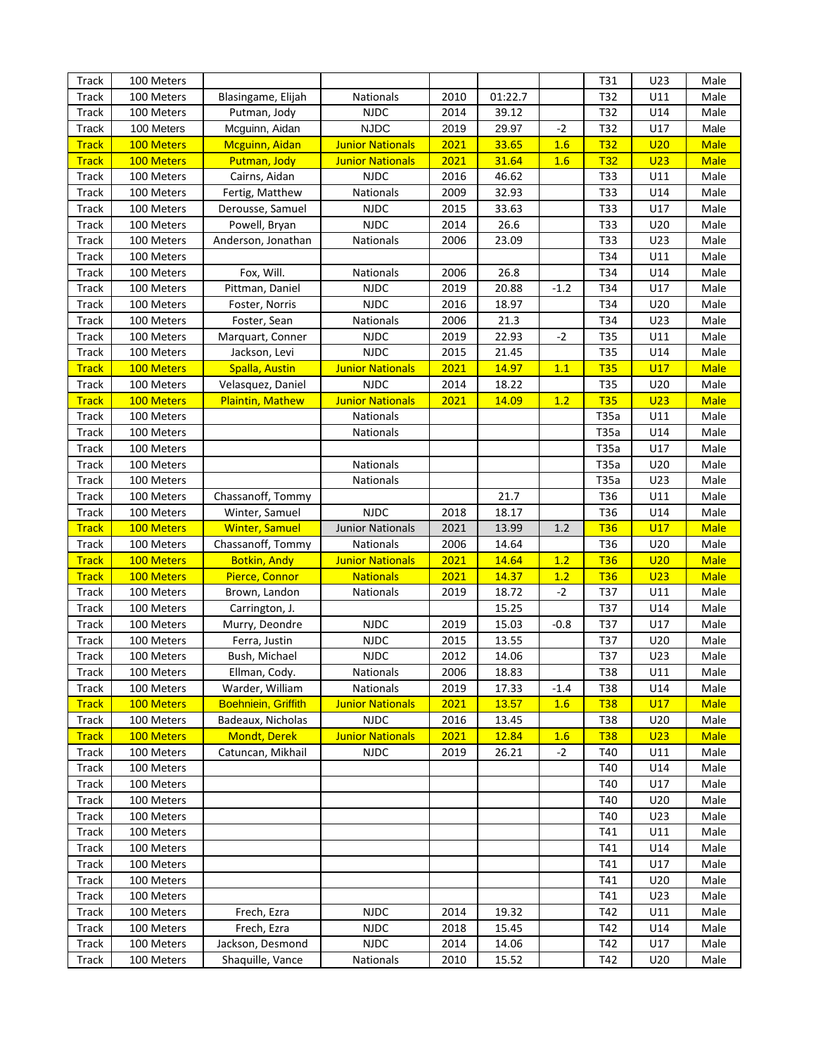| <b>Track</b>   | 100 Meters               |                                      |                          |              |                |        | T31        | U23             | Male         |
|----------------|--------------------------|--------------------------------------|--------------------------|--------------|----------------|--------|------------|-----------------|--------------|
| Track          | 100 Meters               | Blasingame, Elijah                   | Nationals                | 2010         | 01:22.7        |        | T32        | U11             | Male         |
| Track          | 100 Meters               | Putman, Jody                         | <b>NJDC</b>              | 2014         | 39.12          |        | T32        | U14             | Male         |
| Track          | 100 Meters               | Mcguinn, Aidan                       | <b>NJDC</b>              | 2019         | 29.97          | $-2$   | T32        | U17             | Male         |
| <b>Track</b>   | 100 Meters               | Mcguinn, Aidan                       | <b>Junior Nationals</b>  | 2021         | 33.65          | 1.6    | <b>T32</b> | U <sub>20</sub> | <b>Male</b>  |
| <b>Track</b>   | 100 Meters               | Putman, Jody                         | <b>Junior Nationals</b>  | 2021         | 31.64          | 1.6    | <b>T32</b> | U <sub>23</sub> | <b>Male</b>  |
| Track          | 100 Meters               | Cairns, Aidan                        | <b>NJDC</b>              | 2016         | 46.62          |        | T33        | U11             | Male         |
| Track          | 100 Meters               | Fertig, Matthew                      | Nationals                | 2009         | 32.93          |        | T33        | U14             | Male         |
| Track          | 100 Meters               | Derousse, Samuel                     | <b>NJDC</b>              | 2015         | 33.63          |        | T33        | U17             | Male         |
| Track          | 100 Meters               | Powell, Bryan                        | <b>NJDC</b>              | 2014         | 26.6           |        | T33        | U20             | Male         |
| Track          | 100 Meters               | Anderson, Jonathan                   | Nationals                | 2006         | 23.09          |        | T33        | U23             | Male         |
| Track          | 100 Meters               |                                      |                          |              |                |        | T34        | U11             | Male         |
| Track          | 100 Meters               | Fox, Will.                           | Nationals                | 2006         | 26.8           |        | T34        | U14             | Male         |
| Track          | 100 Meters               | Pittman, Daniel                      | <b>NJDC</b>              | 2019         | 20.88          | $-1.2$ | T34        | U17             | Male         |
| Track          | 100 Meters               | Foster, Norris                       | <b>NJDC</b>              | 2016         | 18.97          |        | T34        | U20             | Male         |
| Track          | 100 Meters               | Foster, Sean                         | Nationals                | 2006         | 21.3           |        | T34        | U23             | Male         |
| Track          | 100 Meters               | Marquart, Conner                     | <b>NJDC</b>              | 2019         | 22.93          | $-2$   | T35        | U11             | Male         |
| Track          | 100 Meters               | Jackson, Levi                        | <b>NJDC</b>              | 2015         | 21.45          |        | T35        | U14             | Male         |
| <b>Track</b>   | 100 Meters               | <b>Spalla, Austin</b>                | <b>Junior Nationals</b>  | 2021         | 14.97          | 1.1    | <b>T35</b> | U17             | <b>Male</b>  |
| Track          | 100 Meters               | Velasquez, Daniel                    | <b>NJDC</b>              | 2014         | 18.22          |        | T35        | U20             | Male         |
| <b>Track</b>   | 100 Meters               | <b>Plaintin, Mathew</b>              | <b>Junior Nationals</b>  | 2021         | 14.09          | 1.2    | <b>T35</b> | U <sub>23</sub> | <b>Male</b>  |
| Track          | 100 Meters               |                                      | Nationals                |              |                |        | T35a       | U11             | Male         |
| Track          | 100 Meters               |                                      | Nationals                |              |                |        | T35a       | U14             | Male         |
| Track          | 100 Meters               |                                      |                          |              |                |        | T35a       | U17             | Male         |
| Track          | 100 Meters               |                                      | Nationals                |              |                |        | T35a       | U20             | Male         |
| Track          | 100 Meters               |                                      | Nationals                |              |                |        | T35a       | U23             | Male         |
| Track          | 100 Meters               | Chassanoff, Tommy                    |                          |              | 21.7           |        | T36        | U11             | Male         |
| Track          | 100 Meters               | Winter, Samuel                       | <b>NJDC</b>              | 2018         | 18.17          |        | T36        | U14             | Male         |
| <b>Track</b>   | 100 Meters               | <b>Winter, Samuel</b>                | <b>Junior Nationals</b>  | 2021         | 13.99          | 1.2    | <b>T36</b> | U17             | <b>Male</b>  |
| Track          | 100 Meters               | Chassanoff, Tommy                    | Nationals                | 2006         | 14.64          |        | T36        | U20             | Male         |
| <b>Track</b>   | 100 Meters               | <b>Botkin, Andy</b>                  | <b>Junior Nationals</b>  | 2021         | 14.64          | 1.2    | <b>T36</b> | U <sub>20</sub> | <b>Male</b>  |
| <b>Track</b>   | 100 Meters               | Pierce, Connor                       | <b>Nationals</b>         | 2021         | 14.37          | 1.2    | <b>T36</b> | U <sub>23</sub> | <b>Male</b>  |
| Track          | 100 Meters               | Brown, Landon                        | Nationals                | 2019         | 18.72          | $-2$   | T37        |                 | Male         |
|                |                          |                                      |                          |              |                |        |            | U11             |              |
| Track          | 100 Meters               | Carrington, J.                       |                          |              | 15.25          |        | T37        | U14             | Male         |
| Track          | 100 Meters               | Murry, Deondre                       | <b>NJDC</b>              | 2019         | 15.03          | $-0.8$ | T37        | U17             | Male         |
| Track          | 100 Meters               | Ferra, Justin                        | <b>NJDC</b>              | 2015         | 13.55          |        | T37        | U20             | Male         |
| Track          | 100 Meters               | Bush, Michael                        | <b>NJDC</b>              | 2012         | 14.06          |        | T37        | U23             | Male         |
| Track          | 100 Meters               | Ellman, Cody.                        | Nationals                | 2006         | 18.83          |        | T38        | U11             | Male         |
| <b>Track</b>   | 100 Meters               | Warder, William                      | Nationals                | 2019         | 17.33          | $-1.4$ | T38        | U14             | Male         |
| <b>Track</b>   | 100 Meters               | <b>Boehniein, Griffith</b>           | <b>Junior Nationals</b>  | 2021         | 13.57          | 1.6    | <b>T38</b> | <b>U17</b>      | <b>Male</b>  |
| Track          | 100 Meters               | Badeaux, Nicholas                    | <b>NJDC</b>              | 2016         | 13.45          |        | T38        | U20             | Male         |
| <b>Track</b>   | 100 Meters               | <b>Mondt, Derek</b>                  | <b>Junior Nationals</b>  | 2021         | 12.84          | 1.6    | <b>T38</b> | U <sub>23</sub> | <b>Male</b>  |
| Track          | 100 Meters               | Catuncan, Mikhail                    | <b>NJDC</b>              | 2019         | 26.21          | $-2$   | T40        | U11             | Male         |
| Track          | 100 Meters               |                                      |                          |              |                |        | T40        | U14             | Male         |
| Track          | 100 Meters               |                                      |                          |              |                |        | T40        | U17             | Male         |
| Track          | 100 Meters               |                                      |                          |              |                |        | T40        | U20             | Male         |
| Track          | 100 Meters               |                                      |                          |              |                |        | T40        | U23             | Male         |
| Track          | 100 Meters               |                                      |                          |              |                |        | T41        | U11             | Male         |
| Track          | 100 Meters               |                                      |                          |              |                |        | T41        | U14             | Male         |
| Track          | 100 Meters               |                                      |                          |              |                |        | T41        | U17             | Male         |
| Track          | 100 Meters               |                                      |                          |              |                |        | T41        | U20             | Male         |
| Track          | 100 Meters               |                                      |                          |              |                |        | T41        | U23             | Male         |
| Track          | 100 Meters               | Frech, Ezra                          | <b>NJDC</b>              | 2014         | 19.32          |        | T42        | U11             | Male         |
| Track          | 100 Meters               | Frech, Ezra                          | <b>NJDC</b>              | 2018         | 15.45          |        | T42        | U14             | Male         |
| Track<br>Track | 100 Meters<br>100 Meters | Jackson, Desmond<br>Shaquille, Vance | <b>NJDC</b><br>Nationals | 2014<br>2010 | 14.06<br>15.52 |        | T42<br>T42 | U17<br>U20      | Male<br>Male |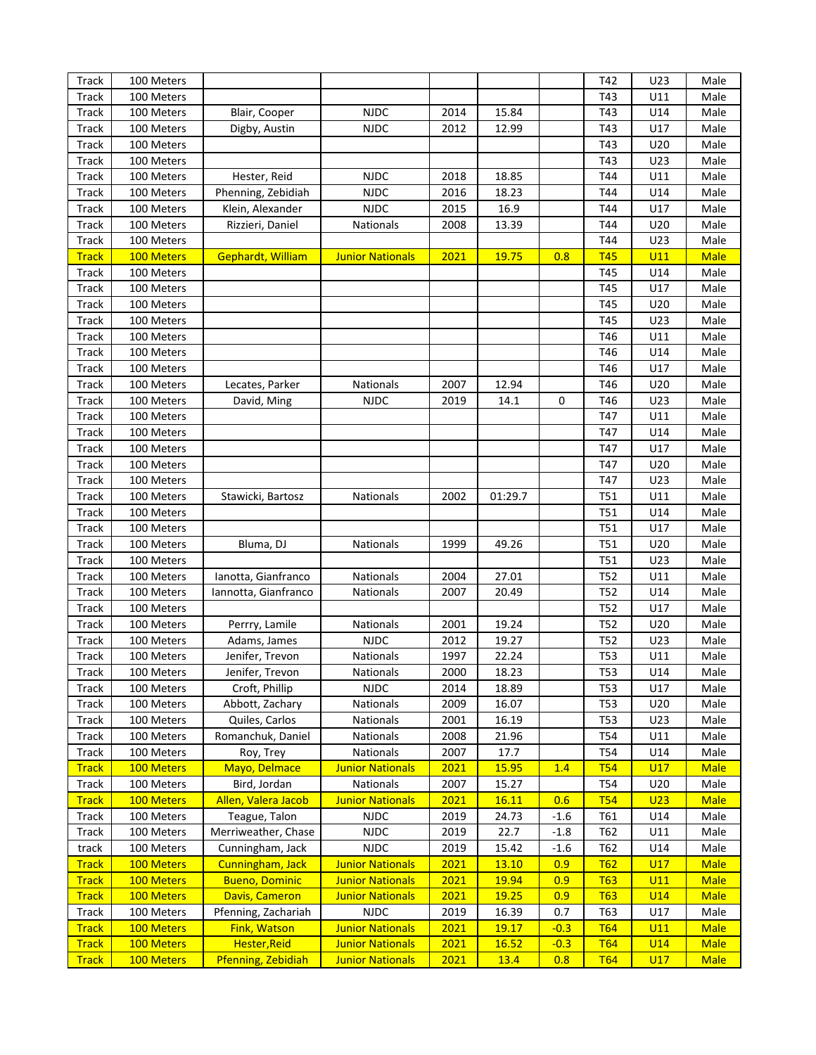| Track        | 100 Meters |                       |                         |      |         |        | T42             | U23             | Male        |
|--------------|------------|-----------------------|-------------------------|------|---------|--------|-----------------|-----------------|-------------|
| Track        | 100 Meters |                       |                         |      |         |        | T43             | U11             | Male        |
| Track        | 100 Meters | Blair, Cooper         | <b>NJDC</b>             | 2014 | 15.84   |        | T43             | U14             | Male        |
| Track        | 100 Meters | Digby, Austin         | <b>NJDC</b>             | 2012 | 12.99   |        | T43             | U17             | Male        |
| Track        | 100 Meters |                       |                         |      |         |        | T43             | U20             | Male        |
| <b>Track</b> | 100 Meters |                       |                         |      |         |        | T43             | U23             | Male        |
| Track        | 100 Meters | Hester, Reid          | <b>NJDC</b>             | 2018 | 18.85   |        | T44             | U11             | Male        |
| <b>Track</b> | 100 Meters | Phenning, Zebidiah    | <b>NJDC</b>             | 2016 | 18.23   |        | T44             | U14             | Male        |
| Track        | 100 Meters | Klein, Alexander      | <b>NJDC</b>             | 2015 | 16.9    |        | T44             | U17             | Male        |
| Track        | 100 Meters | Rizzieri, Daniel      | Nationals               | 2008 | 13.39   |        | T44             | U20             | Male        |
| <b>Track</b> | 100 Meters |                       |                         |      |         |        | T44             | U23             | Male        |
| <b>Track</b> | 100 Meters | Gephardt, William     | <b>Junior Nationals</b> | 2021 | 19.75   | 0.8    | <b>T45</b>      | U11             | <b>Male</b> |
|              |            |                       |                         |      |         |        |                 |                 |             |
| Track        | 100 Meters |                       |                         |      |         |        | T45             | U14             | Male        |
| <b>Track</b> | 100 Meters |                       |                         |      |         |        | T45             | U17             | Male        |
| Track        | 100 Meters |                       |                         |      |         |        | T45             | U20             | Male        |
| <b>Track</b> | 100 Meters |                       |                         |      |         |        | T45             | U23             | Male        |
| Track        | 100 Meters |                       |                         |      |         |        | T46             | U11             | Male        |
| Track        | 100 Meters |                       |                         |      |         |        | T46             | U14             | Male        |
| <b>Track</b> | 100 Meters |                       |                         |      |         |        | T46             | U17             | Male        |
| Track        | 100 Meters | Lecates, Parker       | Nationals               | 2007 | 12.94   |        | T46             | U20             | Male        |
| Track        | 100 Meters | David, Ming           | <b>NJDC</b>             | 2019 | 14.1    | 0      | T46             | U23             | Male        |
| <b>Track</b> | 100 Meters |                       |                         |      |         |        | T47             | U11             | Male        |
| Track        | 100 Meters |                       |                         |      |         |        | T47             | U14             | Male        |
| <b>Track</b> | 100 Meters |                       |                         |      |         |        | T47             | U17             | Male        |
| Track        | 100 Meters |                       |                         |      |         |        | T47             | U20             | Male        |
| Track        | 100 Meters |                       |                         |      |         |        | T47             | U23             | Male        |
| <b>Track</b> | 100 Meters | Stawicki, Bartosz     | Nationals               | 2002 | 01:29.7 |        | T51             | U11             | Male        |
| Track        | 100 Meters |                       |                         |      |         |        | T51             | U14             | Male        |
| Track        | 100 Meters |                       |                         |      |         |        | T51             | U17             | Male        |
| <b>Track</b> | 100 Meters | Bluma, DJ             | Nationals               | 1999 | 49.26   |        | T51             | U20             | Male        |
| Track        | 100 Meters |                       |                         |      |         |        | T51             | U23             | Male        |
| <b>Track</b> | 100 Meters | Ianotta, Gianfranco   | Nationals               | 2004 | 27.01   |        | T52             | U11             | Male        |
| Track        | 100 Meters | Iannotta, Gianfranco  | Nationals               | 2007 | 20.49   |        | T52             | U14             | Male        |
| Track        | 100 Meters |                       |                         |      |         |        | T52             | U17             | Male        |
| Track        | 100 Meters | Perrry, Lamile        | Nationals               | 2001 | 19.24   |        | T <sub>52</sub> | U20             | Male        |
| Track        | 100 Meters | Adams, James          | <b>NJDC</b>             | 2012 | 19.27   |        | T <sub>52</sub> | U23             | Male        |
| Track        | 100 Meters | Jenifer, Trevon       | <b>Nationals</b>        | 1997 | 22.24   |        | <b>T53</b>      | U11             | Male        |
| Track        | 100 Meters | Jenifer, Trevon       | <b>Nationals</b>        | 2000 | 18.23   |        | T53             | U14             | Male        |
| Track        | 100 Meters | Croft, Phillip        | <b>NJDC</b>             | 2014 | 18.89   |        | <b>T53</b>      | U17             | Male        |
| Track        | 100 Meters | Abbott, Zachary       | Nationals               | 2009 | 16.07   |        | <b>T53</b>      | U20             | Male        |
| Track        | 100 Meters | Quiles, Carlos        | Nationals               | 2001 | 16.19   |        | <b>T53</b>      | U23             | Male        |
| Track        | 100 Meters | Romanchuk, Daniel     | Nationals               | 2008 | 21.96   |        | T54             | U11             | Male        |
| Track        | 100 Meters | Roy, Trey             | Nationals               | 2007 | 17.7    |        | T54             | U14             | Male        |
| <b>Track</b> | 100 Meters | Mayo, Delmace         | <b>Junior Nationals</b> | 2021 | 15.95   | 1.4    | <b>T54</b>      | U17             | <b>Male</b> |
| Track        | 100 Meters | Bird, Jordan          | Nationals               | 2007 | 15.27   |        | T54             | U20             | Male        |
| <b>Track</b> | 100 Meters | Allen, Valera Jacob   | <b>Junior Nationals</b> | 2021 | 16.11   | 0.6    | <b>T54</b>      | U <sub>23</sub> | <b>Male</b> |
| Track        | 100 Meters | Teague, Talon         | <b>NJDC</b>             | 2019 | 24.73   | $-1.6$ | T61             | U14             | Male        |
| Track        | 100 Meters | Merriweather, Chase   | <b>NJDC</b>             | 2019 | 22.7    | $-1.8$ | T62             | U11             | Male        |
| track        | 100 Meters | Cunningham, Jack      | <b>NJDC</b>             | 2019 | 15.42   | $-1.6$ | T62             | U14             | Male        |
| <b>Track</b> | 100 Meters | Cunningham, Jack      | <b>Junior Nationals</b> | 2021 | 13.10   | 0.9    | <b>T62</b>      | U17             | <b>Male</b> |
| <b>Track</b> | 100 Meters | <b>Bueno, Dominic</b> | <b>Junior Nationals</b> | 2021 | 19.94   | 0.9    | <b>T63</b>      | U11             | <b>Male</b> |
| <b>Track</b> | 100 Meters | Davis, Cameron        | <b>Junior Nationals</b> | 2021 | 19.25   | 0.9    | <b>T63</b>      | <b>U14</b>      | <b>Male</b> |
| Track        | 100 Meters | Pfenning, Zachariah   | <b>NJDC</b>             | 2019 | 16.39   | 0.7    | T63             | U17             | Male        |
| <b>Track</b> | 100 Meters | <b>Fink, Watson</b>   | <b>Junior Nationals</b> | 2021 | 19.17   | $-0.3$ | <b>T64</b>      | U11             | <b>Male</b> |
| <b>Track</b> | 100 Meters | Hester, Reid          | <b>Junior Nationals</b> | 2021 | 16.52   | $-0.3$ | T64             | <b>U14</b>      | <b>Male</b> |
|              | 100 Meters | Pfenning, Zebidiah    | <b>Junior Nationals</b> | 2021 | 13.4    |        | <b>T64</b>      | U17             | <b>Male</b> |
| <b>Track</b> |            |                       |                         |      |         | 0.8    |                 |                 |             |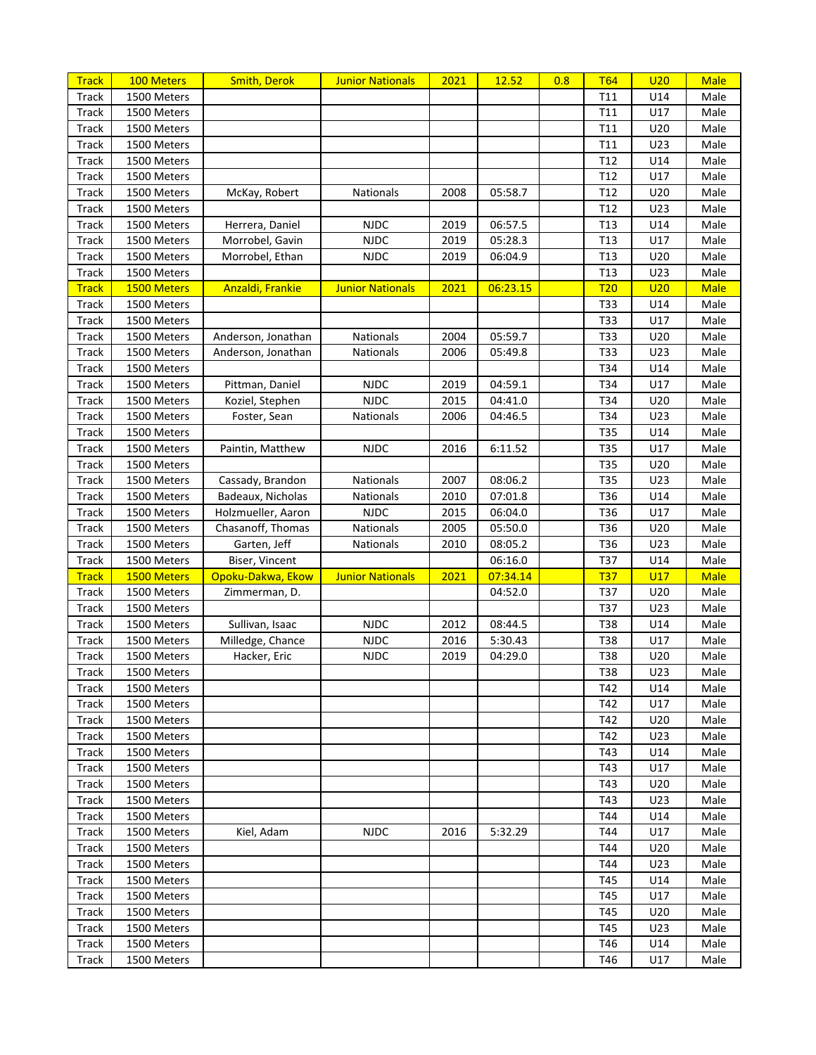| <b>Track</b> | 100 Meters  | <b>Smith, Derok</b> | <b>Junior Nationals</b> | 2021 | 12.52    | 0.8 | <b>T64</b>      | U20 | <b>Male</b> |
|--------------|-------------|---------------------|-------------------------|------|----------|-----|-----------------|-----|-------------|
| Track        | 1500 Meters |                     |                         |      |          |     | T <sub>11</sub> | U14 | Male        |
| Track        | 1500 Meters |                     |                         |      |          |     | T11             | U17 | Male        |
| Track        | 1500 Meters |                     |                         |      |          |     | T11             | U20 | Male        |
| Track        | 1500 Meters |                     |                         |      |          |     | T11             | U23 | Male        |
| Track        | 1500 Meters |                     |                         |      |          |     | T12             | U14 | Male        |
| Track        | 1500 Meters |                     |                         |      |          |     | T <sub>12</sub> | U17 | Male        |
| Track        | 1500 Meters | McKay, Robert       | Nationals               | 2008 | 05:58.7  |     | T <sub>12</sub> | U20 | Male        |
| Track        | 1500 Meters |                     |                         |      |          |     | T <sub>12</sub> | U23 | Male        |
| Track        | 1500 Meters | Herrera, Daniel     | <b>NJDC</b>             | 2019 | 06:57.5  |     | T13             | U14 | Male        |
| Track        | 1500 Meters | Morrobel, Gavin     | <b>NJDC</b>             | 2019 | 05:28.3  |     | T <sub>13</sub> | U17 | Male        |
| Track        | 1500 Meters | Morrobel, Ethan     | <b>NJDC</b>             | 2019 | 06:04.9  |     | T <sub>13</sub> | U20 | Male        |
| Track        | 1500 Meters |                     |                         |      |          |     | T <sub>13</sub> | U23 | Male        |
| <b>Track</b> | 1500 Meters | Anzaldi, Frankie    | <b>Junior Nationals</b> | 2021 | 06:23.15 |     | <b>T20</b>      | U20 | <b>Male</b> |
| Track        | 1500 Meters |                     |                         |      |          |     | T33             | U14 | Male        |
| Track        | 1500 Meters |                     |                         |      |          |     | T33             | U17 | Male        |
| Track        | 1500 Meters | Anderson, Jonathan  | Nationals               | 2004 | 05:59.7  |     | T33             | U20 | Male        |
| Track        | 1500 Meters | Anderson, Jonathan  | Nationals               | 2006 | 05:49.8  |     | <b>T33</b>      | U23 | Male        |
| Track        | 1500 Meters |                     |                         |      |          |     | T34             | U14 | Male        |
| Track        | 1500 Meters | Pittman, Daniel     | <b>NJDC</b>             | 2019 | 04:59.1  |     | T34             | U17 | Male        |
| Track        | 1500 Meters | Koziel, Stephen     | <b>NJDC</b>             | 2015 | 04:41.0  |     | T34             | U20 | Male        |
| Track        | 1500 Meters | Foster, Sean        | Nationals               | 2006 | 04:46.5  |     | T34             | U23 | Male        |
| Track        | 1500 Meters |                     |                         |      |          |     | <b>T35</b>      | U14 | Male        |
| Track        | 1500 Meters | Paintin, Matthew    | <b>NJDC</b>             | 2016 | 6:11.52  |     | <b>T35</b>      | U17 | Male        |
| Track        | 1500 Meters |                     |                         |      |          |     | <b>T35</b>      | U20 | Male        |
| Track        | 1500 Meters | Cassady, Brandon    | Nationals               | 2007 | 08:06.2  |     | T35             | U23 | Male        |
| Track        | 1500 Meters | Badeaux, Nicholas   | Nationals               | 2010 | 07:01.8  |     | T36             | U14 | Male        |
| Track        | 1500 Meters | Holzmueller, Aaron  | <b>NJDC</b>             | 2015 | 06:04.0  |     | T36             | U17 | Male        |
| Track        | 1500 Meters | Chasanoff, Thomas   | Nationals               | 2005 | 05:50.0  |     | T36             | U20 | Male        |
| Track        | 1500 Meters | Garten, Jeff        | Nationals               | 2010 | 08:05.2  |     | T36             | U23 | Male        |
| Track        | 1500 Meters | Biser, Vincent      |                         |      | 06:16.0  |     | T37             | U14 | Male        |
| <b>Track</b> | 1500 Meters | Opoku-Dakwa, Ekow   | <b>Junior Nationals</b> | 2021 | 07:34.14 |     | <b>T37</b>      | U17 | Male        |
| Track        | 1500 Meters | Zimmerman, D.       |                         |      | 04:52.0  |     | T37             | U20 | Male        |
| Track        | 1500 Meters |                     |                         |      |          |     | T37             | U23 | Male        |
| Track        | 1500 Meters | Sullivan, Isaac     | <b>NJDC</b>             | 2012 | 08:44.5  |     | T38             | U14 | Male        |
| Track        | 1500 Meters | Milledge, Chance    | <b>NJDC</b>             | 2016 | 5:30.43  |     | T38             | U17 | Male        |
| Track        | 1500 Meters | Hacker, Eric        | <b>NJDC</b>             | 2019 | 04:29.0  |     | T38             | U20 | Male        |
| <b>Track</b> | 1500 Meters |                     |                         |      |          |     | <b>T38</b>      | U23 | Male        |
| Track        | 1500 Meters |                     |                         |      |          |     | T42             | U14 | Male        |
| Track        | 1500 Meters |                     |                         |      |          |     | T42             | U17 | Male        |
| Track        | 1500 Meters |                     |                         |      |          |     | T42             | U20 | Male        |
| Track        | 1500 Meters |                     |                         |      |          |     | T42             | U23 | Male        |
| Track        | 1500 Meters |                     |                         |      |          |     | T43             | U14 | Male        |
| <b>Track</b> | 1500 Meters |                     |                         |      |          |     | T43             | U17 | Male        |
| Track        | 1500 Meters |                     |                         |      |          |     | T43             | U20 | Male        |
| <b>Track</b> | 1500 Meters |                     |                         |      |          |     | T43             | U23 | Male        |
| <b>Track</b> | 1500 Meters |                     |                         |      |          |     | T44             | U14 | Male        |
| Track        | 1500 Meters | Kiel, Adam          | <b>NJDC</b>             | 2016 | 5:32.29  |     | T44             | U17 | Male        |
| <b>Track</b> | 1500 Meters |                     |                         |      |          |     | T44             | U20 | Male        |
| <b>Track</b> | 1500 Meters |                     |                         |      |          |     | T44             | U23 | Male        |
| Track        | 1500 Meters |                     |                         |      |          |     | T45             | U14 | Male        |
| <b>Track</b> | 1500 Meters |                     |                         |      |          |     | T45             | U17 | Male        |
| <b>Track</b> | 1500 Meters |                     |                         |      |          |     | T45             | U20 | Male        |
| Track        | 1500 Meters |                     |                         |      |          |     | T45             | U23 | Male        |
| <b>Track</b> | 1500 Meters |                     |                         |      |          |     | T46             | U14 | Male        |
| Track        | 1500 Meters |                     |                         |      |          |     | T46             | U17 | Male        |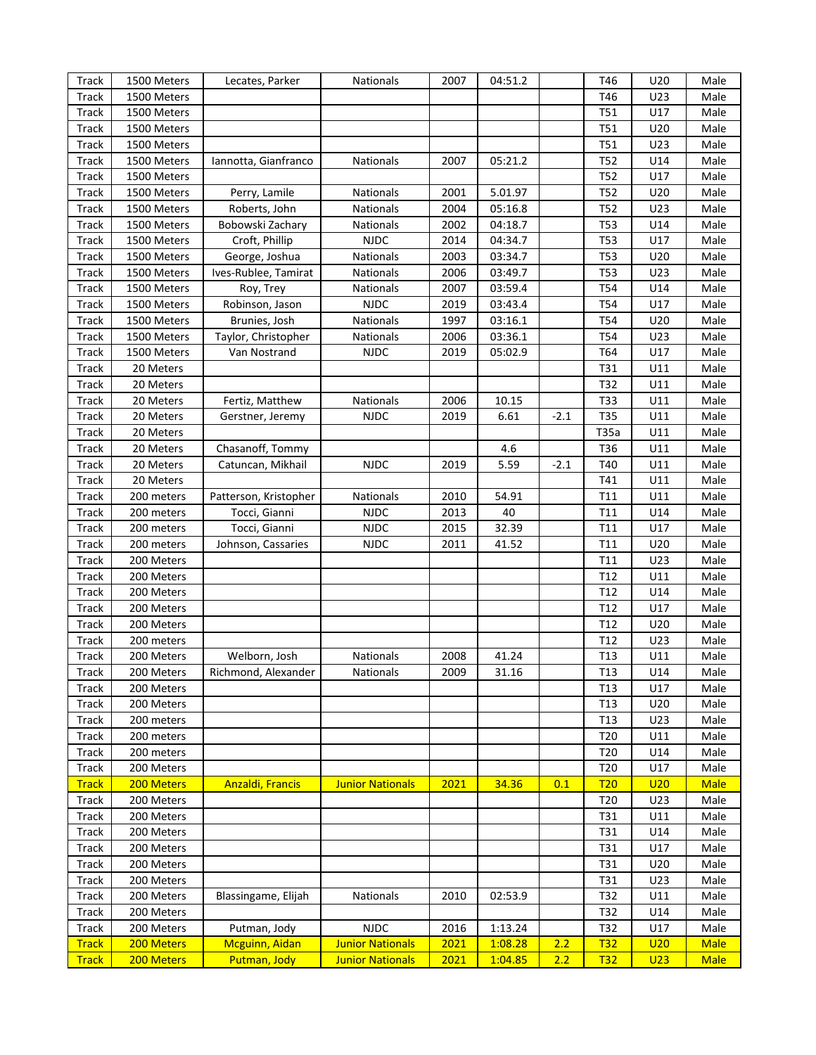| Track        | 1500 Meters | Lecates, Parker         | Nationals               | 2007 | 04:51.2 |        | T46             | U20             | Male        |
|--------------|-------------|-------------------------|-------------------------|------|---------|--------|-----------------|-----------------|-------------|
| <b>Track</b> | 1500 Meters |                         |                         |      |         |        | T46             | U23             | Male        |
| Track        | 1500 Meters |                         |                         |      |         |        | T51             | U17             | Male        |
| <b>Track</b> | 1500 Meters |                         |                         |      |         |        | T51             | U20             | Male        |
| <b>Track</b> | 1500 Meters |                         |                         |      |         |        | T51             | U23             | Male        |
| <b>Track</b> | 1500 Meters | Iannotta, Gianfranco    | Nationals               | 2007 | 05:21.2 |        | T52             | U14             | Male        |
| <b>Track</b> | 1500 Meters |                         |                         |      |         |        | T52             | U17             | Male        |
| <b>Track</b> | 1500 Meters | Perry, Lamile           | Nationals               | 2001 | 5.01.97 |        | T52             | U20             | Male        |
| <b>Track</b> | 1500 Meters | Roberts, John           | Nationals               | 2004 | 05:16.8 |        | <b>T52</b>      | U23             | Male        |
| <b>Track</b> | 1500 Meters | Bobowski Zachary        | Nationals               | 2002 | 04:18.7 |        | <b>T53</b>      | U14             | Male        |
| <b>Track</b> | 1500 Meters | Croft, Phillip          | <b>NJDC</b>             | 2014 | 04:34.7 |        | <b>T53</b>      | U17             | Male        |
| <b>Track</b> | 1500 Meters | George, Joshua          | Nationals               | 2003 | 03:34.7 |        | <b>T53</b>      | U20             | Male        |
| <b>Track</b> | 1500 Meters | Ives-Rublee, Tamirat    | Nationals               | 2006 | 03:49.7 |        | <b>T53</b>      | U23             | Male        |
| <b>Track</b> | 1500 Meters | Roy, Trey               | Nationals               | 2007 | 03:59.4 |        | T54             | U14             | Male        |
| <b>Track</b> | 1500 Meters | Robinson, Jason         | <b>NJDC</b>             | 2019 | 03:43.4 |        | T54             | U17             | Male        |
| <b>Track</b> | 1500 Meters | Brunies, Josh           | Nationals               | 1997 | 03:16.1 |        | T54             | U20             | Male        |
| <b>Track</b> | 1500 Meters | Taylor, Christopher     | Nationals               | 2006 | 03:36.1 |        | T54             | U23             | Male        |
| <b>Track</b> | 1500 Meters | Van Nostrand            | <b>NJDC</b>             | 2019 | 05:02.9 |        | T64             | U17             | Male        |
| <b>Track</b> | 20 Meters   |                         |                         |      |         |        | T31             | U11             | Male        |
| Track        | 20 Meters   |                         |                         |      |         |        | T32             | U11             | Male        |
| Track        | 20 Meters   | Fertiz, Matthew         | Nationals               | 2006 | 10.15   |        | T33             | U11             | Male        |
| Track        | 20 Meters   | Gerstner, Jeremy        | <b>NJDC</b>             | 2019 | 6.61    | $-2.1$ | T35             | U11             | Male        |
| Track        | 20 Meters   |                         |                         |      |         |        | T35a            | U11             | Male        |
| Track        | 20 Meters   | Chasanoff, Tommy        |                         |      | 4.6     |        | T36             | U11             | Male        |
| Track        | 20 Meters   | Catuncan, Mikhail       | <b>NJDC</b>             | 2019 | 5.59    | $-2.1$ | T40             | U11             | Male        |
| Track        | 20 Meters   |                         |                         |      |         |        | T41             | U11             | Male        |
| Track        | 200 meters  | Patterson, Kristopher   | Nationals               | 2010 | 54.91   |        | T11             | U11             | Male        |
| Track        | 200 meters  | Tocci, Gianni           | <b>NJDC</b>             | 2013 | 40      |        | T11             | U14             | Male        |
| Track        | 200 meters  | Tocci, Gianni           | <b>NJDC</b>             | 2015 | 32.39   |        | T11             | U17             | Male        |
| Track        | 200 meters  | Johnson, Cassaries      | <b>NJDC</b>             | 2011 | 41.52   |        | T11             | U20             | Male        |
| Track        | 200 Meters  |                         |                         |      |         |        | T11             | U23             | Male        |
| Track        | 200 Meters  |                         |                         |      |         |        | T <sub>12</sub> | U11             | Male        |
| Track        | 200 Meters  |                         |                         |      |         |        | T12             | U14             | Male        |
| Track        | 200 Meters  |                         |                         |      |         |        | T12             | U17             | Male        |
| Track        | 200 Meters  |                         |                         |      |         |        | T12             | U20             | Male        |
| Track        | 200 meters  |                         |                         |      |         |        | T12             | U23             | Male        |
| Track        | 200 Meters  | Welborn, Josh           | <b>Nationals</b>        | 2008 | 41.24   |        | T <sub>13</sub> | U11             | Male        |
| <b>Track</b> | 200 Meters  | Richmond, Alexander     | Nationals               | 2009 | 31.16   |        | T13             | U14             | Male        |
| Track        | 200 Meters  |                         |                         |      |         |        | T <sub>13</sub> | U17             | Male        |
| Track        | 200 Meters  |                         |                         |      |         |        | T <sub>13</sub> | U20             | Male        |
| Track        | 200 meters  |                         |                         |      |         |        | T <sub>13</sub> | U23             | Male        |
| Track        | 200 meters  |                         |                         |      |         |        | T <sub>20</sub> | U11             | Male        |
| Track        | 200 meters  |                         |                         |      |         |        | T <sub>20</sub> | U14             | Male        |
| Track        | 200 Meters  |                         |                         |      |         |        | T <sub>20</sub> | U17             | Male        |
| <b>Track</b> | 200 Meters  | <b>Anzaldi, Francis</b> | <b>Junior Nationals</b> | 2021 | 34.36   | 0.1    | T20             | U20             | <b>Male</b> |
| Track        | 200 Meters  |                         |                         |      |         |        | T <sub>20</sub> | U23             | Male        |
| Track        | 200 Meters  |                         |                         |      |         |        | T31             | U11             | Male        |
| Track        | 200 Meters  |                         |                         |      |         |        | T31             | U14             | Male        |
| Track        | 200 Meters  |                         |                         |      |         |        | T31             | U17             | Male        |
| Track        | 200 Meters  |                         |                         |      |         |        | T31             | U20             | Male        |
| Track        | 200 Meters  |                         |                         |      |         |        | T31             | U23             | Male        |
| Track        | 200 Meters  | Blassingame, Elijah     | Nationals               | 2010 | 02:53.9 |        | T32             | U11             | Male        |
| Track        | 200 Meters  |                         |                         |      |         |        | T32             | U14             | Male        |
| Track        | 200 Meters  | Putman, Jody            | <b>NJDC</b>             | 2016 | 1:13.24 |        | T32             | U17             | Male        |
| <b>Track</b> | 200 Meters  | <b>Mcguinn, Aidan</b>   | <b>Junior Nationals</b> | 2021 | 1:08.28 | 2.2    | <u>T32</u>      | U20             | <b>Male</b> |
| <b>Track</b> | 200 Meters  | Putman, Jody            | <b>Junior Nationals</b> | 2021 | 1:04.85 | 2.2    | <u>T32</u>      | U <sub>23</sub> | <b>Male</b> |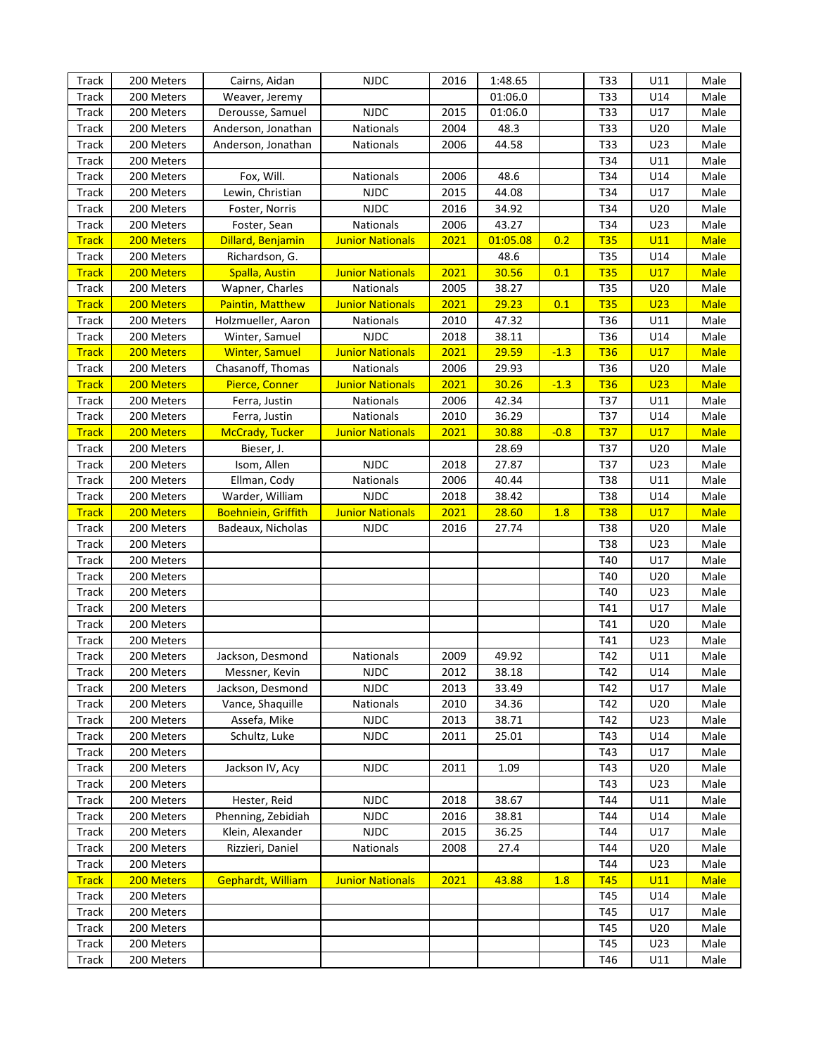| Track        | 200 Meters | Cairns, Aidan              | <b>NJDC</b>             | 2016 | 1:48.65  |        | T33        | U11             | Male        |
|--------------|------------|----------------------------|-------------------------|------|----------|--------|------------|-----------------|-------------|
| Track        | 200 Meters | Weaver, Jeremy             |                         |      | 01:06.0  |        | T33        | U14             | Male        |
| Track        | 200 Meters | Derousse, Samuel           | <b>NJDC</b>             | 2015 | 01:06.0  |        | T33        | U17             | Male        |
| Track        | 200 Meters | Anderson, Jonathan         | Nationals               | 2004 | 48.3     |        | T33        | U20             | Male        |
| Track        | 200 Meters | Anderson, Jonathan         | Nationals               | 2006 | 44.58    |        | T33        | U23             | Male        |
| Track        | 200 Meters |                            |                         |      |          |        | T34        | U11             | Male        |
| Track        | 200 Meters | Fox, Will.                 | Nationals               | 2006 | 48.6     |        | T34        | U14             | Male        |
| Track        | 200 Meters | Lewin, Christian           | <b>NJDC</b>             | 2015 | 44.08    |        | T34        | U17             | Male        |
| Track        | 200 Meters | Foster, Norris             | <b>NJDC</b>             | 2016 | 34.92    |        | T34        | U20             | Male        |
| Track        | 200 Meters | Foster, Sean               | Nationals               | 2006 | 43.27    |        | T34        | U23             | Male        |
| <b>Track</b> | 200 Meters | Dillard, Benjamin          | <b>Junior Nationals</b> | 2021 | 01:05.08 | 0.2    | <b>T35</b> | U11             | <b>Male</b> |
| Track        | 200 Meters | Richardson, G.             |                         |      | 48.6     |        | T35        | U14             | Male        |
| <b>Track</b> | 200 Meters |                            | <b>Junior Nationals</b> | 2021 | 30.56    | 0.1    | <b>T35</b> | U17             | <b>Male</b> |
|              |            | <b>Spalla, Austin</b>      |                         |      |          |        |            |                 |             |
| Track        | 200 Meters | Wapner, Charles            | Nationals               | 2005 | 38.27    |        | T35        | U20             | Male        |
| <b>Track</b> | 200 Meters | <b>Paintin, Matthew</b>    | <b>Junior Nationals</b> | 2021 | 29.23    | 0.1    | <b>T35</b> | U <sub>23</sub> | <b>Male</b> |
| Track        | 200 Meters | Holzmueller, Aaron         | Nationals               | 2010 | 47.32    |        | T36        | U11             | Male        |
| Track        | 200 Meters | Winter, Samuel             | <b>NJDC</b>             | 2018 | 38.11    |        | T36        | U14             | Male        |
| <b>Track</b> | 200 Meters | <b>Winter, Samuel</b>      | <b>Junior Nationals</b> | 2021 | 29.59    | $-1.3$ | <b>T36</b> | U17             | <b>Male</b> |
| Track        | 200 Meters | Chasanoff, Thomas          | Nationals               | 2006 | 29.93    |        | T36        | U20             | Male        |
| <b>Track</b> | 200 Meters | Pierce, Conner             | <b>Junior Nationals</b> | 2021 | 30.26    | $-1.3$ | <b>T36</b> | U <sub>23</sub> | <b>Male</b> |
| Track        | 200 Meters | Ferra, Justin              | Nationals               | 2006 | 42.34    |        | T37        | U11             | Male        |
| Track        | 200 Meters | Ferra, Justin              | Nationals               | 2010 | 36.29    |        | T37        | U14             | Male        |
| <b>Track</b> | 200 Meters | <b>McCrady, Tucker</b>     | <b>Junior Nationals</b> | 2021 | 30.88    | $-0.8$ | <b>T37</b> | U17             | <b>Male</b> |
| Track        | 200 Meters | Bieser, J.                 |                         |      | 28.69    |        | T37        | U20             | Male        |
| Track        | 200 Meters | Isom, Allen                | <b>NJDC</b>             | 2018 | 27.87    |        | T37        | U23             | Male        |
| Track        | 200 Meters | Ellman, Cody               | Nationals               | 2006 | 40.44    |        | <b>T38</b> | U11             | Male        |
| Track        | 200 Meters | Warder, William            | <b>NJDC</b>             | 2018 | 38.42    |        | <b>T38</b> | U14             | Male        |
| <b>Track</b> | 200 Meters | <b>Boehniein, Griffith</b> | <b>Junior Nationals</b> | 2021 | 28.60    | 1.8    | <b>T38</b> | <b>U17</b>      | <b>Male</b> |
| Track        | 200 Meters | Badeaux, Nicholas          | <b>NJDC</b>             | 2016 | 27.74    |        | <b>T38</b> | U20             | Male        |
| Track        | 200 Meters |                            |                         |      |          |        | <b>T38</b> | U23             | Male        |
| Track        | 200 Meters |                            |                         |      |          |        | T40        | U17             | Male        |
| Track        | 200 Meters |                            |                         |      |          |        | T40        | U20             | Male        |
| Track        | 200 Meters |                            |                         |      |          |        | T40        | U23             | Male        |
| Track        | 200 Meters |                            |                         |      |          |        | T41        | U17             | Male        |
| Track        | 200 Meters |                            |                         |      |          |        | T41        | U20             | Male        |
| Track        | 200 Meters |                            |                         |      |          |        | T41        | U23             | Male        |
| Track        | 200 Meters | Jackson, Desmond           | <b>Nationals</b>        | 2009 | 49.92    |        | T42        | U11             | Male        |
| Track        | 200 Meters | Messner, Kevin             | NJDC                    | 2012 | 38.18    |        | T42        | U14             | Male        |
| Track        | 200 Meters | Jackson, Desmond           | <b>NJDC</b>             | 2013 | 33.49    |        | T42        | U17             | Male        |
| Track        | 200 Meters | Vance, Shaquille           | Nationals               | 2010 | 34.36    |        | T42        | U20             | Male        |
| Track        | 200 Meters | Assefa, Mike               | <b>NJDC</b>             | 2013 | 38.71    |        | T42        | U23             | Male        |
| Track        | 200 Meters | Schultz, Luke              | <b>NJDC</b>             | 2011 | 25.01    |        | T43        | U14             | Male        |
| Track        | 200 Meters |                            |                         |      |          |        | T43        | U17             | Male        |
| Track        | 200 Meters | Jackson IV, Acy            | <b>NJDC</b>             | 2011 | 1.09     |        | T43        | U20             | Male        |
| Track        | 200 Meters |                            |                         |      |          |        | T43        | U23             | Male        |
| Track        | 200 Meters | Hester, Reid               | <b>NJDC</b>             | 2018 | 38.67    |        | T44        | U11             | Male        |
| Track        | 200 Meters | Phenning, Zebidiah         | <b>NJDC</b>             | 2016 | 38.81    |        | T44        | U14             | Male        |
| Track        | 200 Meters | Klein, Alexander           | <b>NJDC</b>             | 2015 | 36.25    |        | T44        | U17             | Male        |
| Track        | 200 Meters | Rizzieri, Daniel           | Nationals               | 2008 | 27.4     |        | T44        | U20             | Male        |
| Track        | 200 Meters |                            |                         |      |          |        | T44        | U23             | Male        |
| <b>Track</b> | 200 Meters | Gephardt, William          | <b>Junior Nationals</b> | 2021 | 43.88    | 1.8    | <b>T45</b> | U11             | <b>Male</b> |
| Track        | 200 Meters |                            |                         |      |          |        | T45        | U14             | Male        |
| Track        | 200 Meters |                            |                         |      |          |        | T45        | U17             | Male        |
| Track        | 200 Meters |                            |                         |      |          |        | T45        | U20             | Male        |
| Track        | 200 Meters |                            |                         |      |          |        | T45        | U23             | Male        |
|              |            |                            |                         |      |          |        |            |                 |             |
| Track        | 200 Meters |                            |                         |      |          |        | T46        | U11             | Male        |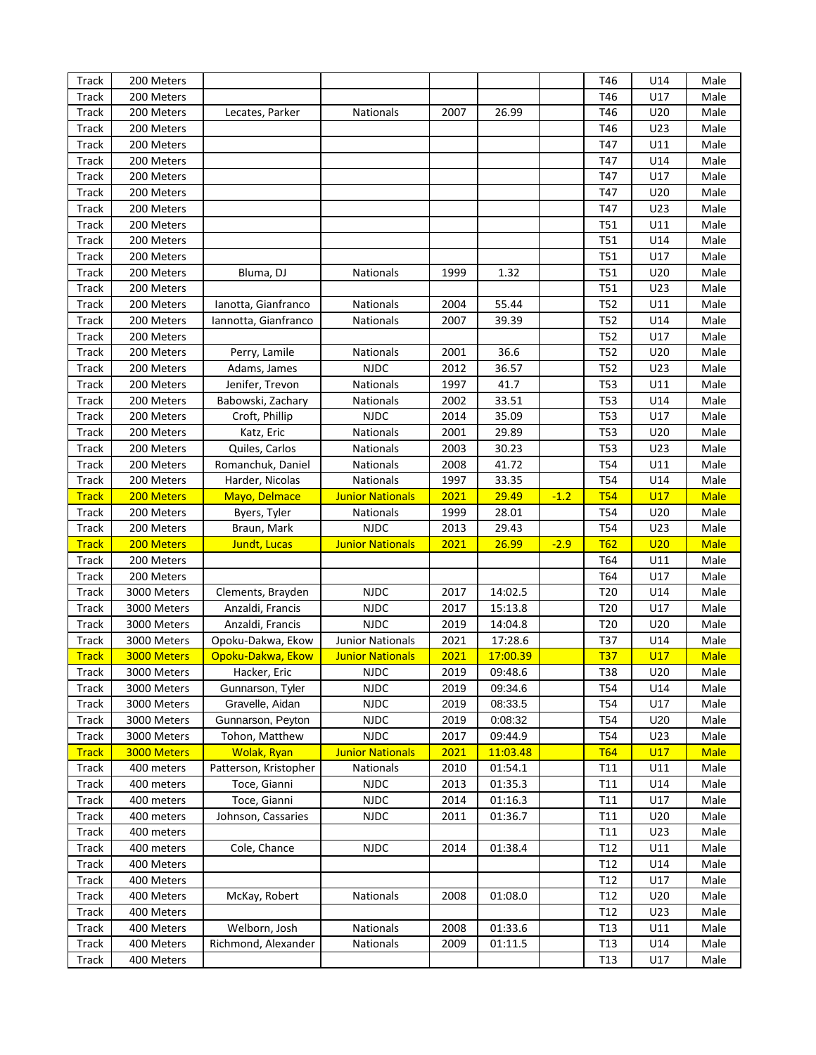| Track                        | 200 Meters               |                                      |                                      |      |          |        | T46                    | U14        | Male         |
|------------------------------|--------------------------|--------------------------------------|--------------------------------------|------|----------|--------|------------------------|------------|--------------|
| <b>Track</b>                 | 200 Meters               |                                      |                                      |      |          |        | T46                    | U17        | Male         |
| Track                        | 200 Meters               | Lecates, Parker                      | Nationals                            | 2007 | 26.99    |        | T46                    | U20        | Male         |
| Track                        | 200 Meters               |                                      |                                      |      |          |        | T46                    | U23        | Male         |
| Track                        | 200 Meters               |                                      |                                      |      |          |        | T47                    | U11        | Male         |
| <b>Track</b>                 | 200 Meters               |                                      |                                      |      |          |        | T47                    | U14        | Male         |
| <b>Track</b>                 | 200 Meters               |                                      |                                      |      |          |        | T47                    | U17        | Male         |
| <b>Track</b>                 | 200 Meters               |                                      |                                      |      |          |        | T47                    | U20        | Male         |
| <b>Track</b>                 | 200 Meters               |                                      |                                      |      |          |        | T47                    | U23        | Male         |
| <b>Track</b>                 | 200 Meters               |                                      |                                      |      |          |        | T51                    | U11        | Male         |
| <b>Track</b>                 | 200 Meters               |                                      |                                      |      |          |        | <b>T51</b>             | U14        | Male         |
| <b>Track</b>                 | 200 Meters               |                                      |                                      |      |          |        | <b>T51</b>             | U17        | Male         |
| Track                        | 200 Meters               | Bluma, DJ                            | Nationals                            | 1999 | 1.32     |        | <b>T51</b>             | U20        | Male         |
| <b>Track</b>                 | 200 Meters               |                                      |                                      |      |          |        | <b>T51</b>             | U23        | Male         |
|                              | 200 Meters               |                                      | Nationals                            | 2004 | 55.44    |        | T52                    | U11        | Male         |
| Track                        |                          | Ianotta, Gianfranco                  |                                      |      |          |        |                        |            |              |
| Track                        | 200 Meters               | Iannotta, Gianfranco                 | Nationals                            | 2007 | 39.39    |        | T52                    | U14        | Male         |
| <b>Track</b>                 | 200 Meters               |                                      |                                      |      |          |        | <b>T52</b>             | U17        | Male         |
| Track                        | 200 Meters               | Perry, Lamile                        | Nationals                            | 2001 | 36.6     |        | T52                    | U20        | Male         |
| <b>Track</b>                 | 200 Meters               | Adams, James                         | <b>NJDC</b>                          | 2012 | 36.57    |        | T52                    | U23        | Male         |
| <b>Track</b>                 | 200 Meters               | Jenifer, Trevon                      | Nationals                            | 1997 | 41.7     |        | <b>T53</b>             | U11        | Male         |
| Track                        | 200 Meters               | Babowski, Zachary                    | Nationals                            | 2002 | 33.51    |        | <b>T53</b>             | U14        | Male         |
| <b>Track</b>                 | 200 Meters               | Croft, Phillip                       | <b>NJDC</b>                          | 2014 | 35.09    |        | <b>T53</b>             | U17        | Male         |
| <b>Track</b>                 | 200 Meters               | Katz, Eric                           | Nationals                            | 2001 | 29.89    |        | <b>T53</b>             | U20        | Male         |
| Track                        | 200 Meters               | Quiles, Carlos                       | Nationals                            | 2003 | 30.23    |        | <b>T53</b>             | U23        | Male         |
| <b>Track</b>                 | 200 Meters               | Romanchuk, Daniel                    | Nationals                            | 2008 | 41.72    |        | T54                    | U11        | Male         |
| <b>Track</b>                 | 200 Meters               | Harder, Nicolas                      | Nationals                            | 1997 | 33.35    |        | T54                    | U14        | Male         |
| <b>Track</b>                 | 200 Meters               | Mayo, Delmace                        | <b>Junior Nationals</b>              | 2021 | 29.49    | $-1.2$ | <b>T54</b>             | U17        | <b>Male</b>  |
| Track                        | 200 Meters               | Byers, Tyler                         | <b>Nationals</b>                     | 1999 | 28.01    |        | T54                    | U20        | Male         |
|                              |                          |                                      |                                      |      |          |        |                        |            |              |
| <b>Track</b>                 | 200 Meters               | Braun, Mark                          | <b>NJDC</b>                          | 2013 | 29.43    |        | T54                    | U23        | Male         |
| <b>Track</b>                 | 200 Meters               | Jundt, Lucas                         | <b>Junior Nationals</b>              | 2021 | 26.99    | $-2.9$ | T62                    | U20        | <b>Male</b>  |
| Track                        | 200 Meters               |                                      |                                      |      |          |        | T64                    | U11        | Male         |
| Track                        | 200 Meters               |                                      |                                      |      |          |        | T64                    | U17        | Male         |
| <b>Track</b>                 | 3000 Meters              | Clements, Brayden                    | <b>NJDC</b>                          | 2017 | 14:02.5  |        | T <sub>20</sub>        | U14        | Male         |
| Track                        | 3000 Meters              | Anzaldi, Francis                     | <b>NJDC</b>                          | 2017 | 15:13.8  |        | T <sub>20</sub>        | U17        | Male         |
| Track                        | 3000 Meters              | Anzaldi, Francis                     | <b>NJDC</b>                          | 2019 | 14:04.8  |        | T <sub>20</sub>        | U20        | Male         |
| Track                        | 3000 Meters              | Opoku-Dakwa, Ekow                    | <b>Junior Nationals</b>              | 2021 | 17:28.6  |        | T37                    | U14        | Male         |
| <b>Track</b>                 | 3000 Meters              | Opoku-Dakwa, Ekow                    | <b>Junior Nationals</b>              | 2021 | 17:00.39 |        | <b>T37</b>             | U17        | <b>Male</b>  |
| Track                        | 3000 Meters              | Hacker, Eric                         | NJDC                                 | 2019 | 09:48.6  |        | T38                    | U20        | Male         |
| Track                        | 3000 Meters              | Gunnarson, Tyler                     | <b>NJDC</b>                          | 2019 | 09:34.6  |        | T54                    | U14        | Male         |
| <b>Track</b>                 | 3000 Meters              | Gravelle, Aidan                      | <b>NJDC</b>                          | 2019 | 08:33.5  |        | T54                    | U17        | Male         |
|                              | 3000 Meters              | Gunnarson, Peyton                    | <b>NJDC</b>                          | 2019 | 0:08:32  |        | T54                    | U20        | Male         |
| Track                        | 3000 Meters              |                                      | <b>NJDC</b>                          | 2017 | 09:44.9  |        | T54                    | U23        | Male         |
| Track                        | 3000 Meters              | Tohon, Matthew<br><b>Wolak, Ryan</b> |                                      | 2021 | 11:03.48 |        | <b>T64</b>             | U17        | <b>Male</b>  |
| <b>Track</b><br><b>Track</b> | 400 meters               | Patterson, Kristopher                | <b>Junior Nationals</b><br>Nationals |      |          |        |                        | U11        | Male         |
|                              |                          |                                      |                                      | 2010 | 01:54.1  |        | T11                    |            |              |
| <b>Track</b>                 | 400 meters               | Toce, Gianni                         | <b>NJDC</b>                          | 2013 | 01:35.3  |        | T11                    | U14        | Male         |
| Track                        | 400 meters               | Toce, Gianni                         | <b>NJDC</b>                          | 2014 | 01:16.3  |        | T <sub>11</sub>        | U17        | Male         |
| Track                        | 400 meters               | Johnson, Cassaries                   | <b>NJDC</b>                          | 2011 | 01:36.7  |        | T <sub>11</sub>        | U20        | Male         |
| Track                        | 400 meters               |                                      |                                      |      |          |        | T11                    | U23        | Male         |
| Track                        | 400 meters               | Cole, Chance                         | <b>NJDC</b>                          | 2014 | 01:38.4  |        | T <sub>12</sub>        | U11        | Male         |
| Track                        | 400 Meters               |                                      |                                      |      |          |        | T <sub>12</sub>        | U14        | Male         |
| Track                        | 400 Meters               |                                      |                                      |      |          |        | T <sub>12</sub>        | U17        | Male         |
| Track                        | 400 Meters               | McKay, Robert                        | Nationals                            | 2008 | 01:08.0  |        | T <sub>12</sub>        | U20        | Male         |
| Track                        | 400 Meters               |                                      |                                      |      |          |        | T <sub>12</sub>        | U23        | Male         |
| Track                        | 400 Meters               | Welborn, Josh                        | Nationals                            | 2008 | 01:33.6  |        | T13                    | U11        | Male         |
| Track<br>Track               | 400 Meters<br>400 Meters | Richmond, Alexander                  | Nationals                            | 2009 | 01:11.5  |        | T <sub>13</sub><br>T13 | U14<br>U17 | Male<br>Male |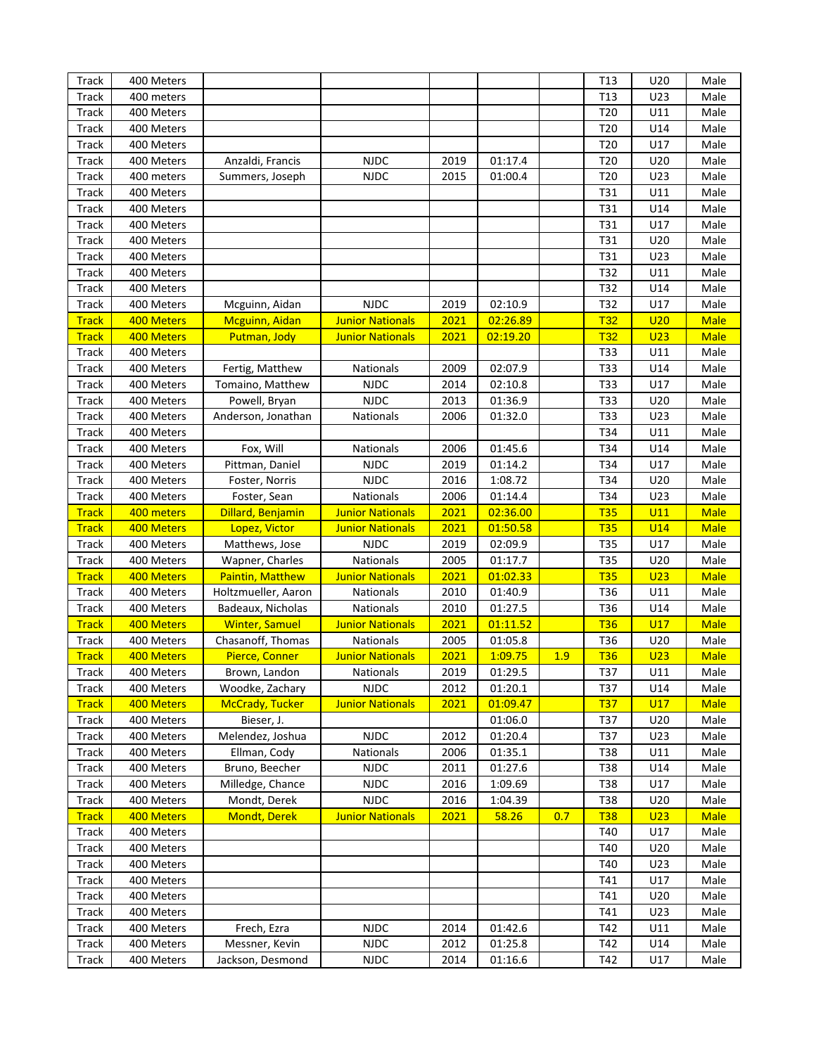| Track                        | 400 Meters |                                   |                         |             |          |     | T <sub>13</sub> | U20             | Male         |
|------------------------------|------------|-----------------------------------|-------------------------|-------------|----------|-----|-----------------|-----------------|--------------|
| Track                        | 400 meters |                                   |                         |             |          |     | T <sub>13</sub> | U23             | Male         |
| <b>Track</b>                 | 400 Meters |                                   |                         |             |          |     | T20             | U11             | Male         |
| Track                        | 400 Meters |                                   |                         |             |          |     | T20             | U14             | Male         |
| <b>Track</b>                 | 400 Meters |                                   |                         |             |          |     | T20             | U17             | Male         |
| <b>Track</b>                 | 400 Meters | Anzaldi, Francis                  | <b>NJDC</b>             | 2019        | 01:17.4  |     | T20             | U20             | Male         |
| <b>Track</b>                 | 400 meters | Summers, Joseph                   | <b>NJDC</b>             | 2015        | 01:00.4  |     | T20             | U23             | Male         |
| <b>Track</b>                 | 400 Meters |                                   |                         |             |          |     | T31             | U11             | Male         |
| <b>Track</b>                 | 400 Meters |                                   |                         |             |          |     | T31             | U14             | Male         |
| <b>Track</b>                 | 400 Meters |                                   |                         |             |          |     | T31             | U17             | Male         |
| Track                        | 400 Meters |                                   |                         |             |          |     | T31             | U20             | Male         |
| <b>Track</b>                 | 400 Meters |                                   |                         |             |          |     | T31             | U23             | Male         |
| <b>Track</b>                 | 400 Meters |                                   |                         |             |          |     | T32             | U11             | Male         |
| <b>Track</b>                 | 400 Meters |                                   |                         |             |          |     | T32             | U14             | Male         |
| <b>Track</b>                 | 400 Meters | Mcguinn, Aidan                    | <b>NJDC</b>             | 2019        | 02:10.9  |     | T32             | U17             | Male         |
| <b>Track</b>                 | 400 Meters | Mcguinn, Aidan                    | <b>Junior Nationals</b> | 2021        | 02:26.89 |     | <b>T32</b>      | U20             | <b>Male</b>  |
| <b>Track</b>                 | 400 Meters | Putman, Jody                      | <b>Junior Nationals</b> | <b>2021</b> | 02:19.20 |     | <b>T32</b>      | U <sub>23</sub> | <b>Male</b>  |
| <b>Track</b>                 | 400 Meters |                                   |                         |             |          |     | T33             | U11             | Male         |
| <b>Track</b>                 | 400 Meters | Fertig, Matthew                   | Nationals               | 2009        | 02:07.9  |     | T33             | U14             | Male         |
| <b>Track</b>                 | 400 Meters | Tomaino, Matthew                  | <b>NJDC</b>             | 2014        | 02:10.8  |     | T33             | U17             | Male         |
| <b>Track</b>                 | 400 Meters | Powell, Bryan                     | <b>NJDC</b>             | 2013        | 01:36.9  |     | T33             | U20             | Male         |
| <b>Track</b>                 | 400 Meters | Anderson, Jonathan                | Nationals               | 2006        | 01:32.0  |     | T33             | U23             | Male         |
| <b>Track</b>                 | 400 Meters |                                   |                         |             |          |     | T34             | U11             | Male         |
| <b>Track</b>                 | 400 Meters | Fox, Will                         | Nationals               | 2006        | 01:45.6  |     | T34             | U14             | Male         |
|                              | 400 Meters |                                   | <b>NJDC</b>             | 2019        | 01:14.2  |     | T34             | U17             | Male         |
| <b>Track</b>                 | 400 Meters | Pittman, Daniel                   | <b>NJDC</b>             | 2016        | 1:08.72  |     | T34             | U20             | Male         |
| <b>Track</b><br><b>Track</b> | 400 Meters | Foster, Norris<br>Foster, Sean    | Nationals               | 2006        | 01:14.4  |     | T34             | U23             | Male         |
| <b>Track</b>                 | 400 meters | Dillard, Benjamin                 | <b>Junior Nationals</b> | <b>2021</b> | 02:36.00 |     | <b>T35</b>      | U11             | <b>Male</b>  |
| <b>Track</b>                 | 400 Meters | Lopez, Victor                     | <b>Junior Nationals</b> | 2021        | 01:50.58 |     | <b>T35</b>      | U14             | <b>Male</b>  |
| Track                        | 400 Meters |                                   | <b>NJDC</b>             | 2019        | 02:09.9  |     | T35             | U17             | Male         |
| <b>Track</b>                 | 400 Meters | Matthews, Jose<br>Wapner, Charles | Nationals               | 2005        | 01:17.7  |     | T35             | U20             | Male         |
| <b>Track</b>                 | 400 Meters | <b>Paintin, Matthew</b>           | <b>Junior Nationals</b> | 2021        | 01:02.33 |     | <b>T35</b>      | U <sub>23</sub> | <b>Male</b>  |
| <b>Track</b>                 | 400 Meters | Holtzmueller, Aaron               | Nationals               | 2010        | 01:40.9  |     | T36             | U11             | Male         |
| <b>Track</b>                 | 400 Meters | Badeaux, Nicholas                 | <b>Nationals</b>        | 2010        | 01:27.5  |     | T36             | U14             | Male         |
| <b>Track</b>                 | 400 Meters | <b>Winter, Samuel</b>             | <b>Junior Nationals</b> | 2021        | 01:11.52 |     | <b>T36</b>      | U17             | <b>Male</b>  |
| <b>Track</b>                 | 400 Meters | Chasanoff, Thomas                 | Nationals               | 2005        | 01:05.8  |     | T36             | U20             | Male         |
| <b>Track</b>                 | 400 Meters | Pierce, Conner                    | <b>Junior Nationals</b> | 2021        | 1:09.75  | 1.9 | <b>T36</b>      | U <sub>23</sub> | <b>Male</b>  |
|                              | 400 Meters |                                   | <b>Nationals</b>        | 2019        | 01:29.5  |     | T37             |                 |              |
| Track<br>Track               | 400 Meters | Brown, Landon<br>Woodke, Zachary  | <b>NJDC</b>             | 2012        | 01:20.1  |     | T37             | U11<br>U14      | Male<br>Male |
| <b>Track</b>                 | 400 Meters | <b>McCrady, Tucker</b>            | <b>Junior Nationals</b> | 2021        | 01:09.47 |     | <u>T37</u>      | U17             | <b>Male</b>  |
| Track                        | 400 Meters | Bieser, J.                        |                         |             | 01:06.0  |     | T37             | U20             | Male         |
| Track                        | 400 Meters | Melendez, Joshua                  | <b>NJDC</b>             | 2012        | 01:20.4  |     | T37             | U23             | Male         |
| Track                        | 400 Meters | Ellman, Cody                      | Nationals               | 2006        | 01:35.1  |     | T38             | U11             | Male         |
| Track                        | 400 Meters | Bruno, Beecher                    | <b>NJDC</b>             | 2011        | 01:27.6  |     | T38             | U14             | Male         |
| Track                        | 400 Meters | Milledge, Chance                  | <b>NJDC</b>             | 2016        | 1:09.69  |     | T38             | U17             | Male         |
| Track                        | 400 Meters | Mondt, Derek                      | <b>NJDC</b>             | 2016        | 1:04.39  |     | T38             | U20             | Male         |
| <b>Track</b>                 | 400 Meters | <b>Mondt, Derek</b>               | <b>Junior Nationals</b> | 2021        | 58.26    | 0.7 | <b>T38</b>      | U <sub>23</sub> | <b>Male</b>  |
| Track                        | 400 Meters |                                   |                         |             |          |     | T40             | U17             | Male         |
| Track                        | 400 Meters |                                   |                         |             |          |     | T40             | U20             | Male         |
| Track                        | 400 Meters |                                   |                         |             |          |     | T40             | U23             | Male         |
| Track                        | 400 Meters |                                   |                         |             |          |     | T41             | U17             | Male         |
| Track                        | 400 Meters |                                   |                         |             |          |     | T41             | U20             | Male         |
|                              | 400 Meters |                                   |                         |             |          |     | T41             | U23             | Male         |
| Track<br>Track               | 400 Meters | Frech, Ezra                       | <b>NJDC</b>             | 2014        | 01:42.6  |     | T42             | U11             | Male         |
|                              | 400 Meters | Messner, Kevin                    | <b>NJDC</b>             |             |          |     | T42             | U14             | Male         |
| Track                        |            |                                   |                         | 2012        | 01:25.8  |     |                 |                 |              |
| Track                        | 400 Meters | Jackson, Desmond                  | <b>NJDC</b>             | 2014        | 01:16.6  |     | T42             | U17             | Male         |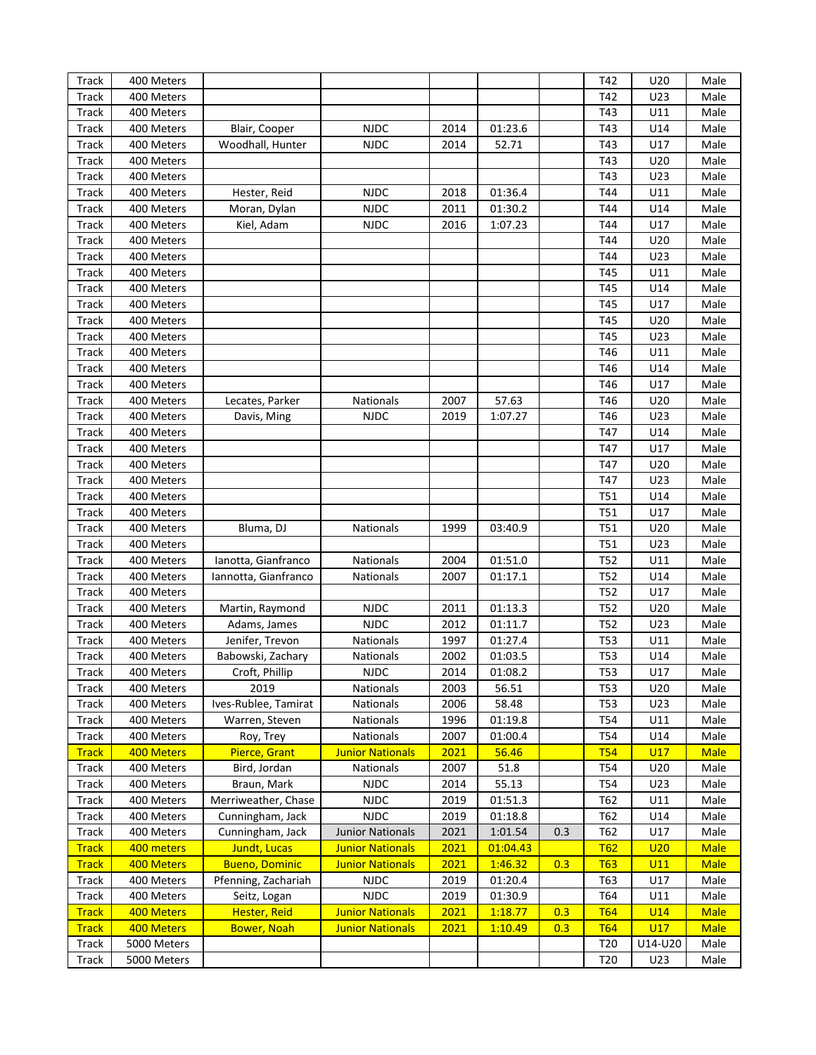| Track        | 400 Meters  |                       |                         |             |                    |     | T42             | U20        | Male        |
|--------------|-------------|-----------------------|-------------------------|-------------|--------------------|-----|-----------------|------------|-------------|
| <b>Track</b> | 400 Meters  |                       |                         |             |                    |     | T42             | U23        | Male        |
| <b>Track</b> | 400 Meters  |                       |                         |             |                    |     | T43             | U11        | Male        |
| <b>Track</b> | 400 Meters  | Blair, Cooper         | <b>NJDC</b>             | 2014        | 01:23.6            |     | T43             | U14        | Male        |
| <b>Track</b> | 400 Meters  | Woodhall, Hunter      | <b>NJDC</b>             | 2014        | 52.71              |     | T43             | U17        | Male        |
| <b>Track</b> | 400 Meters  |                       |                         |             |                    |     | T43             | U20        | Male        |
| <b>Track</b> | 400 Meters  |                       |                         |             |                    |     | T43             | U23        | Male        |
| <b>Track</b> | 400 Meters  | Hester, Reid          | <b>NJDC</b>             | 2018        | 01:36.4            |     | T44             | U11        | Male        |
| <b>Track</b> | 400 Meters  | Moran, Dylan          | <b>NJDC</b>             | 2011        | 01:30.2            |     | T44             | U14        | Male        |
| <b>Track</b> | 400 Meters  | Kiel, Adam            | <b>NJDC</b>             | 2016        | 1:07.23            |     | T44             | U17        | Male        |
| <b>Track</b> | 400 Meters  |                       |                         |             |                    |     | T44             | U20        | Male        |
| <b>Track</b> | 400 Meters  |                       |                         |             |                    |     | T44             | U23        | Male        |
| <b>Track</b> | 400 Meters  |                       |                         |             |                    |     | T45             | U11        | Male        |
|              | 400 Meters  |                       |                         |             |                    |     | T45             | U14        | Male        |
| <b>Track</b> |             |                       |                         |             |                    |     |                 |            |             |
| <b>Track</b> | 400 Meters  |                       |                         |             |                    |     | T45             | U17        | Male        |
| <b>Track</b> | 400 Meters  |                       |                         |             |                    |     | T45             | U20        | Male        |
| <b>Track</b> | 400 Meters  |                       |                         |             |                    |     | T45             | U23        | Male        |
| <b>Track</b> | 400 Meters  |                       |                         |             |                    |     | T46             | U11        | Male        |
| <b>Track</b> | 400 Meters  |                       |                         |             |                    |     | T46             | U14        | Male        |
| <b>Track</b> | 400 Meters  |                       |                         |             |                    |     | T46             | U17        | Male        |
| <b>Track</b> | 400 Meters  | Lecates, Parker       | Nationals               | 2007        | 57.63              |     | T46             | U20        | Male        |
| <b>Track</b> | 400 Meters  | Davis, Ming           | <b>NJDC</b>             | 2019        | 1:07.27            |     | T46             | U23        | Male        |
| <b>Track</b> | 400 Meters  |                       |                         |             |                    |     | T47             | U14        | Male        |
| <b>Track</b> | 400 Meters  |                       |                         |             |                    |     | T47             | U17        | Male        |
| <b>Track</b> | 400 Meters  |                       |                         |             |                    |     | T47             | U20        | Male        |
| <b>Track</b> | 400 Meters  |                       |                         |             |                    |     | T47             | U23        | Male        |
| <b>Track</b> | 400 Meters  |                       |                         |             |                    |     | T51             | U14        | Male        |
| <b>Track</b> | 400 Meters  |                       |                         |             |                    |     | <b>T51</b>      | U17        | Male        |
| <b>Track</b> | 400 Meters  | Bluma, DJ             | <b>Nationals</b>        | 1999        | 03:40.9            |     | T51             | U20        | Male        |
| <b>Track</b> | 400 Meters  |                       |                         |             |                    |     | <b>T51</b>      | U23        | Male        |
| <b>Track</b> | 400 Meters  | Ianotta, Gianfranco   | Nationals               | 2004        | 01:51.0            |     | T52             | U11        | Male        |
| <b>Track</b> | 400 Meters  | Iannotta, Gianfranco  | Nationals               | 2007        | 01:17.1            |     | T52             | U14        | Male        |
| <b>Track</b> | 400 Meters  |                       |                         |             |                    |     | T52             | U17        | Male        |
| <b>Track</b> | 400 Meters  | Martin, Raymond       | <b>NJDC</b>             | 2011        | 01:13.3            |     | T52             | U20        | Male        |
| <b>Track</b> | 400 Meters  | Adams, James          | <b>NJDC</b>             | 2012        | 01:11.7            |     | T52             | U23        | Male        |
| Track        | 400 Meters  | Jenifer, Trevon       | Nationals               | 1997        | 01:27.4            |     | T53             | U11        | Male        |
| <b>Track</b> | 400 Meters  | Babowski, Zachary     | <b>Nationals</b>        | 2002        | 01:03.5            |     | <b>T53</b>      | U14        | Male        |
| <b>Track</b> | 400 Meters  | Croft, Phillip        | <b>NJDC</b>             | 2014        | 01:08.2            |     | T53             | U17        | Male        |
| Track        | 400 Meters  | 2019                  | Nationals               | 2003        | 56.51              |     | T53             | U20        | Male        |
| Track        | 400 Meters  | Ives-Rublee, Tamirat  | Nationals               | 2006        | 58.48              |     | T53             | U23        | Male        |
| Track        | 400 Meters  | Warren, Steven        | Nationals               | 1996        | 01:19.8            |     | T54             | U11        | Male        |
| Track        | 400 Meters  | Roy, Trey             | Nationals               | 2007        | 01:00.4            |     | T54             | U14        | Male        |
| <b>Track</b> | 400 Meters  | Pierce, Grant         | <b>Junior Nationals</b> | 2021        | 56.46              |     | <b>T54</b>      | U17        | <b>Male</b> |
| Track        | 400 Meters  | Bird, Jordan          | Nationals               | 2007        | 51.8               |     | T54             | U20        | Male        |
| Track        | 400 Meters  | Braun, Mark           | <b>NJDC</b>             | 2014        | 55.13              |     | T54             | U23        | Male        |
| Track        | 400 Meters  | Merriweather, Chase   | <b>NJDC</b>             | 2019        | 01:51.3            |     | T62             | U11        | Male        |
| <b>Track</b> | 400 Meters  | Cunningham, Jack      | <b>NJDC</b>             | 2019        | 01:18.8            |     | T62             | U14        | Male        |
| Track        | 400 Meters  | Cunningham, Jack      | <b>Junior Nationals</b> | 2021        | 1:01.54            | 0.3 | T62             | U17        | Male        |
| <b>Track</b> | 400 meters  | <b>Jundt, Lucas</b>   | <b>Junior Nationals</b> | <b>2021</b> | 01:04.43           |     | <u>T62</u>      | U20        | <b>Male</b> |
| <b>Track</b> | 400 Meters  | <b>Bueno, Dominic</b> | <b>Junior Nationals</b> | <b>2021</b> | 1:46.32            | 0.3 | <b>T63</b>      | U11        | <b>Male</b> |
| Track        | 400 Meters  | Pfenning, Zachariah   | <b>NJDC</b>             | 2019        | 01:20.4            |     | T63             | U17        | Male        |
|              | 400 Meters  |                       | <b>NJDC</b>             |             |                    |     | T64             | U11        | Male        |
| Track        | 400 Meters  | Seitz, Logan          |                         | 2019        | 01:30.9<br>1:18.77 |     |                 |            |             |
| <b>Track</b> |             | <b>Hester, Reid</b>   | <b>Junior Nationals</b> | 2021        |                    | 0.3 | <b>T64</b>      | <b>U14</b> | <b>Male</b> |
| <b>Track</b> | 400 Meters  | <b>Bower, Noah</b>    | <b>Junior Nationals</b> | 2021        | 1:10.49            | 0.3 | <b>T64</b>      | U17        | <b>Male</b> |
| Track        | 5000 Meters |                       |                         |             |                    |     | T <sub>20</sub> | U14-U20    | Male        |
| Track        | 5000 Meters |                       |                         |             |                    |     | T <sub>20</sub> | U23        | Male        |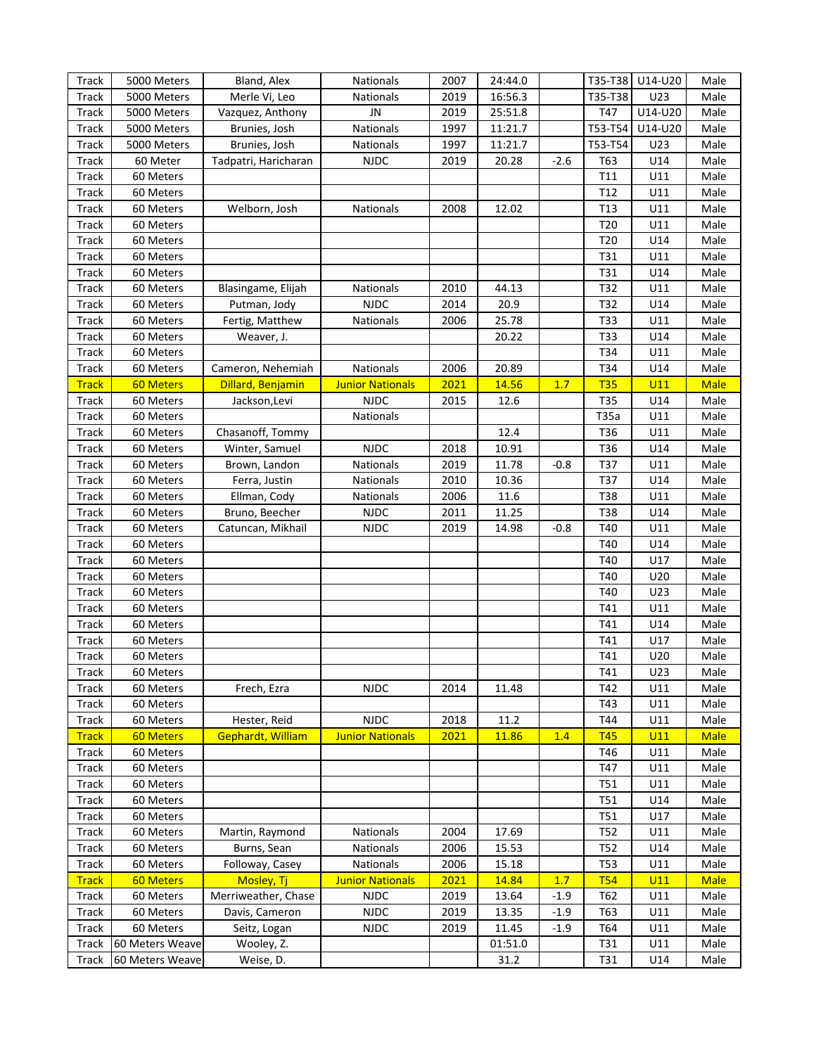| Track        | 5000 Meters      | Bland, Alex              | Nationals               | 2007 | 24:44.0 |        |                 | T35-T38 U14-U20 | Male        |
|--------------|------------------|--------------------------|-------------------------|------|---------|--------|-----------------|-----------------|-------------|
| Track        | 5000 Meters      | Merle Vi, Leo            | Nationals               | 2019 | 16:56.3 |        | T35-T38         | U23             | Male        |
| Track        | 5000 Meters      | Vazquez, Anthony         | JN                      | 2019 | 25:51.8 |        | T47             | U14-U20         | Male        |
| Track        | 5000 Meters      | Brunies, Josh            | Nationals               | 1997 | 11:21.7 |        | T53-T54         | U14-U20         | Male        |
| Track        | 5000 Meters      | Brunies, Josh            | Nationals               | 1997 | 11:21.7 |        | T53-T54         | U23             | Male        |
| Track        | 60 Meter         | Tadpatri, Haricharan     | <b>NJDC</b>             | 2019 | 20.28   | $-2.6$ | T63             | U14             | Male        |
| Track        | 60 Meters        |                          |                         |      |         |        | T11             | U11             | Male        |
| Track        | 60 Meters        |                          |                         |      |         |        | T12             | U11             | Male        |
| Track        | 60 Meters        | Welborn, Josh            | Nationals               | 2008 | 12.02   |        | T <sub>13</sub> | U11             | Male        |
| Track        | 60 Meters        |                          |                         |      |         |        | T <sub>20</sub> | U11             | Male        |
| Track        | 60 Meters        |                          |                         |      |         |        | T <sub>20</sub> | U14             | Male        |
| Track        | 60 Meters        |                          |                         |      |         |        | T31             | U11             | Male        |
| Track        | 60 Meters        |                          |                         |      |         |        | T31             | U14             | Male        |
| Track        | 60 Meters        | Blasingame, Elijah       | Nationals               | 2010 | 44.13   |        | T32             | U11             | Male        |
| Track        | 60 Meters        | Putman, Jody             | <b>NJDC</b>             | 2014 | 20.9    |        | T32             | U14             | Male        |
| Track        | 60 Meters        |                          |                         | 2006 | 25.78   |        | T33             | U11             | Male        |
| Track        | 60 Meters        | Fertig, Matthew          | Nationals               |      | 20.22   |        | T33             | U14             | Male        |
|              |                  | Weaver, J.               |                         |      |         |        |                 |                 |             |
| Track        | 60 Meters        |                          |                         |      |         |        | T34             | U11             | Male        |
| Track        | 60 Meters        | Cameron, Nehemiah        | Nationals               | 2006 | 20.89   |        | T34             | U14             | Male        |
| <b>Track</b> | <b>60 Meters</b> | Dillard, Benjamin        | <b>Junior Nationals</b> | 2021 | 14.56   | 1.7    | <b>T35</b>      | U11             | <b>Male</b> |
| Track        | 60 Meters        | Jackson, Levi            | <b>NJDC</b>             | 2015 | 12.6    |        | T35             | U14             | Male        |
| Track        | 60 Meters        |                          | Nationals               |      |         |        | T35a            | U11             | Male        |
| Track        | 60 Meters        | Chasanoff, Tommy         |                         |      | 12.4    |        | T36             | U11             | Male        |
| Track        | 60 Meters        | Winter, Samuel           | <b>NJDC</b>             | 2018 | 10.91   |        | T36             | U14             | Male        |
| Track        | 60 Meters        | Brown, Landon            | Nationals               | 2019 | 11.78   | $-0.8$ | T37             | U11             | Male        |
| Track        | 60 Meters        | Ferra, Justin            | Nationals               | 2010 | 10.36   |        | T37             | U14             | Male        |
| Track        | 60 Meters        | Ellman, Cody             | Nationals               | 2006 | 11.6    |        | T38             | U11             | Male        |
| Track        | 60 Meters        | Bruno, Beecher           | <b>NJDC</b>             | 2011 | 11.25   |        | T38             | U14             | Male        |
| Track        | 60 Meters        | Catuncan, Mikhail        | <b>NJDC</b>             | 2019 | 14.98   | $-0.8$ | T40             | U11             | Male        |
| Track        | 60 Meters        |                          |                         |      |         |        | T40             | U14             | Male        |
| Track        | 60 Meters        |                          |                         |      |         |        | T40             | U17             | Male        |
| Track        | 60 Meters        |                          |                         |      |         |        | T40             | U20             | Male        |
| Track        | 60 Meters        |                          |                         |      |         |        | T40             | U23             | Male        |
| Track        | 60 Meters        |                          |                         |      |         |        | T41             | U11             | Male        |
| Track        | 60 Meters        |                          |                         |      |         |        | T41             | U14             | Male        |
| Track        | 60 Meters        |                          |                         |      |         |        | T41             | U17             | Male        |
| Track        | 60 Meters        |                          |                         |      |         |        | T41             | U20             | Male        |
| Track        | 60 Meters        |                          |                         |      |         |        | T41             | U23             | Male        |
| Track        | 60 Meters        | Frech, Ezra              | <b>NJDC</b>             | 2014 | 11.48   |        | T42             | U11             | Male        |
| Track        | 60 Meters        |                          |                         |      |         |        | T43             | U11             | Male        |
| Track        | 60 Meters        | Hester, Reid             | <b>NJDC</b>             | 2018 | 11.2    |        | T44             | U11             | Male        |
| <b>Track</b> | <b>60 Meters</b> | <b>Gephardt, William</b> | <b>Junior Nationals</b> | 2021 | 11.86   | 1.4    | <b>T45</b>      | U11             | <b>Male</b> |
| Track        | 60 Meters        |                          |                         |      |         |        | T46             | U11             | Male        |
| Track        | 60 Meters        |                          |                         |      |         |        | T47             | U11             | Male        |
| Track        | 60 Meters        |                          |                         |      |         |        | T51             | U11             | Male        |
| Track        | 60 Meters        |                          |                         |      |         |        | T51             | U14             | Male        |
| Track        | 60 Meters        |                          |                         |      |         |        | T51             | U17             | Male        |
| <b>Track</b> | 60 Meters        | Martin, Raymond          | Nationals               | 2004 | 17.69   |        | T <sub>52</sub> | U11             | Male        |
| Track        | 60 Meters        | Burns, Sean              | Nationals               | 2006 | 15.53   |        | T <sub>52</sub> | U14             | Male        |
| Track        | 60 Meters        | Followay, Casey          | Nationals               | 2006 | 15.18   |        | <b>T53</b>      | U11             | Male        |
| <b>Track</b> | <b>60 Meters</b> | Mosley, Tj               | <b>Junior Nationals</b> | 2021 | 14.84   | 1.7    | <b>T54</b>      | U11             | <b>Male</b> |
|              | 60 Meters        | Merriweather, Chase      | <b>NJDC</b>             | 2019 | 13.64   | $-1.9$ |                 | U11             | Male        |
| Track        | 60 Meters        | Davis, Cameron           | <b>NJDC</b>             | 2019 | 13.35   | $-1.9$ | T62             | U11             | Male        |
| Track        |                  |                          |                         |      |         |        | T63             |                 |             |
| Track        | 60 Meters        | Seitz, Logan             | <b>NJDC</b>             | 2019 | 11.45   | $-1.9$ | T64             | U11             | Male        |
| Track        | 60 Meters Weave  | Wooley, Z.               |                         |      | 01:51.0 |        | T31             | U11             | Male        |
| Track        | 60 Meters Weave  | Weise, D.                |                         |      | 31.2    |        | T31             | U14             | Male        |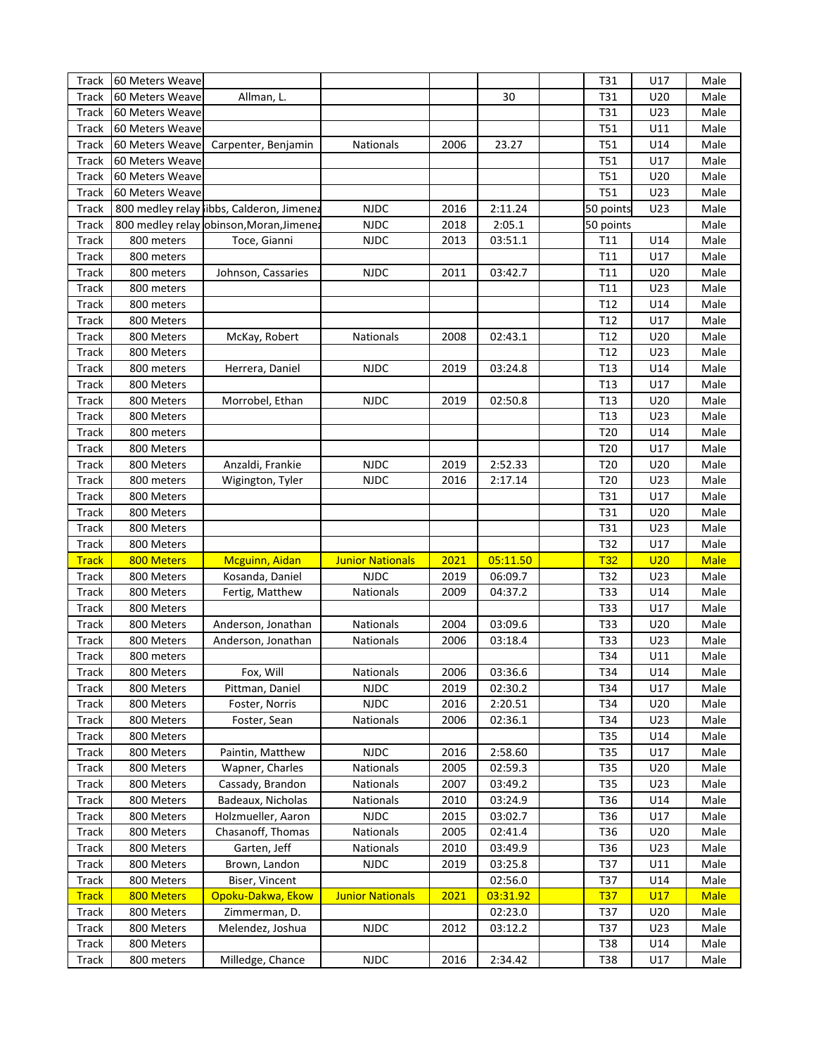| Track        | 60 Meters Weave |                                           |                         |      |          | T31             | U17 | Male        |
|--------------|-----------------|-------------------------------------------|-------------------------|------|----------|-----------------|-----|-------------|
| <b>Track</b> | 60 Meters Weave | Allman, L.                                |                         |      | 30       | T31             | U20 | Male        |
| <b>Track</b> | 60 Meters Weave |                                           |                         |      |          | T31             | U23 | Male        |
| <b>Track</b> | 60 Meters Weave |                                           |                         |      |          | <b>T51</b>      | U11 | Male        |
| <b>Track</b> | 60 Meters Weave | Carpenter, Benjamin                       | Nationals               | 2006 | 23.27    | <b>T51</b>      | U14 | Male        |
| <b>Track</b> | 60 Meters Weave |                                           |                         |      |          | <b>T51</b>      | U17 | Male        |
| <b>Track</b> | 60 Meters Weave |                                           |                         |      |          | <b>T51</b>      | U20 | Male        |
| <b>Track</b> | 60 Meters Weave |                                           |                         |      |          | T51             | U23 | Male        |
| <b>Track</b> |                 | 800 medley relay libbs, Calderon, Jimenez | <b>NJDC</b>             | 2016 | 2:11.24  | 50 points       | U23 | Male        |
| <b>Track</b> |                 | 800 medley relay obinson, Moran, Jimenez  | <b>NJDC</b>             | 2018 | 2:05.1   | 50 points       |     | Male        |
| Track        | 800 meters      | Toce, Gianni                              | <b>NJDC</b>             | 2013 | 03:51.1  | T11             | U14 | Male        |
| Track        | 800 meters      |                                           |                         |      |          | T11             | U17 | Male        |
| Track        | 800 meters      | Johnson, Cassaries                        | <b>NJDC</b>             | 2011 | 03:42.7  | T11             | U20 | Male        |
| Track        | 800 meters      |                                           |                         |      |          | T11             | U23 | Male        |
| Track        | 800 meters      |                                           |                         |      |          | T <sub>12</sub> | U14 | Male        |
| Track        | 800 Meters      |                                           |                         |      |          | T <sub>12</sub> | U17 | Male        |
|              | 800 Meters      |                                           | Nationals               | 2008 |          | T12             | U20 | Male        |
| Track        |                 | McKay, Robert                             |                         |      | 02:43.1  |                 |     |             |
| Track        | 800 Meters      |                                           |                         |      |          | T12             | U23 | Male        |
| Track        | 800 meters      | Herrera, Daniel                           | <b>NJDC</b>             | 2019 | 03:24.8  | T <sub>13</sub> | U14 | Male        |
| Track        | 800 Meters      |                                           |                         |      |          | T <sub>13</sub> | U17 | Male        |
| Track        | 800 Meters      | Morrobel, Ethan                           | <b>NJDC</b>             | 2019 | 02:50.8  | T13             | U20 | Male        |
| Track        | 800 Meters      |                                           |                         |      |          | T <sub>13</sub> | U23 | Male        |
| Track        | 800 meters      |                                           |                         |      |          | T20             | U14 | Male        |
| Track        | 800 Meters      |                                           |                         |      |          | T20             | U17 | Male        |
| Track        | 800 Meters      | Anzaldi, Frankie                          | <b>NJDC</b>             | 2019 | 2:52.33  | T20             | U20 | Male        |
| Track        | 800 meters      | Wigington, Tyler                          | <b>NJDC</b>             | 2016 | 2:17.14  | T20             | U23 | Male        |
| Track        | 800 Meters      |                                           |                         |      |          | T31             | U17 | Male        |
| Track        | 800 Meters      |                                           |                         |      |          | T31             | U20 | Male        |
| Track        | 800 Meters      |                                           |                         |      |          | T31             | U23 | Male        |
| Track        | 800 Meters      |                                           |                         |      |          | T32             | U17 | Male        |
| <b>Track</b> | 800 Meters      | Mcguinn, Aidan                            | <b>Junior Nationals</b> | 2021 | 05:11.50 | T32             | U20 | <b>Male</b> |
| Track        | 800 Meters      | Kosanda, Daniel                           | <b>NJDC</b>             | 2019 | 06:09.7  | T32             | U23 | Male        |
| Track        | 800 Meters      | Fertig, Matthew                           | Nationals               | 2009 | 04:37.2  | T33             | U14 | Male        |
| Track        | 800 Meters      |                                           |                         |      |          | T33             | U17 | Male        |
| Track        | 800 Meters      | Anderson, Jonathan                        | Nationals               | 2004 | 03:09.6  | T33             | U20 | Male        |
| Track        | 800 Meters      | Anderson, Jonathan                        | Nationals               | 2006 | 03:18.4  | T33             | U23 | Male        |
| Track        | 800 meters      |                                           |                         |      |          | T34             | U11 | Male        |
| <b>Track</b> | 800 Meters      | Fox, Will                                 | <b>Nationals</b>        | 2006 | 03:36.6  | T34             | U14 | Male        |
| Track        | 800 Meters      | Pittman, Daniel                           | <b>NJDC</b>             | 2019 | 02:30.2  | T34             | U17 | Male        |
| Track        | 800 Meters      | Foster, Norris                            | <b>NJDC</b>             | 2016 | 2:20.51  | T34             | U20 | Male        |
| Track        | 800 Meters      | Foster, Sean                              | Nationals               | 2006 | 02:36.1  | T34             | U23 | Male        |
| Track        | 800 Meters      |                                           |                         |      |          | T35             | U14 | Male        |
| Track        | 800 Meters      | Paintin, Matthew                          | <b>NJDC</b>             | 2016 | 2:58.60  | T35             | U17 | Male        |
| Track        | 800 Meters      | Wapner, Charles                           | Nationals               | 2005 | 02:59.3  | T35             | U20 | Male        |
| Track        | 800 Meters      | Cassady, Brandon                          | <b>Nationals</b>        | 2007 | 03:49.2  | T35             | U23 | Male        |
| Track        | 800 Meters      | Badeaux, Nicholas                         | Nationals               | 2010 | 03:24.9  | T36             | U14 | Male        |
| Track        | 800 Meters      | Holzmueller, Aaron                        | <b>NJDC</b>             | 2015 | 03:02.7  | T36             | U17 | Male        |
| Track        | 800 Meters      | Chasanoff, Thomas                         | Nationals               | 2005 | 02:41.4  | T36             | U20 | Male        |
| Track        | 800 Meters      | Garten, Jeff                              | Nationals               | 2010 | 03:49.9  | T36             | U23 | Male        |
| Track        | 800 Meters      | Brown, Landon                             | <b>NJDC</b>             | 2019 | 03:25.8  | T37             | U11 | Male        |
| Track        | 800 Meters      | Biser, Vincent                            |                         |      | 02:56.0  | T37             | U14 | Male        |
| <b>Track</b> | 800 Meters      | Opoku-Dakwa, Ekow                         | <b>Junior Nationals</b> | 2021 | 03:31.92 | <u>T37</u>      | U17 | <b>Male</b> |
| Track        | 800 Meters      | Zimmerman, D.                             |                         |      | 02:23.0  | T37             | U20 | Male        |
| Track        | 800 Meters      | Melendez, Joshua                          | <b>NJDC</b>             | 2012 | 03:12.2  | T37             | U23 | Male        |
| Track        | 800 Meters      |                                           |                         |      |          | T38             | U14 | Male        |
|              |                 | Milledge, Chance                          | NJDC                    |      |          |                 |     |             |
| Track        | 800 meters      |                                           |                         | 2016 | 2:34.42  | T38             | U17 | Male        |